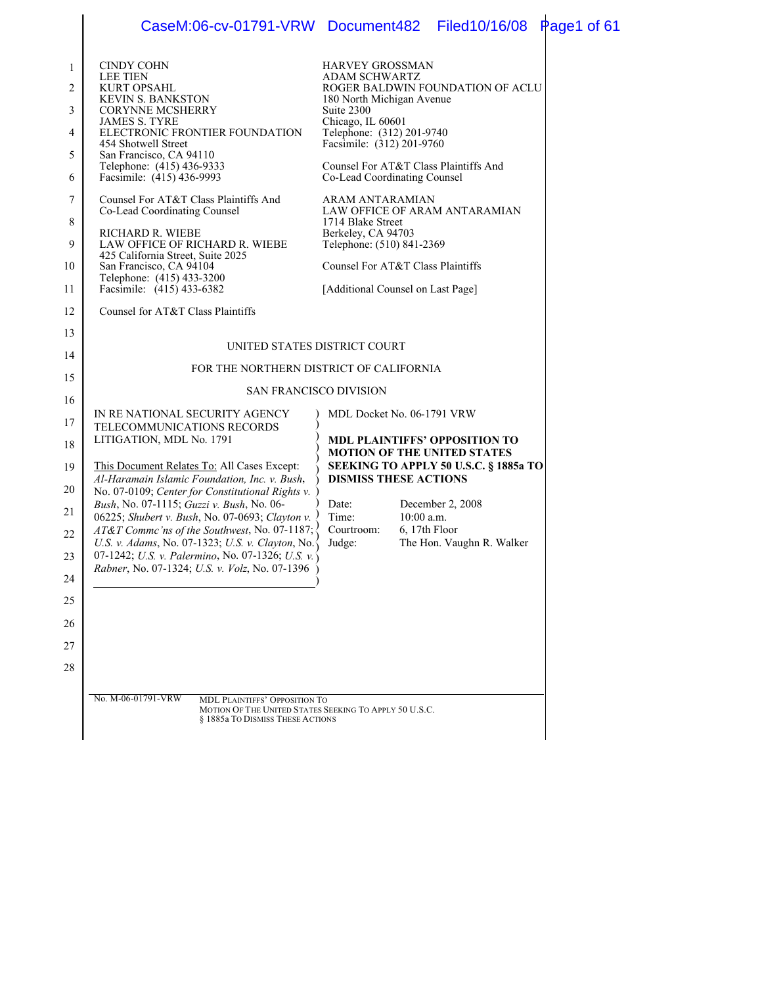|                                                                            | CaseM:06-cv-01791-VRW Document482 Filed10/16/08 Page1 of 61                                                                                                                                                                                                                                                                                                                                                                                                                                                                                                                                    |                                                                                                                                                                                                                                                                                                                                                                                                                                                                                      |                                               |  |
|----------------------------------------------------------------------------|------------------------------------------------------------------------------------------------------------------------------------------------------------------------------------------------------------------------------------------------------------------------------------------------------------------------------------------------------------------------------------------------------------------------------------------------------------------------------------------------------------------------------------------------------------------------------------------------|--------------------------------------------------------------------------------------------------------------------------------------------------------------------------------------------------------------------------------------------------------------------------------------------------------------------------------------------------------------------------------------------------------------------------------------------------------------------------------------|-----------------------------------------------|--|
| 1<br>2<br>3<br>$\overline{4}$<br>5<br>6<br>7<br>8<br>9<br>10<br>11<br>12   | <b>CINDY COHN</b><br><b>LEE TIEN</b><br><b>KURT OPSAHL</b><br><b>KEVIN S. BANKSTON</b><br><b>CORYNNE MCSHERRY</b><br><b>JAMES S. TYRE</b><br>ELECTRONIC FRONTIER FOUNDATION<br>454 Shotwell Street<br>San Francisco, CA 94110<br>Telephone: (415) 436-9333<br>Facsimile: (415) 436-9993<br>Counsel For AT&T Class Plaintiffs And<br>Co-Lead Coordinating Counsel<br>RICHARD R. WIEBE<br>LAW OFFICE OF RICHARD R. WIEBE<br>425 California Street, Suite 2025<br>San Francisco, CA 94104<br>Telephone: (415) 433-3200<br>Facsimile: (415) 433-6382<br>Counsel for AT&T Class Plaintiffs          | <b>HARVEY GROSSMAN</b><br>ADAM SCHWARTZ<br>ROGER BALDWIN FOUNDATION OF ACLU<br>180 North Michigan Avenue<br>Suite 2300<br>Chicago, IL 60601<br>Telephone: (312) 201-9740<br>Facsimile: (312) 201-9760<br>Counsel For AT&T Class Plaintiffs And<br>Co-Lead Coordinating Counsel<br>ARAM ANTARAMIAN<br>LAW OFFICE OF ARAM ANTARAMIAN<br>1714 Blake Street<br>Berkeley, CA 94703<br>Telephone: (510) 841-2369<br>Counsel For AT&T Class Plaintiffs<br>[Additional Counsel on Last Page] |                                               |  |
| 13<br>14<br>15                                                             | UNITED STATES DISTRICT COURT<br>FOR THE NORTHERN DISTRICT OF CALIFORNIA<br><b>SAN FRANCISCO DIVISION</b>                                                                                                                                                                                                                                                                                                                                                                                                                                                                                       |                                                                                                                                                                                                                                                                                                                                                                                                                                                                                      |                                               |  |
| 16<br>17<br>18<br>19<br>20<br>21<br>22<br>23<br>24<br>25<br>26<br>27<br>28 | IN RE NATIONAL SECURITY AGENCY<br>TELECOMMUNICATIONS RECORDS<br>LITIGATION, MDL No. 1791<br>This Document Relates To: All Cases Except:<br>Al-Haramain Islamic Foundation, Inc. v. Bush,<br>No. 07-0109; Center for Constitutional Rights v. )<br>Bush, No. 07-1115; Guzzi v. Bush, No. 06-<br>06225; Shubert v. Bush, No. 07-0693; Clayton v. $\sqrt{ }$<br>AT&T Commc'ns of the Southwest, No. 07-1187;<br>U.S. v. Adams, No. 07-1323; U.S. v. Clayton, No.<br>07-1242; U.S. v. Palermino, No. 07-1326; U.S. v. $\langle$<br><i>Rabner</i> , No. 07-1324; <i>U.S. v. Volz.</i> No. 07-1396 ) | MDL Docket No. 06-1791 VRW<br><b>MDL PLAINTIFFS' OPPOSITION TO</b><br><b>MOTION OF THE UNITED STATES</b><br>SEEKING TO APPLY 50 U.S.C. § 1885a TO<br><b>DISMISS THESE ACTIONS</b><br>Date:<br>Time:<br>$10:00$ a.m.<br>Courtroom:<br>6, 17th Floor<br>Judge:                                                                                                                                                                                                                         | December 2, 2008<br>The Hon. Vaughn R. Walker |  |
|                                                                            | No. M-06-01791-VRW<br><b>MDL PLAINTIFFS' OPPOSITION TO</b><br>MOTION OF THE UNITED STATES SEEKING TO APPLY 50 U.S.C.<br>§ 1885a TO DISMISS THESE ACTIONS                                                                                                                                                                                                                                                                                                                                                                                                                                       |                                                                                                                                                                                                                                                                                                                                                                                                                                                                                      |                                               |  |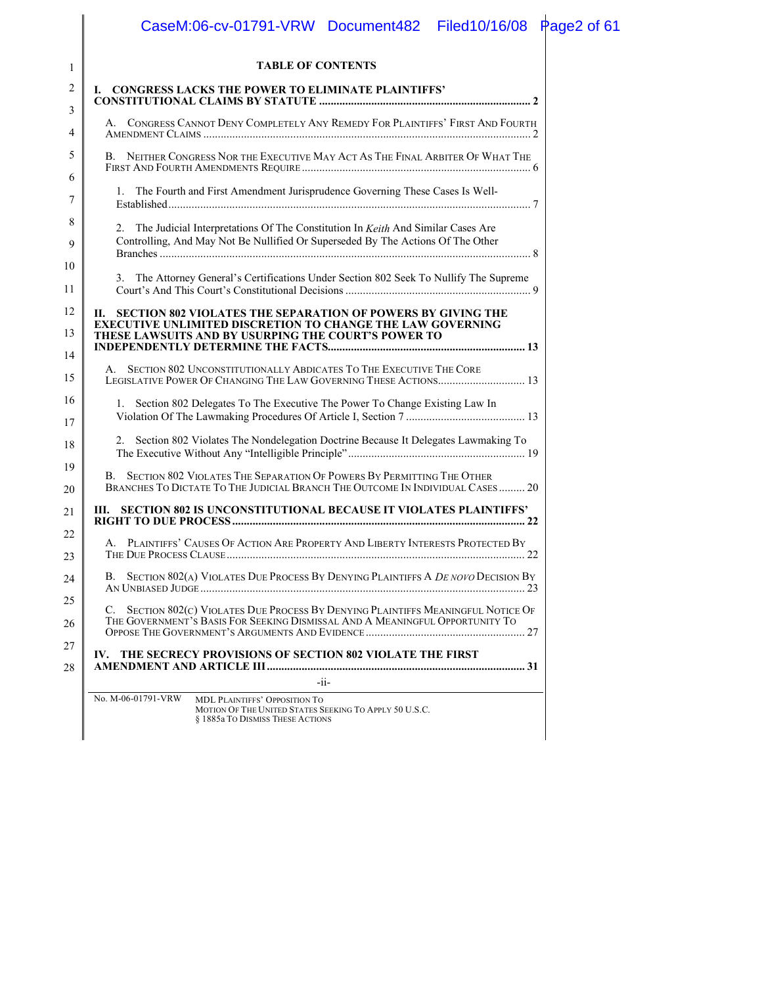|          | CaseM:06-cv-01791-VRW Document482 Filed10/16/08 Page2 of 61                                                                                               |
|----------|-----------------------------------------------------------------------------------------------------------------------------------------------------------|
| 1        | <b>TABLE OF CONTENTS</b>                                                                                                                                  |
| 2        | I. CONGRESS LACKS THE POWER TO ELIMINATE PLAINTIFFS'                                                                                                      |
| 3        |                                                                                                                                                           |
| 4        | A. CONGRESS CANNOT DENY COMPLETELY ANY REMEDY FOR PLAINTIFFS' FIRST AND FOURTH                                                                            |
| 5        | B. NEITHER CONGRESS NOR THE EXECUTIVE MAY ACT AS THE FINAL ARBITER OF WHAT THE                                                                            |
| 6<br>7   | 1. The Fourth and First Amendment Jurisprudence Governing These Cases Is Well-                                                                            |
| 8        | 2. The Judicial Interpretations Of The Constitution In Keith And Similar Cases Are                                                                        |
| 9        | Controlling, And May Not Be Nullified Or Superseded By The Actions Of The Other                                                                           |
| 10<br>11 | The Attorney General's Certifications Under Section 802 Seek To Nullify The Supreme<br>3.                                                                 |
| 12       | II. SECTION 802 VIOLATES THE SEPARATION OF POWERS BY GIVING THE                                                                                           |
| 13       | <b>EXECUTIVE UNLIMITED DISCRETION TO CHANGE THE LAW GOVERNING</b><br>THESE LAWSUITS AND BY USURPING THE COURT'S POWER TO                                  |
| 14       |                                                                                                                                                           |
| 15       | A. SECTION 802 UNCONSTITUTIONALLY ABDICATES TO THE EXECUTIVE THE CORE<br>LEGISLATIVE POWER OF CHANGING THE LAW GOVERNING THESE ACTIONS 13                 |
| 16<br>17 | 1. Section 802 Delegates To The Executive The Power To Change Existing Law In                                                                             |
| 18       | Section 802 Violates The Nondelegation Doctrine Because It Delegates Lawmaking To                                                                         |
| 19<br>20 | B. SECTION 802 VIOLATES THE SEPARATION OF POWERS BY PERMITTING THE OTHER<br>BRANCHES TO DICTATE TO THE JUDICIAL BRANCH THE OUTCOME IN INDIVIDUAL CASES 20 |
| 21       | III. SECTION 802 IS UNCONSTITUTIONAL BECAUSE IT VIOLATES PLAINTIFFS'                                                                                      |
| 22<br>23 | A. PLAINTIFFS' CAUSES OF ACTION ARE PROPERTY AND LIBERTY INTERESTS PROTECTED BY                                                                           |
| 24       | B. SECTION 802(A) VIOLATES DUE PROCESS BY DENYING PLAINTIFFS A DE NOVO DECISION BY                                                                        |
| 25       | SECTION 802(C) VIOLATES DUE PROCESS BY DENYING PLAINTIFFS MEANINGFUL NOTICE OF<br>C.                                                                      |
| 26       | THE GOVERNMENT'S BASIS FOR SEEKING DISMISSAL AND A MEANINGFUL OPPORTUNITY TO                                                                              |
| 27<br>28 | IV. THE SECRECY PROVISIONS OF SECTION 802 VIOLATE THE FIRST                                                                                               |
|          | $-i$ i-                                                                                                                                                   |
|          | No. M-06-01791-VRW<br>MDL PLAINTIFFS' OPPOSITION TO<br>MOTION OF THE UNITED STATES SEEKING TO APPLY 50 U.S.C.<br>§ 1885a TO DISMISS THESE ACTIONS         |
|          |                                                                                                                                                           |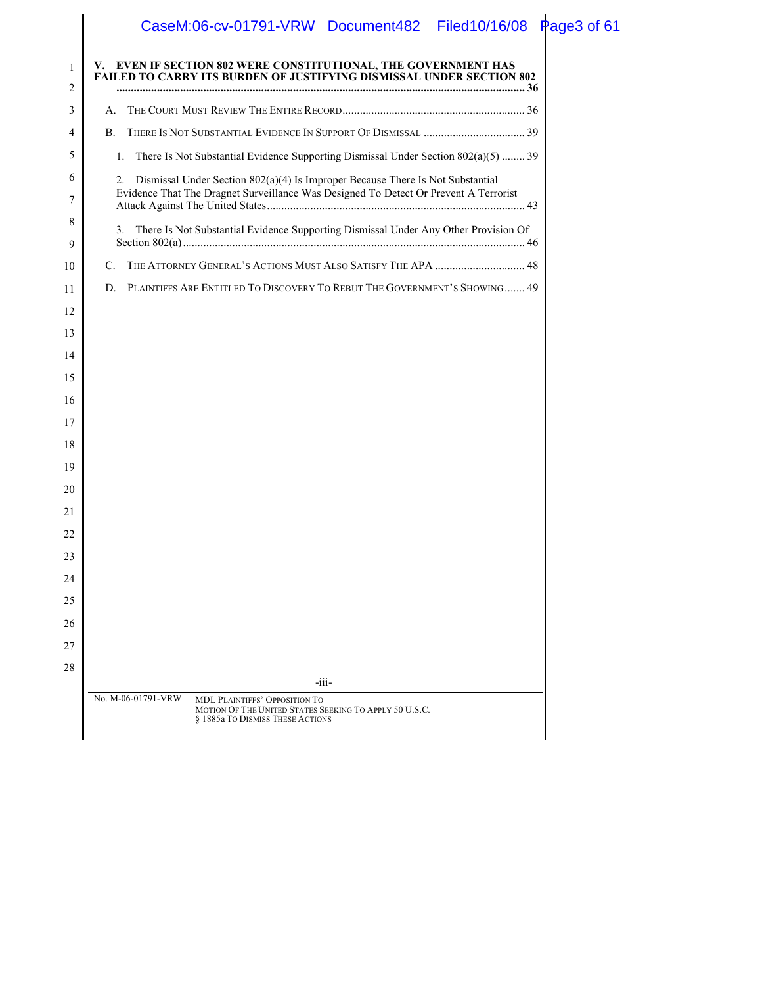## CaseM:06-cv-01791-VRW Document482 Filed10/16/08 Page3 of 61

| 1<br>2   | V. EVEN IF SECTION 802 WERE CONSTITUTIONAL, THE GOVERNMENT HAS<br><b>FAILED TO CARRY ITS BURDEN OF JUSTIFYING DISMISSAL UNDER SECTION 802</b>     |
|----------|---------------------------------------------------------------------------------------------------------------------------------------------------|
| 3        | A.                                                                                                                                                |
| 4        | B.                                                                                                                                                |
| 5        | There Is Not Substantial Evidence Supporting Dismissal Under Section 802(a)(5)  39<br>1.                                                          |
| 6        | Dismissal Under Section 802(a)(4) Is Improper Because There Is Not Substantial<br>2.                                                              |
| 7        | Evidence That The Dragnet Surveillance Was Designed To Detect Or Prevent A Terrorist                                                              |
| 8        | There Is Not Substantial Evidence Supporting Dismissal Under Any Other Provision Of<br>3.                                                         |
| 9        |                                                                                                                                                   |
| 10       | THE ATTORNEY GENERAL'S ACTIONS MUST ALSO SATISFY THE APA  48<br>C.                                                                                |
| 11       | PLAINTIFFS ARE ENTITLED TO DISCOVERY TO REBUT THE GOVERNMENT'S SHOWING 49<br>D.                                                                   |
| 12       |                                                                                                                                                   |
| 13       |                                                                                                                                                   |
| 14       |                                                                                                                                                   |
| 15       |                                                                                                                                                   |
| 16       |                                                                                                                                                   |
| 17       |                                                                                                                                                   |
| 18       |                                                                                                                                                   |
| 19<br>20 |                                                                                                                                                   |
| 21       |                                                                                                                                                   |
| 22       |                                                                                                                                                   |
| 23       |                                                                                                                                                   |
| 24       |                                                                                                                                                   |
| 25       |                                                                                                                                                   |
| 26       |                                                                                                                                                   |
| 27       |                                                                                                                                                   |
| 28       |                                                                                                                                                   |
|          | -iii-                                                                                                                                             |
|          | No. M-06-01791-VRW<br>MDL PLAINTIFFS' OPPOSITION TO<br>MOTION OF THE UNITED STATES SEEKING TO APPLY 50 U.S.C.<br>§ 1885a TO DISMISS THESE ACTIONS |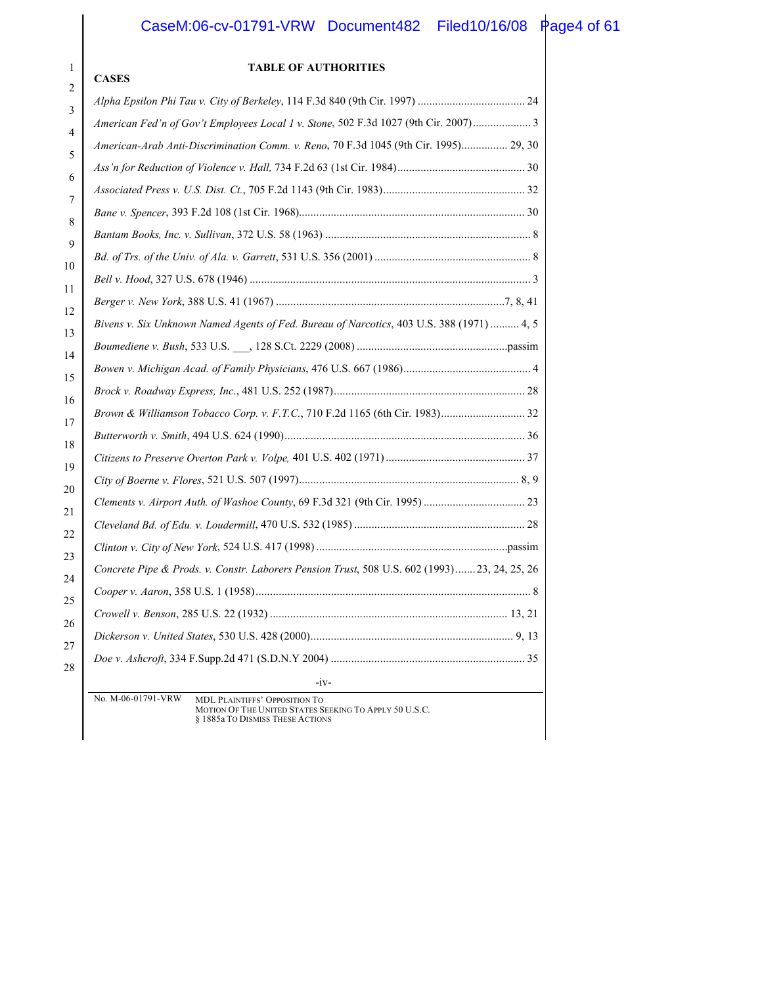#### CaseM:06-cv-01791-VRW Document482 Filed10/16/08 Page4 of 61

#### -iv-No. M-06-01791-VRW MDL PLAINTIFFS' OPPOSITION TO MOTION OF THE UNITED STATES SEEKING TO APPLY 50 U.S.C. § 1885a TO DISMISS THESE ACTIONS 1 2 3 4 5 6 7 8 9 10 11 12 13 14 15 16 17 18 19 20 21 22 23 24 25 26 27 28 **TABLE OF AUTHORITIES CASES** *Alpha Epsilon Phi Tau v. City of Berkeley*, 114 F.3d 840 (9th Cir. 1997) ..................................... 24 *American Fed'n of Gov't Employees Local 1 v. Stone*, 502 F.3d 1027 (9th Cir. 2007).................... 3 *American-Arab Anti-Discrimination Comm. v. Reno*, 70 F.3d 1045 (9th Cir. 1995)................ 29, 30 *Ass'n for Reduction of Violence v. Hall,* 734 F.2d 63 (1st Cir. 1984)............................................ 30 *Associated Press v. U.S. Dist. Ct.*, 705 F.2d 1143 (9th Cir. 1983)................................................. 32 *Bane v. Spencer*, 393 F.2d 108 (1st Cir. 1968).............................................................................. 30 *Bantam Books, Inc. v. Sullivan*, 372 U.S. 58 (1963) ....................................................................... 8 *Bd. of Trs. of the Univ. of Ala. v. Garrett*, 531 U.S. 356 (2001) ...................................................... 8 *Bell v. Hood*, 327 U.S. 678 (1946) ................................................................................................. 3 *Berger v. New York*, 388 U.S. 41 (1967) ...............................................................................7, 8, 41 *Bivens v. Six Unknown Named Agents of Fed. Bureau of Narcotics*, 403 U.S. 388 (1971) .......... 4, 5 *Boumediene v. Bush*, 533 U.S. \_\_\_, 128 S.Ct. 2229 (2008) ....................................................passim *Bowen v. Michigan Acad. of Family Physicians*, 476 U.S. 667 (1986)............................................ 4 *Brock v. Roadway Express, Inc*., 481 U.S. 252 (1987).................................................................. 28 *Brown & Williamson Tobacco Corp. v. F.T.C.*, 710 F.2d 1165 (6th Cir. 1983)............................. 32 *Butterworth v. Smith*, 494 U.S. 624 (1990)................................................................................... 36 *Citizens to Preserve Overton Park v. Volpe,* 401 U.S. 402 (1971)................................................ 37 *City of Boerne v. Flores*, 521 U.S. 507 (1997)............................................................................ 8, 9 *Clements v. Airport Auth. of Washoe County*, 69 F.3d 321 (9th Cir. 1995) ................................... 23 *Cleveland Bd. of Edu. v. Loudermill*, 470 U.S. 532 (1985) ........................................................... 28 *Clinton v. City of New York*, 524 U.S. 417 (1998) ..................................................................passim *Concrete Pipe & Prods. v. Constr. Laborers Pension Trust*, 508 U.S. 602 (1993).......23, 24, 25, 26 *Cooper v. Aaron*, 358 U.S. 1 (1958)............................................................................................... 8 *Crowell v. Benson*, 285 U.S. 22 (1932) .................................................................................. 13, 21 *Dickerson v. United States*, 530 U.S. 428 (2000)...................................................................... 9, 13 *Doe v. Ashcroft*, 334 F.Supp.2d 471 (S.D.N.Y 2004) ................................................................... 35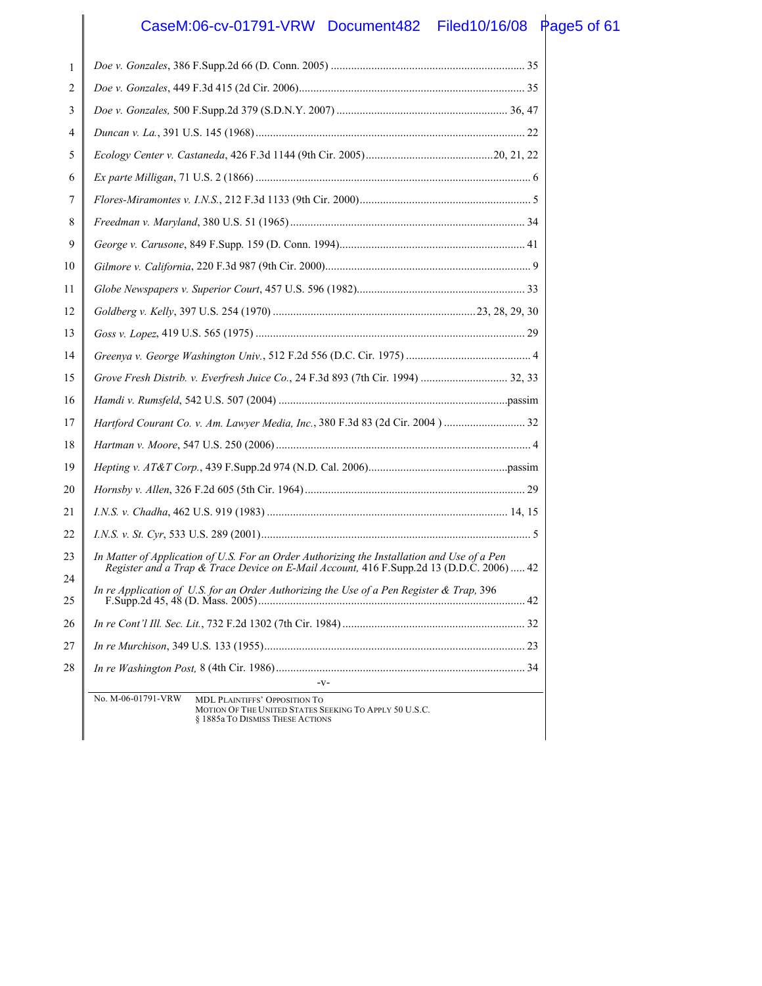## CaseM:06-cv-01791-VRW Document482 Filed10/16/08 Page5 of 61

| 1  |                                                                                                                                                          |
|----|----------------------------------------------------------------------------------------------------------------------------------------------------------|
| 2  |                                                                                                                                                          |
| 3  |                                                                                                                                                          |
| 4  |                                                                                                                                                          |
| 5  |                                                                                                                                                          |
| 6  |                                                                                                                                                          |
| 7  |                                                                                                                                                          |
| 8  |                                                                                                                                                          |
| 9  |                                                                                                                                                          |
| 10 |                                                                                                                                                          |
| 11 |                                                                                                                                                          |
| 12 |                                                                                                                                                          |
| 13 |                                                                                                                                                          |
| 14 |                                                                                                                                                          |
| 15 |                                                                                                                                                          |
| 16 |                                                                                                                                                          |
| 17 |                                                                                                                                                          |
| 18 |                                                                                                                                                          |
| 19 |                                                                                                                                                          |
| 20 |                                                                                                                                                          |
| 21 |                                                                                                                                                          |
| 22 |                                                                                                                                                          |
| 23 | In Matter of Application of U.S. For an Order Authorizing the Installation and Use of a Pen                                                              |
| 24 | Register and a Trap & Trace Device on E-Mail Account, 416 F.Supp.2d 13 (D.D.C. 2006)  42                                                                 |
| 25 | In re Application of U.S. for an Order Authorizing the Use of a Pen Register $\&$ Trap, 396                                                              |
| 26 |                                                                                                                                                          |
| 27 |                                                                                                                                                          |
| 28 |                                                                                                                                                          |
|    | $-V-$                                                                                                                                                    |
|    | No. M-06-01791-VRW<br><b>MDL PLAINTIFFS' OPPOSITION TO</b><br>MOTION OF THE UNITED STATES SEEKING TO APPLY 50 U.S.C.<br>§ 1885a TO DISMISS THESE ACTIONS |
|    |                                                                                                                                                          |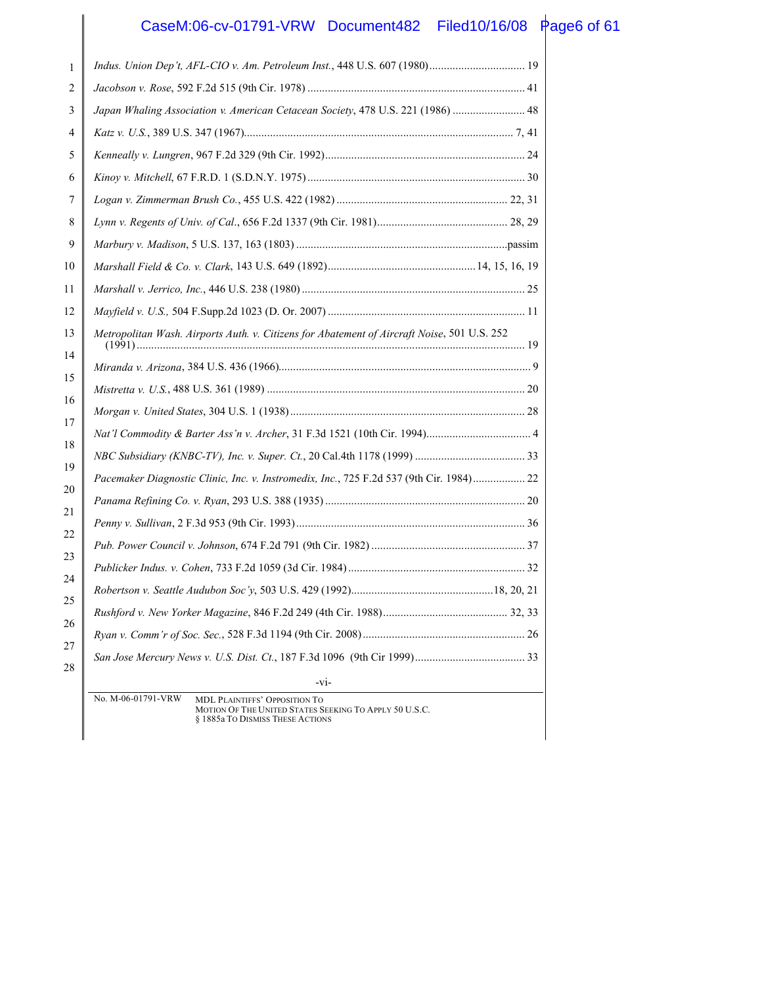## CaseM:06-cv-01791-VRW Document482 Filed10/16/08 Page6 of 61

| 1        |                                                                                                                                                   |  |
|----------|---------------------------------------------------------------------------------------------------------------------------------------------------|--|
| 2        |                                                                                                                                                   |  |
| 3        | Japan Whaling Association v. American Cetacean Society, 478 U.S. 221 (1986)  48                                                                   |  |
| 4        |                                                                                                                                                   |  |
| 5        |                                                                                                                                                   |  |
| 6        |                                                                                                                                                   |  |
| 7        |                                                                                                                                                   |  |
| 8        |                                                                                                                                                   |  |
| 9        |                                                                                                                                                   |  |
| 10       |                                                                                                                                                   |  |
| 11       |                                                                                                                                                   |  |
| 12       |                                                                                                                                                   |  |
| 13       | Metropolitan Wash. Airports Auth. v. Citizens for Abatement of Aircraft Noise, 501 U.S. 252                                                       |  |
| 14       |                                                                                                                                                   |  |
| 15       |                                                                                                                                                   |  |
| 16       |                                                                                                                                                   |  |
| 17       |                                                                                                                                                   |  |
| 18<br>19 |                                                                                                                                                   |  |
|          | Pacemaker Diagnostic Clinic, Inc. v. Instromedix, Inc., 725 F.2d 537 (9th Cir. 1984) 22                                                           |  |
| 20       |                                                                                                                                                   |  |
| 21       |                                                                                                                                                   |  |
| 22       |                                                                                                                                                   |  |
| 23       |                                                                                                                                                   |  |
| 24       |                                                                                                                                                   |  |
| 25       |                                                                                                                                                   |  |
| 26       |                                                                                                                                                   |  |
| 27       |                                                                                                                                                   |  |
| 28       | $-vi-$                                                                                                                                            |  |
|          | No. M-06-01791-VRW<br>MDL PLAINTIFFS' OPPOSITION TO<br>MOTION OF THE UNITED STATES SEEKING TO APPLY 50 U.S.C.<br>§ 1885a TO DISMISS THESE ACTIONS |  |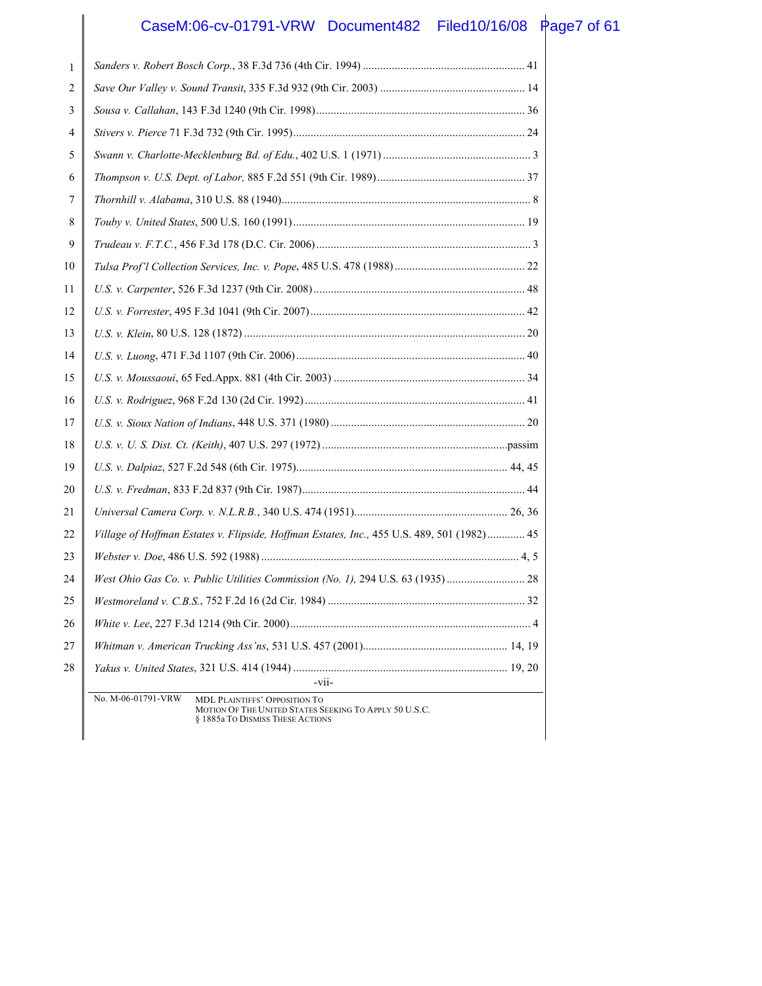# CaseM:06-cv-01791-VRW Document482 Filed10/16/08 Page7 of 61

| 1  |                                                                                                                                                          |
|----|----------------------------------------------------------------------------------------------------------------------------------------------------------|
| 2  |                                                                                                                                                          |
| 3  |                                                                                                                                                          |
| 4  |                                                                                                                                                          |
| 5  |                                                                                                                                                          |
| 6  |                                                                                                                                                          |
| 7  |                                                                                                                                                          |
| 8  |                                                                                                                                                          |
| 9  |                                                                                                                                                          |
| 10 |                                                                                                                                                          |
| 11 |                                                                                                                                                          |
| 12 |                                                                                                                                                          |
| 13 |                                                                                                                                                          |
| 14 |                                                                                                                                                          |
| 15 |                                                                                                                                                          |
| 16 |                                                                                                                                                          |
| 17 |                                                                                                                                                          |
| 18 |                                                                                                                                                          |
| 19 |                                                                                                                                                          |
| 20 |                                                                                                                                                          |
| 21 |                                                                                                                                                          |
| 22 | Village of Hoffman Estates v. Flipside, Hoffman Estates, Inc., 455 U.S. 489, 501 (1982) 45                                                               |
| 23 |                                                                                                                                                          |
| 24 | West Ohio Gas Co. v. Public Utilities Commission (No. 1), 294 U.S. 63 (1935)  28                                                                         |
| 25 |                                                                                                                                                          |
| 26 |                                                                                                                                                          |
| 27 |                                                                                                                                                          |
| 28 | -vii-                                                                                                                                                    |
|    | No. M-06-01791-VRW<br><b>MDL PLAINTIFFS' OPPOSITION TO</b><br>MOTION OF THE UNITED STATES SEEKING TO APPLY 50 U.S.C.<br>§ 1885a TO DISMISS THESE ACTIONS |
|    |                                                                                                                                                          |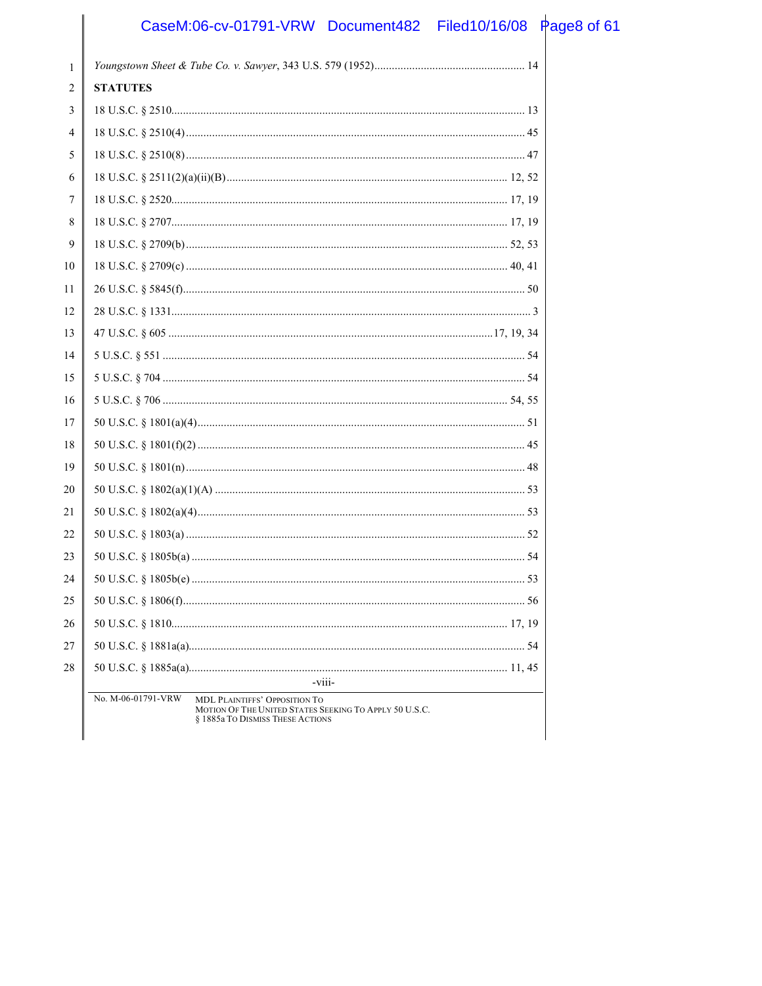## CaseM:06-cv-01791-VRW Document482 Filed10/16/08 Page8 of 61

| <b>STATUTES</b>                  |                                                                                                               |
|----------------------------------|---------------------------------------------------------------------------------------------------------------|
|                                  |                                                                                                               |
|                                  |                                                                                                               |
|                                  |                                                                                                               |
|                                  |                                                                                                               |
|                                  |                                                                                                               |
|                                  |                                                                                                               |
|                                  |                                                                                                               |
|                                  |                                                                                                               |
|                                  |                                                                                                               |
|                                  |                                                                                                               |
|                                  |                                                                                                               |
|                                  |                                                                                                               |
|                                  |                                                                                                               |
|                                  |                                                                                                               |
|                                  |                                                                                                               |
|                                  |                                                                                                               |
|                                  |                                                                                                               |
|                                  |                                                                                                               |
|                                  |                                                                                                               |
|                                  |                                                                                                               |
|                                  |                                                                                                               |
|                                  |                                                                                                               |
|                                  |                                                                                                               |
|                                  |                                                                                                               |
|                                  |                                                                                                               |
|                                  |                                                                                                               |
|                                  |                                                                                                               |
| -viii-                           |                                                                                                               |
| § 1885a TO DISMISS THESE ACTIONS |                                                                                                               |
|                                  | No. M-06-01791-VRW<br>MDL PLAINTIFFS' OPPOSITION TO<br>MOTION OF THE UNITED STATES SEEKING TO APPLY 50 U.S.C. |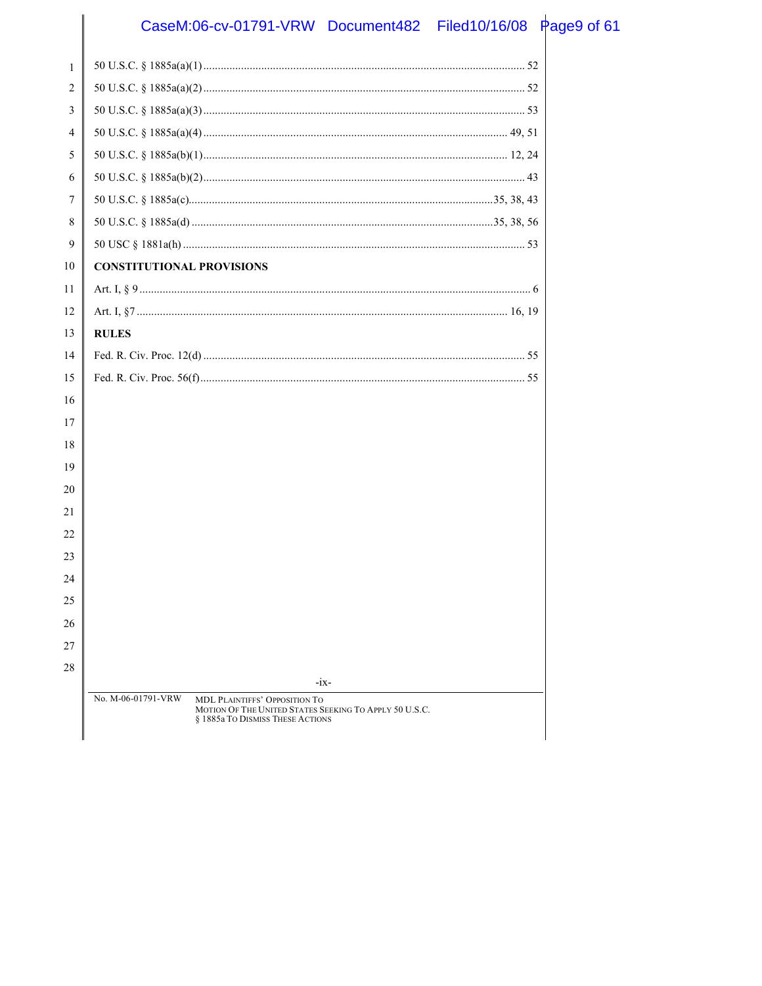## CaseM:06-cv-01791-VRW Document482 Filed10/16/08 Page9 of 61

| $\mathbf{1}$ |                                                                                            |  |
|--------------|--------------------------------------------------------------------------------------------|--|
| 2            |                                                                                            |  |
| 3            |                                                                                            |  |
| 4            |                                                                                            |  |
| 5            |                                                                                            |  |
| 6            |                                                                                            |  |
| 7            |                                                                                            |  |
| 8            |                                                                                            |  |
| 9            |                                                                                            |  |
| 10           | <b>CONSTITUTIONAL PROVISIONS</b>                                                           |  |
| 11           |                                                                                            |  |
| 12           |                                                                                            |  |
| 13           | <b>RULES</b>                                                                               |  |
| 14           |                                                                                            |  |
| 15           |                                                                                            |  |
| 16           |                                                                                            |  |
| 17           |                                                                                            |  |
| 18           |                                                                                            |  |
| 19           |                                                                                            |  |
| 20           |                                                                                            |  |
| 21           |                                                                                            |  |
| 22           |                                                                                            |  |
| 23           |                                                                                            |  |
| 24           |                                                                                            |  |
| 25           |                                                                                            |  |
| 26           |                                                                                            |  |
| 27           |                                                                                            |  |
| 28           | $-ix-$                                                                                     |  |
|              | No. M-06-01791-VRW<br>MDL PLAINTIFFS' OPPOSITION TO                                        |  |
|              | MOTION OF THE UNITED STATES SEEKING TO APPLY 50 U.S.C.<br>§ 1885a TO DISMISS THESE ACTIONS |  |
|              |                                                                                            |  |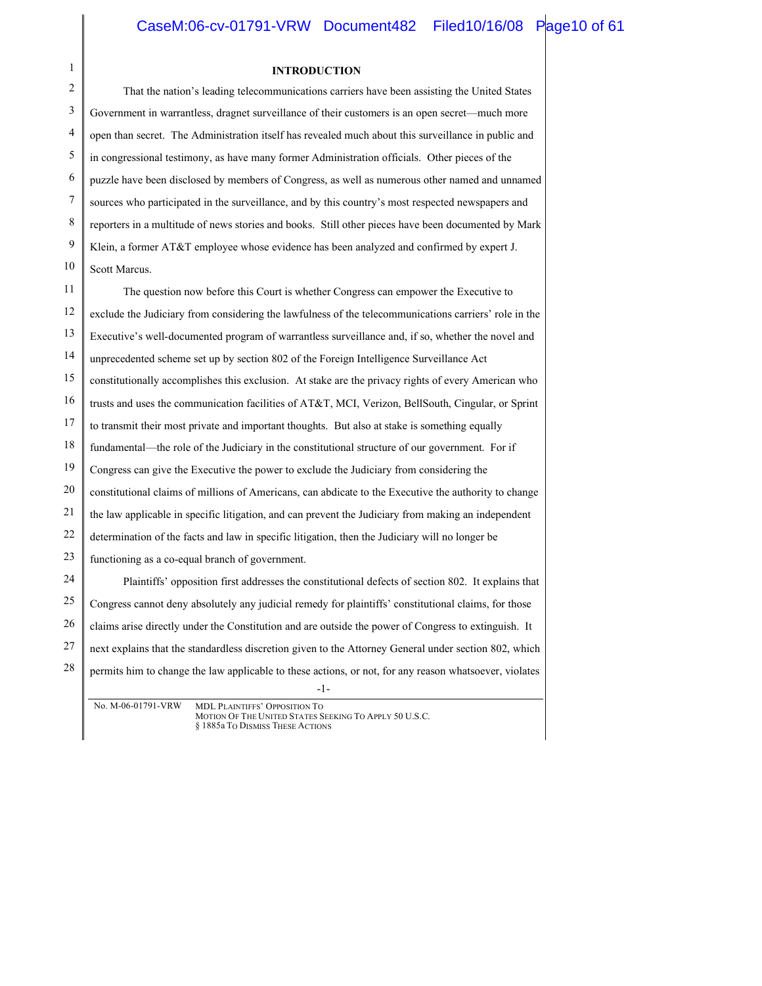# 1

#### **INTRODUCTION**

| 2                | That the nation's leading telecommunications carriers have been assisting the United States                     |  |
|------------------|-----------------------------------------------------------------------------------------------------------------|--|
| 3                | Government in warrantless, dragnet surveillance of their customers is an open secret—much more                  |  |
| 4                | open than secret. The Administration itself has revealed much about this surveillance in public and             |  |
| 5                | in congressional testimony, as have many former Administration officials. Other pieces of the                   |  |
| 6                | puzzle have been disclosed by members of Congress, as well as numerous other named and unnamed                  |  |
| 7                | sources who participated in the surveillance, and by this country's most respected newspapers and               |  |
| 8                | reporters in a multitude of news stories and books. Still other pieces have been documented by Mark             |  |
| $\boldsymbol{9}$ | Klein, a former AT&T employee whose evidence has been analyzed and confirmed by expert J.                       |  |
| 10               | Scott Marcus.                                                                                                   |  |
| 11               | The question now before this Court is whether Congress can empower the Executive to                             |  |
| 12               | exclude the Judiciary from considering the lawfulness of the telecommunications carriers' role in the           |  |
| 13               | Executive's well-documented program of warrantless surveillance and, if so, whether the novel and               |  |
| 14               | unprecedented scheme set up by section 802 of the Foreign Intelligence Surveillance Act                         |  |
| 15               | constitutionally accomplishes this exclusion. At stake are the privacy rights of every American who             |  |
| 16               | trusts and uses the communication facilities of AT&T, MCI, Verizon, BellSouth, Cingular, or Sprint              |  |
| 17               | to transmit their most private and important thoughts. But also at stake is something equally                   |  |
| 18               | fundamental—the role of the Judiciary in the constitutional structure of our government. For if                 |  |
| 19               | Congress can give the Executive the power to exclude the Judiciary from considering the                         |  |
| 20               | constitutional claims of millions of Americans, can abdicate to the Executive the authority to change           |  |
| 21               | the law applicable in specific litigation, and can prevent the Judiciary from making an independent             |  |
| $22\,$           | determination of the facts and law in specific litigation, then the Judiciary will no longer be                 |  |
| 23               | functioning as a co-equal branch of government.                                                                 |  |
| 24               | Plaintiffs' opposition first addresses the constitutional defects of section 802. It explains that              |  |
| 25               | Congress cannot deny absolutely any judicial remedy for plaintiffs' constitutional claims, for those            |  |
| 26               | claims arise directly under the Constitution and are outside the power of Congress to extinguish. It            |  |
| 27               | next explains that the standardless discretion given to the Attorney General under section 802, which           |  |
| $28\,$           | permits him to change the law applicable to these actions, or not, for any reason whatsoever, violates<br>$-1-$ |  |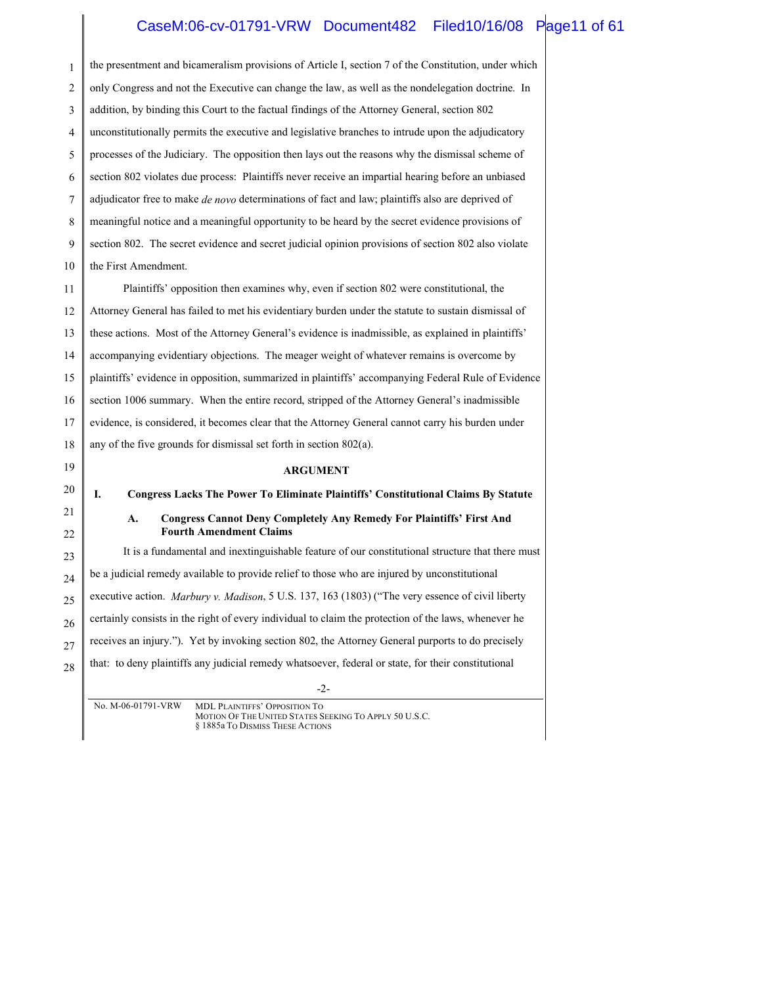#### CaseM:06-cv-01791-VRW Document482 Filed10/16/08 Page11 of 61

1 2 3 4 5 6 7 8 9 10 11 12 13 14 15 16 17 18 19 20 21 22 23 24 25 26 27 28 the presentment and bicameralism provisions of Article I, section 7 of the Constitution, under which only Congress and not the Executive can change the law, as well as the nondelegation doctrine. In addition, by binding this Court to the factual findings of the Attorney General, section 802 unconstitutionally permits the executive and legislative branches to intrude upon the adjudicatory processes of the Judiciary. The opposition then lays out the reasons why the dismissal scheme of section 802 violates due process: Plaintiffs never receive an impartial hearing before an unbiased adjudicator free to make *de novo* determinations of fact and law; plaintiffs also are deprived of meaningful notice and a meaningful opportunity to be heard by the secret evidence provisions of section 802. The secret evidence and secret judicial opinion provisions of section 802 also violate the First Amendment. Plaintiffs' opposition then examines why, even if section 802 were constitutional, the Attorney General has failed to met his evidentiary burden under the statute to sustain dismissal of these actions. Most of the Attorney General's evidence is inadmissible, as explained in plaintiffs' accompanying evidentiary objections. The meager weight of whatever remains is overcome by plaintiffs' evidence in opposition, summarized in plaintiffs' accompanying Federal Rule of Evidence section 1006 summary. When the entire record, stripped of the Attorney General's inadmissible evidence, is considered, it becomes clear that the Attorney General cannot carry his burden under any of the five grounds for dismissal set forth in section 802(a). **ARGUMENT I. Congress Lacks The Power To Eliminate Plaintiffs' Constitutional Claims By Statute A. Congress Cannot Deny Completely Any Remedy For Plaintiffs' First And Fourth Amendment Claims** It is a fundamental and inextinguishable feature of our constitutional structure that there must be a judicial remedy available to provide relief to those who are injured by unconstitutional executive action. *Marbury v. Madison*, 5 U.S. 137, 163 (1803) ("The very essence of civil liberty certainly consists in the right of every individual to claim the protection of the laws, whenever he receives an injury."). Yet by invoking section 802, the Attorney General purports to do precisely that: to deny plaintiffs any judicial remedy whatsoever, federal or state, for their constitutional

-2-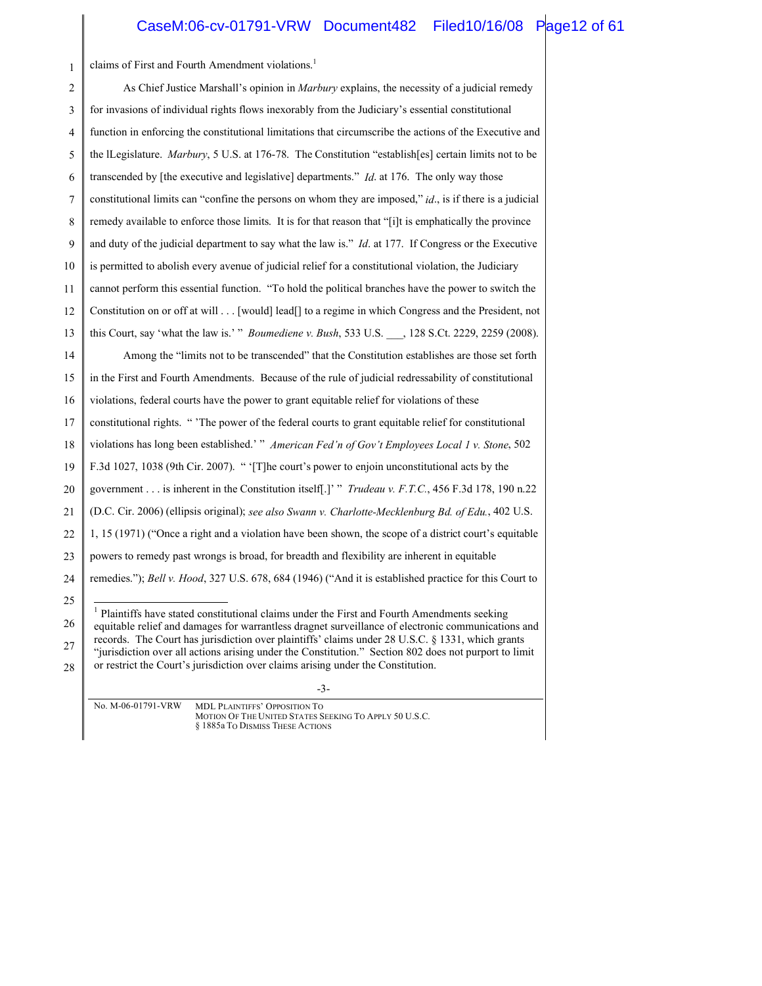#### CaseM:06-cv-01791-VRW Document482 Filed10/16/08 Page12 of 61

1 2 3 4 claims of First and Fourth Amendment violations.<sup>1</sup> As Chief Justice Marshall's opinion in *Marbury* explains, the necessity of a judicial remedy for invasions of individual rights flows inexorably from the Judiciary's essential constitutional function in enforcing the constitutional limitations that circumscribe the actions of the Executive and

5 the lLegislature. *Marbury*, 5 U.S. at 176-78. The Constitution "establish[es] certain limits not to be transcended by [the executive and legislative] departments." *Id*. at 176. The only way those

7 constitutional limits can "confine the persons on whom they are imposed," *id*., is if there is a judicial

8 remedy available to enforce those limits. It is for that reason that "[i]t is emphatically the province

9 and duty of the judicial department to say what the law is." *Id*. at 177. If Congress or the Executive

10 is permitted to abolish every avenue of judicial relief for a constitutional violation, the Judiciary

11 cannot perform this essential function. "To hold the political branches have the power to switch the

12 Constitution on or off at will . . . [would] lead[] to a regime in which Congress and the President, not

13 this Court, say 'what the law is.' " *Boumediene v. Bush*, 533 U.S. \_\_\_, 128 S.Ct. 2229, 2259 (2008).

14 Among the "limits not to be transcended" that the Constitution establishes are those set forth

15 in the First and Fourth Amendments. Because of the rule of judicial redressability of constitutional

16 violations, federal courts have the power to grant equitable relief for violations of these

17 constitutional rights. " 'The power of the federal courts to grant equitable relief for constitutional

18 violations has long been established.' " *American Fed'n of Gov't Employees Local 1 v. Stone*, 502

19 F.3d 1027, 1038 (9th Cir. 2007). " '[T]he court's power to enjoin unconstitutional acts by the

20 government . . . is inherent in the Constitution itself[.]' " *Trudeau v. F.T.C.*, 456 F.3d 178, 190 n.22

21 (D.C. Cir. 2006) (ellipsis original); *see also Swann v. Charlotte-Mecklenburg Bd. of Edu.*, 402 U.S.

22 1, 15 (1971) ("Once a right and a violation have been shown, the scope of a district court's equitable

23 powers to remedy past wrongs is broad, for breadth and flexibility are inherent in equitable

24 remedies."); *Bell v. Hood*, 327 U.S. 678, 684 (1946) ("And it is established practice for this Court to

25

26

6

 1 Plaintiffs have stated constitutional claims under the First and Fourth Amendments seeking equitable relief and damages for warrantless dragnet surveillance of electronic communications and records. The Court has jurisdiction over plaintiffs' claims under 28 U.S.C. § 1331, which grants

27 28 "jurisdiction over all actions arising under the Constitution." Section 802 does not purport to limit or restrict the Court's jurisdiction over claims arising under the Constitution.

-3-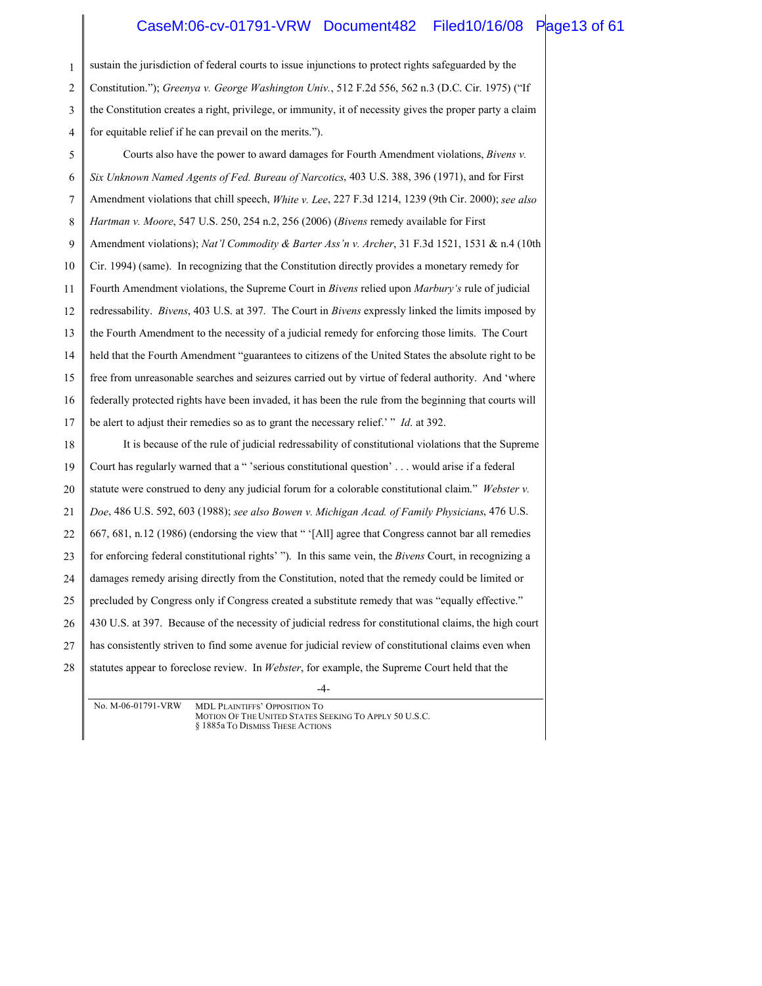#### CaseM:06-cv-01791-VRW Document482 Filed10/16/08 Page13 of 61

1 2 3 4 5 6 7 8 9 10 11 12 13 14 15 16 17 18 19 20 21 22 23 24 sustain the jurisdiction of federal courts to issue injunctions to protect rights safeguarded by the Constitution."); *Greenya v. George Washington Univ.*, 512 F.2d 556, 562 n.3 (D.C. Cir. 1975) ("If the Constitution creates a right, privilege, or immunity, it of necessity gives the proper party a claim for equitable relief if he can prevail on the merits."). Courts also have the power to award damages for Fourth Amendment violations, *Bivens v. Six Unknown Named Agents of Fed. Bureau of Narcotics*, 403 U.S. 388, 396 (1971), and for First Amendment violations that chill speech, *White v. Lee*, 227 F.3d 1214, 1239 (9th Cir. 2000); *see also Hartman v. Moore*, 547 U.S. 250, 254 n.2, 256 (2006) (*Bivens* remedy available for First Amendment violations); *Nat'l Commodity & Barter Ass'n v. Archer*, 31 F.3d 1521, 1531 & n.4 (10th Cir. 1994) (same). In recognizing that the Constitution directly provides a monetary remedy for Fourth Amendment violations, the Supreme Court in *Bivens* relied upon *Marbury's* rule of judicial redressability. *Bivens*, 403 U.S. at 397. The Court in *Bivens* expressly linked the limits imposed by the Fourth Amendment to the necessity of a judicial remedy for enforcing those limits. The Court held that the Fourth Amendment "guarantees to citizens of the United States the absolute right to be free from unreasonable searches and seizures carried out by virtue of federal authority. And 'where federally protected rights have been invaded, it has been the rule from the beginning that courts will be alert to adjust their remedies so as to grant the necessary relief.' " *Id*. at 392. It is because of the rule of judicial redressability of constitutional violations that the Supreme Court has regularly warned that a " 'serious constitutional question' . . . would arise if a federal statute were construed to deny any judicial forum for a colorable constitutional claim." *Webster v. Doe*, 486 U.S. 592, 603 (1988); *see also Bowen v. Michigan Acad. of Family Physicians*, 476 U.S. 667, 681, n.12 (1986) (endorsing the view that " '[All] agree that Congress cannot bar all remedies for enforcing federal constitutional rights' "). In this same vein, the *Bivens* Court, in recognizing a damages remedy arising directly from the Constitution, noted that the remedy could be limited or

25 precluded by Congress only if Congress created a substitute remedy that was "equally effective."

26 430 U.S. at 397. Because of the necessity of judicial redress for constitutional claims, the high court

27 has consistently striven to find some avenue for judicial review of constitutional claims even when

28 statutes appear to foreclose review. In *Webster*, for example, the Supreme Court held that the

-4-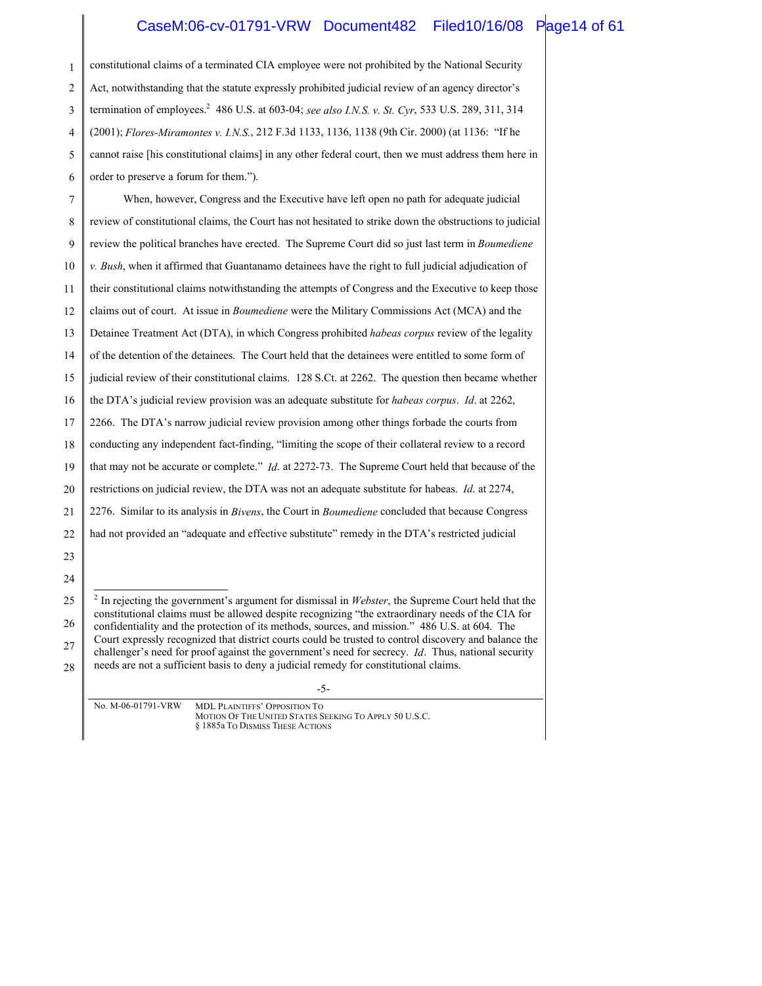#### CaseM:06-cv-01791-VRW Document482 Filed10/16/08 Page14 of 61

| 1  | constitutional claims of a terminated CIA employee were not prohibited by the National Security                                                                                                                      |  |
|----|----------------------------------------------------------------------------------------------------------------------------------------------------------------------------------------------------------------------|--|
| 2  | Act, notwithstanding that the statute expressly prohibited judicial review of an agency director's                                                                                                                   |  |
| 3  | termination of employees. <sup>2</sup> 486 U.S. at 603-04; see also I.N.S. v. St. Cyr, 533 U.S. 289, 311, 314                                                                                                        |  |
| 4  | (2001); Flores-Miramontes v. I.N.S., 212 F.3d 1133, 1136, 1138 (9th Cir. 2000) (at 1136: "If he                                                                                                                      |  |
| 5  | cannot raise [his constitutional claims] in any other federal court, then we must address them here in                                                                                                               |  |
| 6  | order to preserve a forum for them.").                                                                                                                                                                               |  |
| 7  | When, however, Congress and the Executive have left open no path for adequate judicial                                                                                                                               |  |
| 8  | review of constitutional claims, the Court has not hesitated to strike down the obstructions to judicial                                                                                                             |  |
| 9  | review the political branches have erected. The Supreme Court did so just last term in <i>Boumediene</i>                                                                                                             |  |
| 10 | $v.$ Bush, when it affirmed that Guantanamo detainees have the right to full judicial adjudication of                                                                                                                |  |
| 11 | their constitutional claims notwithstanding the attempts of Congress and the Executive to keep those                                                                                                                 |  |
| 12 | claims out of court. At issue in <i>Boumediene</i> were the Military Commissions Act (MCA) and the                                                                                                                   |  |
| 13 | Detainee Treatment Act (DTA), in which Congress prohibited habeas corpus review of the legality                                                                                                                      |  |
| 14 | of the detention of the detainees. The Court held that the detainees were entitled to some form of                                                                                                                   |  |
| 15 | judicial review of their constitutional claims. 128 S.Ct. at 2262. The question then became whether                                                                                                                  |  |
| 16 | the DTA's judicial review provision was an adequate substitute for <i>habeas corpus. Id.</i> at 2262,                                                                                                                |  |
| 17 | 2266. The DTA's narrow judicial review provision among other things forbade the courts from                                                                                                                          |  |
| 18 | conducting any independent fact-finding, "limiting the scope of their collateral review to a record                                                                                                                  |  |
| 19 | that may not be accurate or complete." Id. at 2272-73. The Supreme Court held that because of the                                                                                                                    |  |
| 20 | restrictions on judicial review, the DTA was not an adequate substitute for habeas. <i>Id.</i> at 2274,                                                                                                              |  |
| 21 | 2276. Similar to its analysis in Bivens, the Court in Boumediene concluded that because Congress                                                                                                                     |  |
| 22 | had not provided an "adequate and effective substitute" remedy in the DTA's restricted judicial                                                                                                                      |  |
| 23 |                                                                                                                                                                                                                      |  |
| 24 |                                                                                                                                                                                                                      |  |
| 25 | $^{2}$ In rejecting the government's argument for dismissal in <i>Webster</i> , the Supreme Court held that the<br>constitutional claims must be allowed despite recognizing "the extraordinary needs of the CIA for |  |
| 26 | confidentiality and the protection of its methods, sources, and mission." 486 U.S. at 604. The                                                                                                                       |  |
| 27 | Court expressly recognized that district courts could be trusted to control discovery and balance the<br>challenger's need for proof against the government's need for secrecy. $Id$ . Thus, national security       |  |
| 28 | needs are not a sufficient basis to deny a judicial remedy for constitutional claims.                                                                                                                                |  |

-5-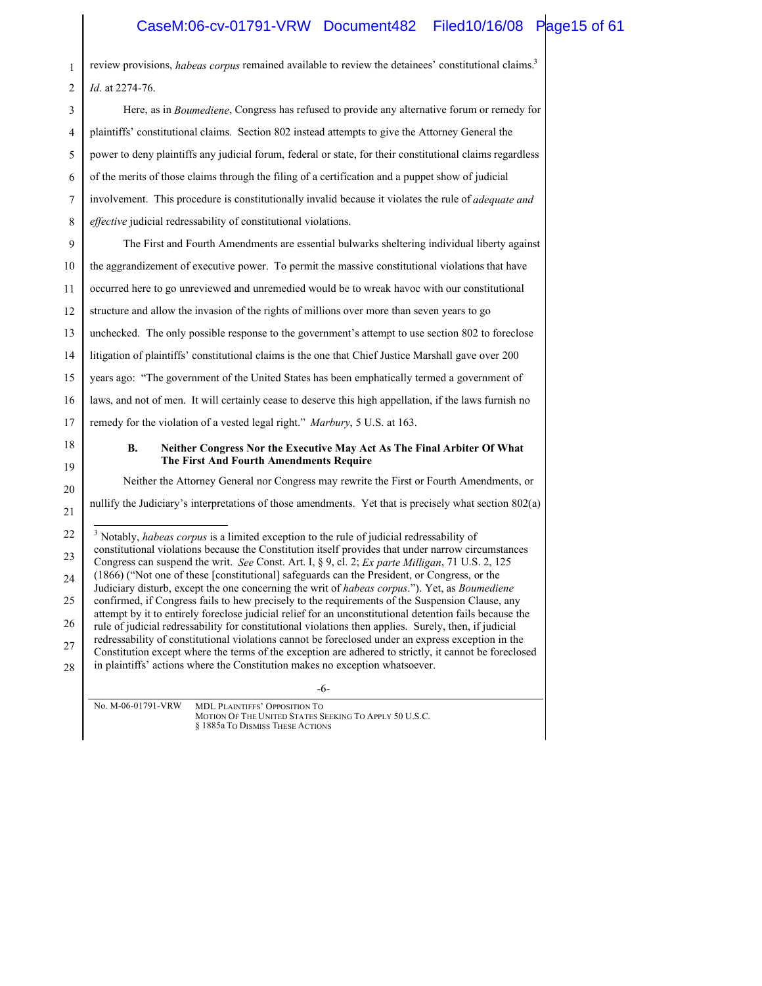#### CaseM:06-cv-01791-VRW Document482 Filed10/16/08 Page15 of 61

review provisions, *habeas corpus* remained available to review the detainees' constitutional claims.3 *Id*. at 2274-76.

1

-6- 2 3 4 5 6 7 8 9 10 11 12 13 14 15 16 17 18 19 20 21 22 23 24 25 26 27 28 Here, as in *Boumediene*, Congress has refused to provide any alternative forum or remedy for plaintiffs' constitutional claims. Section 802 instead attempts to give the Attorney General the power to deny plaintiffs any judicial forum, federal or state, for their constitutional claims regardless of the merits of those claims through the filing of a certification and a puppet show of judicial involvement. This procedure is constitutionally invalid because it violates the rule of *adequate and effective* judicial redressability of constitutional violations. The First and Fourth Amendments are essential bulwarks sheltering individual liberty against the aggrandizement of executive power. To permit the massive constitutional violations that have occurred here to go unreviewed and unremedied would be to wreak havoc with our constitutional structure and allow the invasion of the rights of millions over more than seven years to go unchecked. The only possible response to the government's attempt to use section 802 to foreclose litigation of plaintiffs' constitutional claims is the one that Chief Justice Marshall gave over 200 years ago: "The government of the United States has been emphatically termed a government of laws, and not of men. It will certainly cease to deserve this high appellation, if the laws furnish no remedy for the violation of a vested legal right." *Marbury*, 5 U.S. at 163. **B. Neither Congress Nor the Executive May Act As The Final Arbiter Of What The First And Fourth Amendments Require** Neither the Attorney General nor Congress may rewrite the First or Fourth Amendments, or nullify the Judiciary's interpretations of those amendments. Yet that is precisely what section 802(a) <sup>3</sup> Notably, *habeas corpus* is a limited exception to the rule of judicial redressability of constitutional violations because the Constitution itself provides that under narrow circumstances Congress can suspend the writ. *See* Const. Art. I, § 9, cl. 2; *Ex parte Milligan*, 71 U.S. 2, 125 (1866) ("Not one of these [constitutional] safeguards can the President, or Congress, or the Judiciary disturb, except the one concerning the writ of *habeas corpus*."). Yet, as *Boumediene* confirmed, if Congress fails to hew precisely to the requirements of the Suspension Clause, any attempt by it to entirely foreclose judicial relief for an unconstitutional detention fails because the rule of judicial redressability for constitutional violations then applies. Surely, then, if judicial redressability of constitutional violations cannot be foreclosed under an express exception in the Constitution except where the terms of the exception are adhered to strictly, it cannot be foreclosed in plaintiffs' actions where the Constitution makes no exception whatsoever.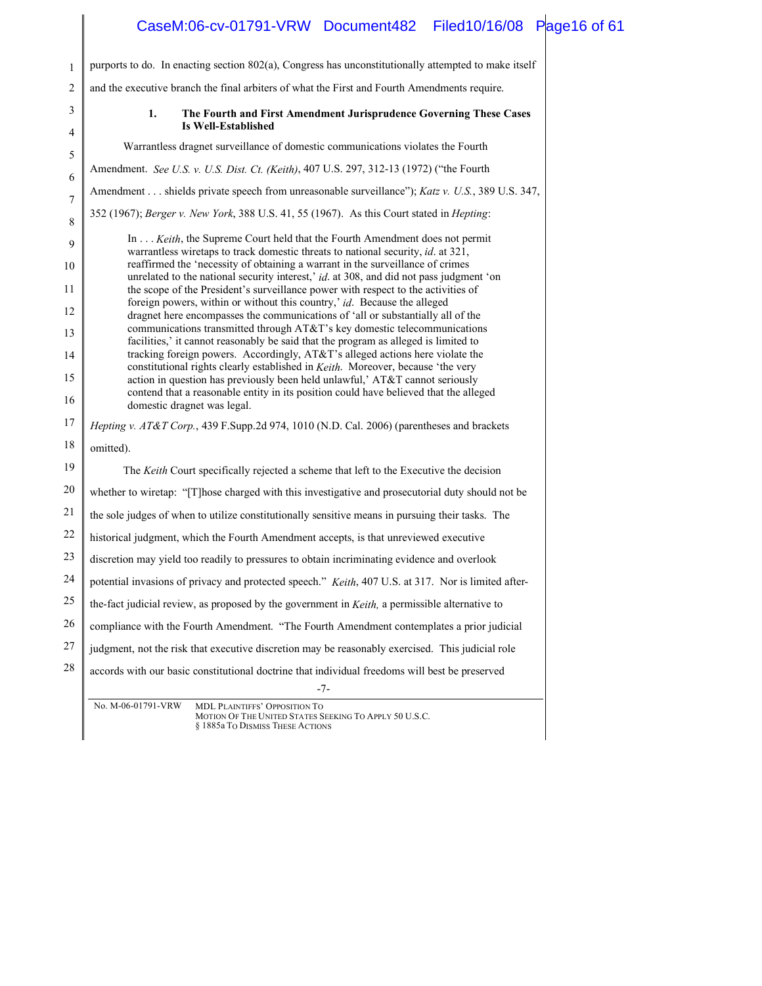| CaseM:06-cv-01791-VRW Document482 Filed10/16/08 Page16 of 61                                           |                                                                                                                                                                                                                                                                                                                                                                                                                                                                                                                                                                                                                                                                                                                                                                                                          |
|--------------------------------------------------------------------------------------------------------|----------------------------------------------------------------------------------------------------------------------------------------------------------------------------------------------------------------------------------------------------------------------------------------------------------------------------------------------------------------------------------------------------------------------------------------------------------------------------------------------------------------------------------------------------------------------------------------------------------------------------------------------------------------------------------------------------------------------------------------------------------------------------------------------------------|
| purports to do. In enacting section 802(a), Congress has unconstitutionally attempted to make itself   |                                                                                                                                                                                                                                                                                                                                                                                                                                                                                                                                                                                                                                                                                                                                                                                                          |
|                                                                                                        |                                                                                                                                                                                                                                                                                                                                                                                                                                                                                                                                                                                                                                                                                                                                                                                                          |
|                                                                                                        |                                                                                                                                                                                                                                                                                                                                                                                                                                                                                                                                                                                                                                                                                                                                                                                                          |
| Is Well-Established                                                                                    |                                                                                                                                                                                                                                                                                                                                                                                                                                                                                                                                                                                                                                                                                                                                                                                                          |
| Warrantless dragnet surveillance of domestic communications violates the Fourth                        |                                                                                                                                                                                                                                                                                                                                                                                                                                                                                                                                                                                                                                                                                                                                                                                                          |
| Amendment. See U.S. v. U.S. Dist. Ct. (Keith), 407 U.S. 297, 312-13 (1972) ("the Fourth"               |                                                                                                                                                                                                                                                                                                                                                                                                                                                                                                                                                                                                                                                                                                                                                                                                          |
| Amendment shields private speech from unreasonable surveillance"); Katz v. U.S., 389 U.S. 347,         |                                                                                                                                                                                                                                                                                                                                                                                                                                                                                                                                                                                                                                                                                                                                                                                                          |
| 352 (1967); Berger v. New York, 388 U.S. 41, 55 (1967). As this Court stated in <i>Hepting</i> :       |                                                                                                                                                                                                                                                                                                                                                                                                                                                                                                                                                                                                                                                                                                                                                                                                          |
| In Keith, the Supreme Court held that the Fourth Amendment does not permit                             |                                                                                                                                                                                                                                                                                                                                                                                                                                                                                                                                                                                                                                                                                                                                                                                                          |
| reaffirmed the 'necessity of obtaining a warrant in the surveillance of crimes                         |                                                                                                                                                                                                                                                                                                                                                                                                                                                                                                                                                                                                                                                                                                                                                                                                          |
|                                                                                                        |                                                                                                                                                                                                                                                                                                                                                                                                                                                                                                                                                                                                                                                                                                                                                                                                          |
| foreign powers, within or without this country,' id. Because the alleged                               |                                                                                                                                                                                                                                                                                                                                                                                                                                                                                                                                                                                                                                                                                                                                                                                                          |
| communications transmitted through AT&T's key domestic telecommunications                              |                                                                                                                                                                                                                                                                                                                                                                                                                                                                                                                                                                                                                                                                                                                                                                                                          |
| tracking foreign powers. Accordingly, AT&T's alleged actions here violate the                          |                                                                                                                                                                                                                                                                                                                                                                                                                                                                                                                                                                                                                                                                                                                                                                                                          |
| action in question has previously been held unlawful,' AT&T cannot seriously                           |                                                                                                                                                                                                                                                                                                                                                                                                                                                                                                                                                                                                                                                                                                                                                                                                          |
| contend that a reasonable entity in its position could have believed that the alleged                  |                                                                                                                                                                                                                                                                                                                                                                                                                                                                                                                                                                                                                                                                                                                                                                                                          |
| Hepting v. AT&T Corp., 439 F.Supp.2d 974, 1010 (N.D. Cal. 2006) (parentheses and brackets              |                                                                                                                                                                                                                                                                                                                                                                                                                                                                                                                                                                                                                                                                                                                                                                                                          |
| omitted).                                                                                              |                                                                                                                                                                                                                                                                                                                                                                                                                                                                                                                                                                                                                                                                                                                                                                                                          |
| The Keith Court specifically rejected a scheme that left to the Executive the decision                 |                                                                                                                                                                                                                                                                                                                                                                                                                                                                                                                                                                                                                                                                                                                                                                                                          |
| whether to wiretap: "[T] hose charged with this investigative and prosecutorial duty should not be     |                                                                                                                                                                                                                                                                                                                                                                                                                                                                                                                                                                                                                                                                                                                                                                                                          |
| the sole judges of when to utilize constitutionally sensitive means in pursuing their tasks. The       |                                                                                                                                                                                                                                                                                                                                                                                                                                                                                                                                                                                                                                                                                                                                                                                                          |
| historical judgment, which the Fourth Amendment accepts, is that unreviewed executive                  |                                                                                                                                                                                                                                                                                                                                                                                                                                                                                                                                                                                                                                                                                                                                                                                                          |
| discretion may yield too readily to pressures to obtain incriminating evidence and overlook            |                                                                                                                                                                                                                                                                                                                                                                                                                                                                                                                                                                                                                                                                                                                                                                                                          |
| potential invasions of privacy and protected speech." Keith, 407 U.S. at 317. Nor is limited after-    |                                                                                                                                                                                                                                                                                                                                                                                                                                                                                                                                                                                                                                                                                                                                                                                                          |
| the-fact judicial review, as proposed by the government in <i>Keith</i> , a permissible alternative to |                                                                                                                                                                                                                                                                                                                                                                                                                                                                                                                                                                                                                                                                                                                                                                                                          |
| compliance with the Fourth Amendment. "The Fourth Amendment contemplates a prior judicial              |                                                                                                                                                                                                                                                                                                                                                                                                                                                                                                                                                                                                                                                                                                                                                                                                          |
| judgment, not the risk that executive discretion may be reasonably exercised. This judicial role       |                                                                                                                                                                                                                                                                                                                                                                                                                                                                                                                                                                                                                                                                                                                                                                                                          |
| accords with our basic constitutional doctrine that individual freedoms will best be preserved         |                                                                                                                                                                                                                                                                                                                                                                                                                                                                                                                                                                                                                                                                                                                                                                                                          |
|                                                                                                        |                                                                                                                                                                                                                                                                                                                                                                                                                                                                                                                                                                                                                                                                                                                                                                                                          |
| MOTION OF THE UNITED STATES SEEKING TO APPLY 50 U.S.C.<br>§ 1885a To DISMISS THESE ACTIONS             |                                                                                                                                                                                                                                                                                                                                                                                                                                                                                                                                                                                                                                                                                                                                                                                                          |
|                                                                                                        | and the executive branch the final arbiters of what the First and Fourth Amendments require.<br>1.<br>The Fourth and First Amendment Jurisprudence Governing These Cases<br>warrantless wiretaps to track domestic threats to national security, id. at 321,<br>unrelated to the national security interest,' id. at 308, and did not pass judgment 'on<br>the scope of the President's surveillance power with respect to the activities of<br>dragnet here encompasses the communications of 'all or substantially all of the<br>facilities,' it cannot reasonably be said that the program as alleged is limited to<br>constitutional rights clearly established in Keith. Moreover, because 'the very<br>domestic dragnet was legal.<br>$-7-$<br>No. M-06-01791-VRW<br>MDL PLAINTIFFS' OPPOSITION TO |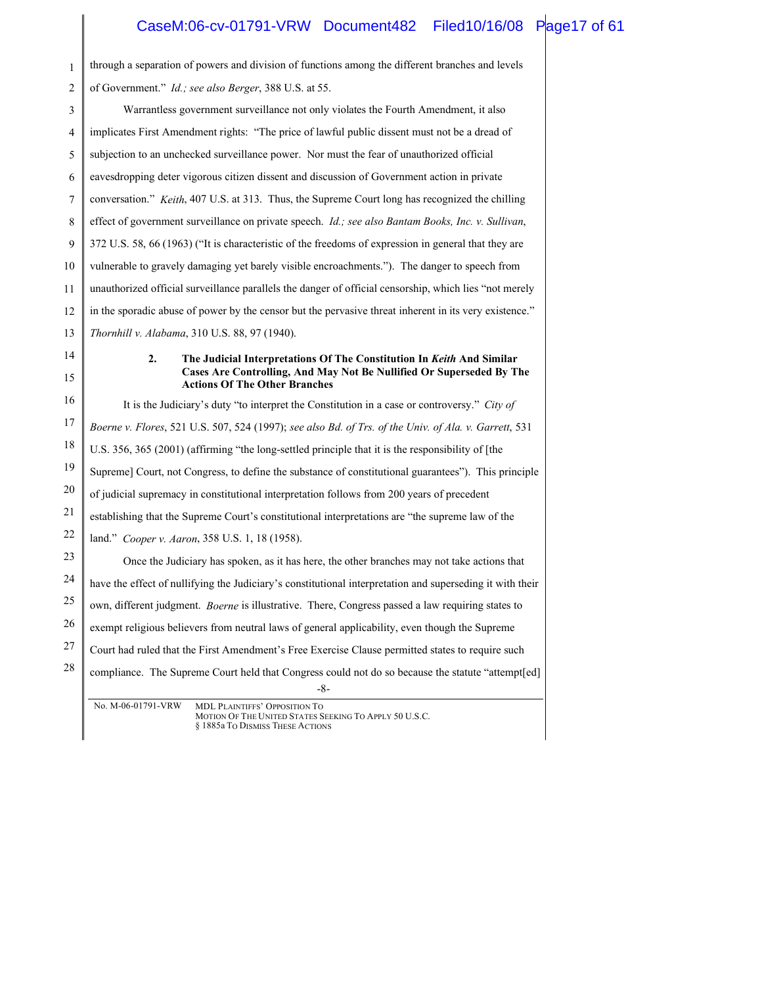### CaseM:06-cv-01791-VRW Document482 Filed10/16/08 Page17 of 61

| $\mathbf{1}$   | through a separation of powers and division of functions among the different branches and levels             |
|----------------|--------------------------------------------------------------------------------------------------------------|
| $\overline{c}$ | of Government." <i>Id.</i> ; see also Berger, 388 U.S. at 55.                                                |
| 3              | Warrantless government surveillance not only violates the Fourth Amendment, it also                          |
| $\overline{4}$ | implicates First Amendment rights: "The price of lawful public dissent must not be a dread of                |
| 5              | subjection to an unchecked surveillance power. Nor must the fear of unauthorized official                    |
| 6              | eavesdropping deter vigorous citizen dissent and discussion of Government action in private                  |
| 7              | conversation." <i>Keith</i> , 407 U.S. at 313. Thus, the Supreme Court long has recognized the chilling      |
| 8              | effect of government surveillance on private speech. <i>Id.; see also Bantam Books, Inc. v. Sullivan</i> ,   |
| 9              | 372 U.S. 58, 66 (1963) ("It is characteristic of the freedoms of expression in general that they are         |
| 10             | vulnerable to gravely damaging yet barely visible encroachments."). The danger to speech from                |
| 11             | unauthorized official surveillance parallels the danger of official censorship, which lies "not merely       |
| 12             | in the sporadic abuse of power by the censor but the pervasive threat inherent in its very existence."       |
| 13             | Thornhill v. Alabama, 310 U.S. 88, 97 (1940).                                                                |
| 14             | 2.<br>The Judicial Interpretations Of The Constitution In Keith And Similar                                  |
| 15             | Cases Are Controlling, And May Not Be Nullified Or Superseded By The<br><b>Actions Of The Other Branches</b> |
| 16             | It is the Judiciary's duty "to interpret the Constitution in a case or controversy." City of                 |
| 17             | Boerne v. Flores, 521 U.S. 507, 524 (1997); see also Bd. of Trs. of the Univ. of Ala. v. Garrett, 531        |
| 18             | U.S. 356, 365 (2001) (affirming "the long-settled principle that it is the responsibility of [the            |
| 19             | Supreme] Court, not Congress, to define the substance of constitutional guarantees"). This principle         |
| 20             | of judicial supremacy in constitutional interpretation follows from 200 years of precedent                   |
| 21             | establishing that the Supreme Court's constitutional interpretations are "the supreme law of the             |
| 22             | land." <i>Cooper v. Aaron</i> , 358 U.S. 1, 18 (1958).                                                       |
| 23             | Once the Judiciary has spoken, as it has here, the other branches may not take actions that                  |
| 24             | have the effect of nullifying the Judiciary's constitutional interpretation and superseding it with their    |
| 25             | own, different judgment. <i>Boerne</i> is illustrative. There, Congress passed a law requiring states to     |
| 26             | exempt religious believers from neutral laws of general applicability, even though the Supreme               |
| 27             | Court had ruled that the First Amendment's Free Exercise Clause permitted states to require such             |
| 28             | compliance. The Supreme Court held that Congress could not do so because the statute "attempt[ed]<br>$-8-$   |
|                | $M = M \Omega C 0.1701 M \text{mW}$<br>$\sim$ $\sim$ $\sim$                                                  |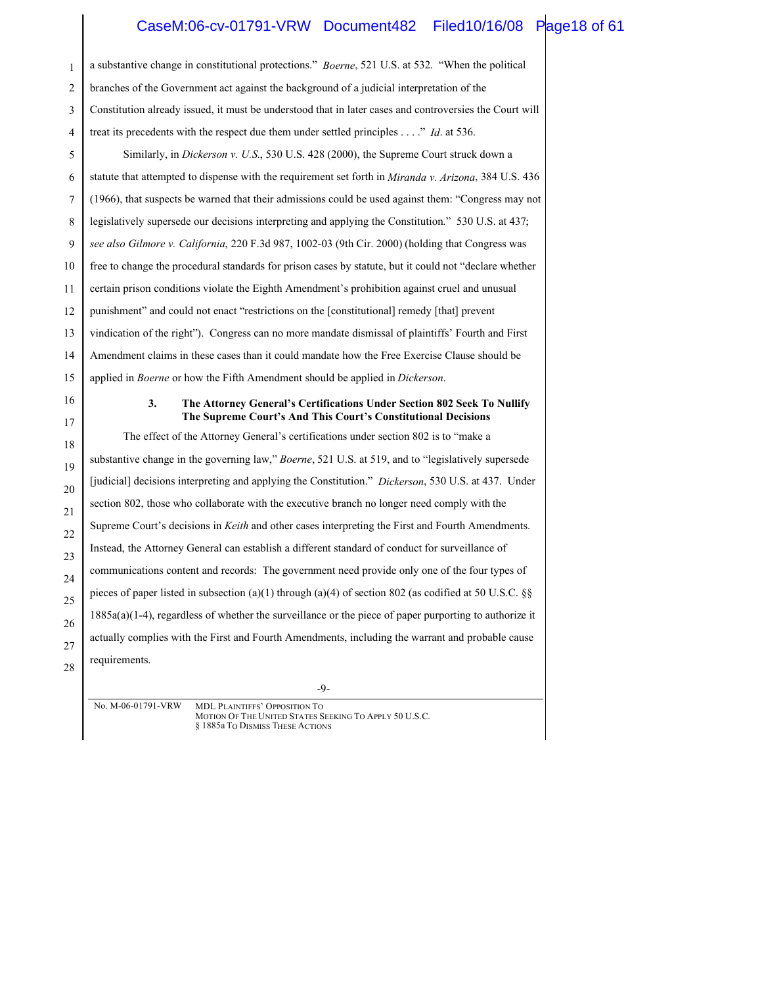### CaseM:06-cv-01791-VRW Document482 Filed10/16/08 Page18 of 61

| 1        | a substantive change in constitutional protections." <i>Boerne</i> , 521 U.S. at 532. "When the political                                      |
|----------|------------------------------------------------------------------------------------------------------------------------------------------------|
| 2        | branches of the Government act against the background of a judicial interpretation of the                                                      |
| 3        | Constitution already issued, it must be understood that in later cases and controversies the Court will                                        |
| 4        | treat its precedents with the respect due them under settled principles" Id. at 536.                                                           |
| 5        | Similarly, in Dickerson v. U.S., 530 U.S. 428 (2000), the Supreme Court struck down a                                                          |
| 6        | statute that attempted to dispense with the requirement set forth in <i>Miranda v. Arizona</i> , 384 U.S. 436                                  |
| 7        | (1966), that suspects be warned that their admissions could be used against them: "Congress may not                                            |
| 8        | legislatively supersede our decisions interpreting and applying the Constitution." 530 U.S. at 437.                                            |
| 9        | see also Gilmore v. California, 220 F.3d 987, 1002-03 (9th Cir. 2000) (holding that Congress was                                               |
| 10       | free to change the procedural standards for prison cases by statute, but it could not "declare whether                                         |
| 11       | certain prison conditions violate the Eighth Amendment's prohibition against cruel and unusual                                                 |
| 12       | punishment" and could not enact "restrictions on the [constitutional] remedy [that] prevent                                                    |
| 13       | vindication of the right"). Congress can no more mandate dismissal of plaintiffs' Fourth and First                                             |
| 14       | Amendment claims in these cases than it could mandate how the Free Exercise Clause should be                                                   |
| 15       | applied in <i>Boerne</i> or how the Fifth Amendment should be applied in <i>Dickerson</i> .                                                    |
| 16<br>17 | 3.<br>The Attorney General's Certifications Under Section 802 Seek To Nullify<br>The Supreme Court's And This Court's Constitutional Decisions |
| 18       | The effect of the Attorney General's certifications under section 802 is to "make a                                                            |
| 19       | substantive change in the governing law," Boerne, 521 U.S. at 519, and to "legislatively supersede                                             |
| 20       | [judicial] decisions interpreting and applying the Constitution." Dickerson, 530 U.S. at 437. Under                                            |
| 21       | section 802, those who collaborate with the executive branch no longer need comply with the                                                    |
| 22       | Supreme Court's decisions in <i>Keith</i> and other cases interpreting the First and Fourth Amendments.                                        |
| 23       | Instead, the Attorney General can establish a different standard of conduct for surveillance of                                                |
| 24       | communications content and records: The government need provide only one of the four types of                                                  |
| 25       | pieces of paper listed in subsection (a)(1) through (a)(4) of section 802 (as codified at 50 U.S.C. §§                                         |
| 26       | $1885a(a)(1-4)$ , regardless of whether the surveillance or the piece of paper purporting to authorize it                                      |
| 27       | actually complies with the First and Fourth Amendments, including the warrant and probable cause                                               |
| 28       | requirements.                                                                                                                                  |

-9-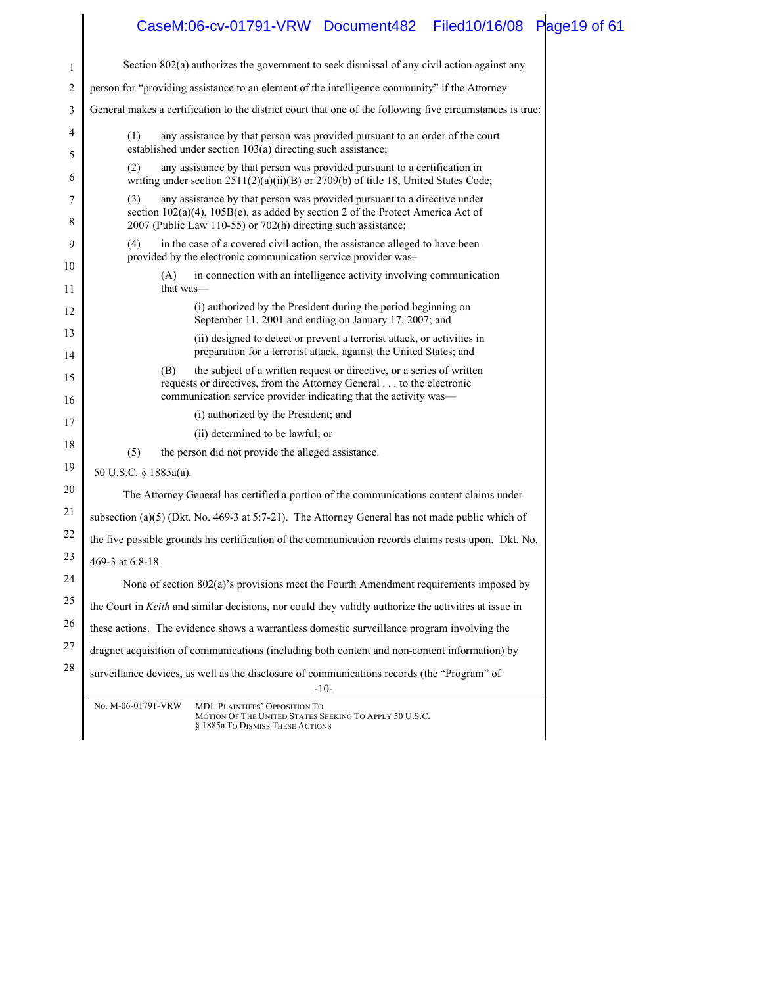|          | CaseM:06-cv-01791-VRW Document482 Filed10/16/08 Page19 of 61                                                                                                                                                                              |
|----------|-------------------------------------------------------------------------------------------------------------------------------------------------------------------------------------------------------------------------------------------|
| 1        | Section 802(a) authorizes the government to seek dismissal of any civil action against any                                                                                                                                                |
| 2        | person for "providing assistance to an element of the intelligence community" if the Attorney                                                                                                                                             |
| 3        | General makes a certification to the district court that one of the following five circumstances is true:                                                                                                                                 |
| 4        | any assistance by that person was provided pursuant to an order of the court<br>(1)                                                                                                                                                       |
| 5        | established under section 103(a) directing such assistance;                                                                                                                                                                               |
| 6        | any assistance by that person was provided pursuant to a certification in<br>(2)<br>writing under section $2511(2)(a)(ii)(B)$ or $2709(b)$ of title 18, United States Code;                                                               |
| 7<br>8   | any assistance by that person was provided pursuant to a directive under<br>(3)<br>section $102(a)(4)$ , $105B(e)$ , as added by section 2 of the Protect America Act of<br>2007 (Public Law 110-55) or 702(h) directing such assistance; |
| 9        | in the case of a covered civil action, the assistance alleged to have been<br>(4)<br>provided by the electronic communication service provider was-                                                                                       |
| 10<br>11 | in connection with an intelligence activity involving communication<br>(A)<br>that was—                                                                                                                                                   |
| 12       | (i) authorized by the President during the period beginning on<br>September 11, 2001 and ending on January 17, 2007; and                                                                                                                  |
| 13<br>14 | (ii) designed to detect or prevent a terrorist attack, or activities in<br>preparation for a terrorist attack, against the United States; and                                                                                             |
| 15       | (B)<br>the subject of a written request or directive, or a series of written<br>requests or directives, from the Attorney General to the electronic<br>communication service provider indicating that the activity was-                   |
| 16       | (i) authorized by the President; and                                                                                                                                                                                                      |
| 17       | (ii) determined to be lawful; or                                                                                                                                                                                                          |
| 18       | (5)<br>the person did not provide the alleged assistance.                                                                                                                                                                                 |
| 19       | 50 U.S.C. § 1885a(a).                                                                                                                                                                                                                     |
| 20       | The Attorney General has certified a portion of the communications content claims under                                                                                                                                                   |
| 21       | subsection (a)(5) (Dkt. No. 469-3 at 5:7-21). The Attorney General has not made public which of                                                                                                                                           |
| 22       | the five possible grounds his certification of the communication records claims rests upon. Dkt. No.                                                                                                                                      |
| 23       | 469-3 at 6:8-18.                                                                                                                                                                                                                          |
| 24       | None of section 802(a)'s provisions meet the Fourth Amendment requirements imposed by                                                                                                                                                     |
| 25       | the Court in Keith and similar decisions, nor could they validly authorize the activities at issue in                                                                                                                                     |
| 26       | these actions. The evidence shows a warrantless domestic surveillance program involving the                                                                                                                                               |
| 27       | dragnet acquisition of communications (including both content and non-content information) by                                                                                                                                             |
| 28       | surveillance devices, as well as the disclosure of communications records (the "Program" of                                                                                                                                               |
|          | $-10-$<br>No. M-06-01791-VRW                                                                                                                                                                                                              |
|          | MDL PLAINTIFFS' OPPOSITION TO<br>MOTION OF THE UNITED STATES SEEKING TO APPLY 50 U.S.C.<br>§ 1885a To DISMISS THESE ACTIONS                                                                                                               |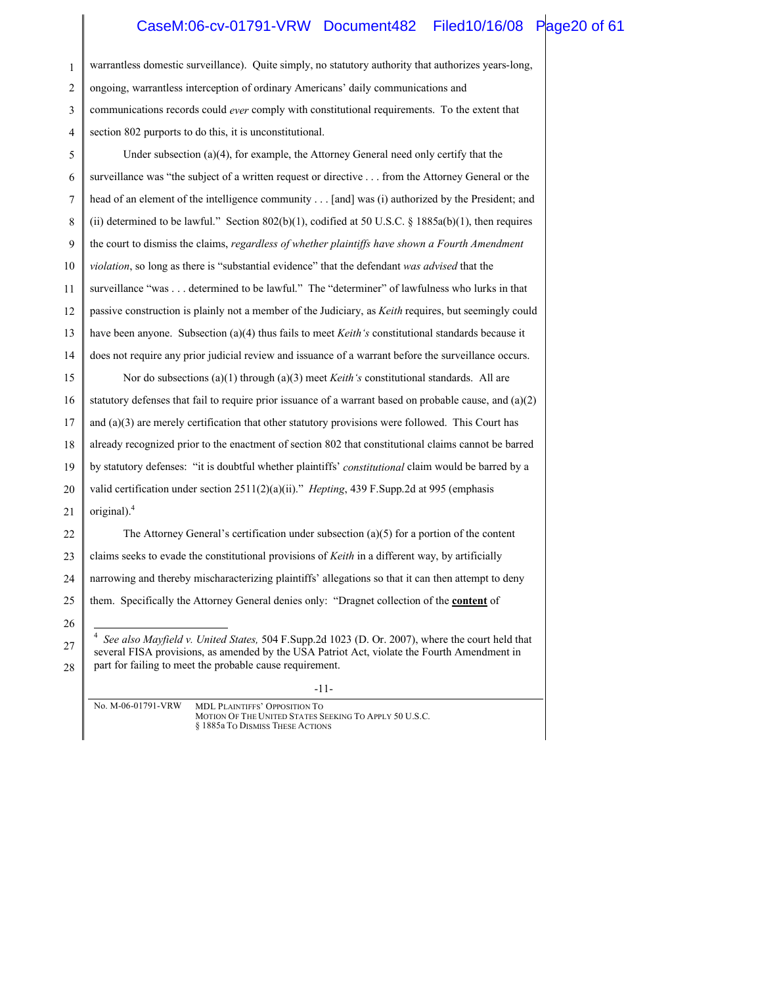#### CaseM:06-cv-01791-VRW Document482 Filed10/16/08 Page20 of 61

| $\mathbf{1}$ | warrantless domestic surveillance). Quite simply, no statutory authority that authorizes years-long,                                                                                                                                                       |
|--------------|------------------------------------------------------------------------------------------------------------------------------------------------------------------------------------------------------------------------------------------------------------|
| 2            | ongoing, warrantless interception of ordinary Americans' daily communications and                                                                                                                                                                          |
| 3            | communications records could ever comply with constitutional requirements. To the extent that                                                                                                                                                              |
| 4            | section 802 purports to do this, it is unconstitutional.                                                                                                                                                                                                   |
| 5            | Under subsection $(a)(4)$ , for example, the Attorney General need only certify that the                                                                                                                                                                   |
| 6            | surveillance was "the subject of a written request or directive from the Attorney General or the                                                                                                                                                           |
| 7            | head of an element of the intelligence community [and] was (i) authorized by the President; and                                                                                                                                                            |
| 8            | (ii) determined to be lawful." Section 802(b)(1), codified at 50 U.S.C. § 1885a(b)(1), then requires                                                                                                                                                       |
| 9            | the court to dismiss the claims, regardless of whether plaintiffs have shown a Fourth Amendment                                                                                                                                                            |
| 10           | violation, so long as there is "substantial evidence" that the defendant was advised that the                                                                                                                                                              |
| 11           | surveillance "was determined to be lawful." The "determiner" of lawfulness who lurks in that                                                                                                                                                               |
| 12           | passive construction is plainly not a member of the Judiciary, as Keith requires, but seemingly could                                                                                                                                                      |
| 13           | have been anyone. Subsection (a)(4) thus fails to meet Keith's constitutional standards because it                                                                                                                                                         |
| 14           | does not require any prior judicial review and issuance of a warrant before the surveillance occurs.                                                                                                                                                       |
| 15           | Nor do subsections (a)(1) through (a)(3) meet <i>Keith's</i> constitutional standards. All are                                                                                                                                                             |
| 16           | statutory defenses that fail to require prior issuance of a warrant based on probable cause, and $(a)(2)$                                                                                                                                                  |
| 17           | and $(a)(3)$ are merely certification that other statutory provisions were followed. This Court has                                                                                                                                                        |
| 18           | already recognized prior to the enactment of section 802 that constitutional claims cannot be barred                                                                                                                                                       |
| 19           | by statutory defenses: "it is doubtful whether plaintiffs' constitutional claim would be barred by a                                                                                                                                                       |
| 20           | valid certification under section 2511(2)(a)(ii)." Hepting, 439 F.Supp.2d at 995 (emphasis                                                                                                                                                                 |
| 21           | original). $4$                                                                                                                                                                                                                                             |
| 22           | The Attorney General's certification under subsection $(a)(5)$ for a portion of the content                                                                                                                                                                |
| 23           | claims seeks to evade the constitutional provisions of Keith in a different way, by artificially                                                                                                                                                           |
| 24           | narrowing and thereby mischaracterizing plaintiffs' allegations so that it can then attempt to deny                                                                                                                                                        |
| 25           | them. Specifically the Attorney General denies only: "Dragnet collection of the <b>content</b> of                                                                                                                                                          |
| 26           |                                                                                                                                                                                                                                                            |
| 27           | See also Mayfield v. United States, 504 F.Supp.2d 1023 (D. Or. 2007), where the court held that<br>several FISA provisions, as amended by the USA Patriot Act, violate the Fourth Amendment in<br>part for failing to meet the probable cause requirement. |
| 28           |                                                                                                                                                                                                                                                            |

-11-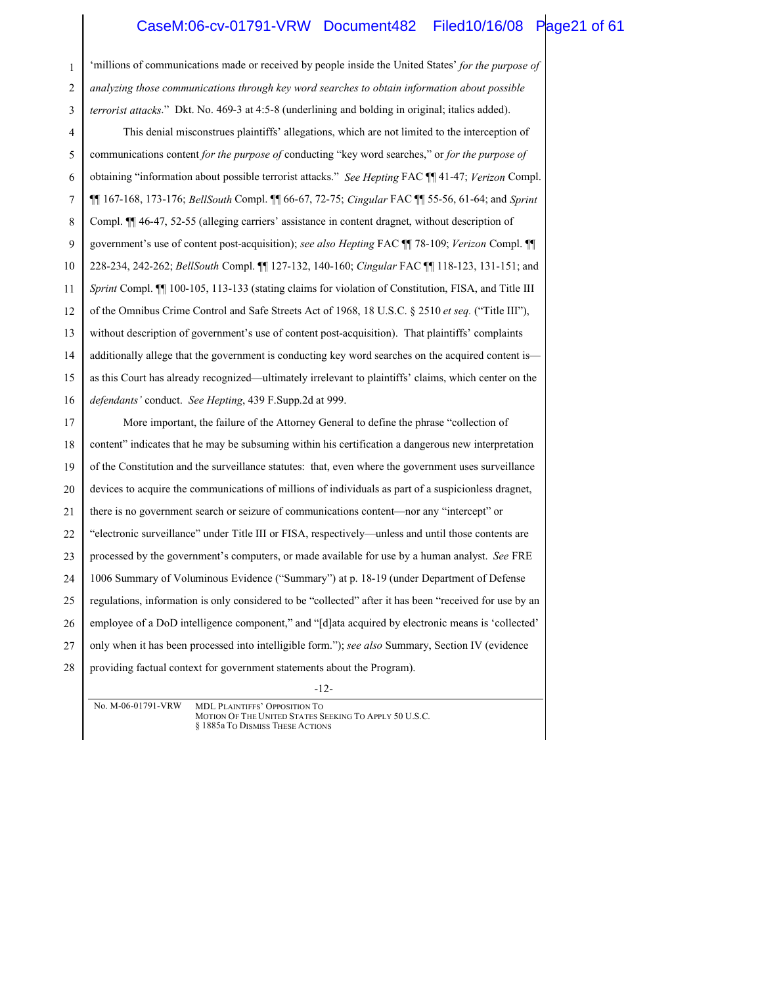#### CaseM:06-cv-01791-VRW Document482 Filed10/16/08 Page21 of 61

-12- 1 2 3 4 5 6 7 8 9 10 11 12 13 14 15 16 17 18 19 20 21 22 23 24 25 26 27 28 'millions of communications made or received by people inside the United States' *for the purpose of analyzing those communications through key word searches to obtain information about possible terrorist attacks*." Dkt. No. 469-3 at 4:5-8 (underlining and bolding in original; italics added). This denial misconstrues plaintiffs' allegations, which are not limited to the interception of communications content *for the purpose of* conducting "key word searches," or *for the purpose of* obtaining "information about possible terrorist attacks." *See Hepting* FAC ¶¶ 41-47; *Verizon* Compl. ¶¶ 167-168, 173-176; *BellSouth* Compl. ¶¶ 66-67, 72-75; *Cingular* FAC ¶¶ 55-56, 61-64; and *Sprint* Compl. ¶¶ 46-47, 52-55 (alleging carriers' assistance in content dragnet, without description of government's use of content post-acquisition); *see also Hepting* FAC ¶¶ 78-109; *Verizon* Compl. ¶¶ 228-234, 242-262; *BellSouth* Compl. ¶¶ 127-132, 140-160; *Cingular* FAC ¶¶ 118-123, 131-151; and *Sprint* Compl. ¶¶ 100-105, 113-133 (stating claims for violation of Constitution, FISA, and Title III of the Omnibus Crime Control and Safe Streets Act of 1968, 18 U.S.C. § 2510 *et seq.* ("Title III"), without description of government's use of content post-acquisition). That plaintiffs' complaints additionally allege that the government is conducting key word searches on the acquired content is as this Court has already recognized—ultimately irrelevant to plaintiffs' claims, which center on the *defendants'* conduct. *See Hepting*, 439 F.Supp.2d at 999. More important, the failure of the Attorney General to define the phrase "collection of content" indicates that he may be subsuming within his certification a dangerous new interpretation of the Constitution and the surveillance statutes: that, even where the government uses surveillance devices to acquire the communications of millions of individuals as part of a suspicionless dragnet, there is no government search or seizure of communications content—nor any "intercept" or "electronic surveillance" under Title III or FISA, respectively—unless and until those contents are processed by the government's computers, or made available for use by a human analyst. *See* FRE 1006 Summary of Voluminous Evidence ("Summary") at p. 18-19 (under Department of Defense regulations, information is only considered to be "collected" after it has been "received for use by an employee of a DoD intelligence component," and "[d]ata acquired by electronic means is 'collected' only when it has been processed into intelligible form."); *see also* Summary, Section IV (evidence providing factual context for government statements about the Program).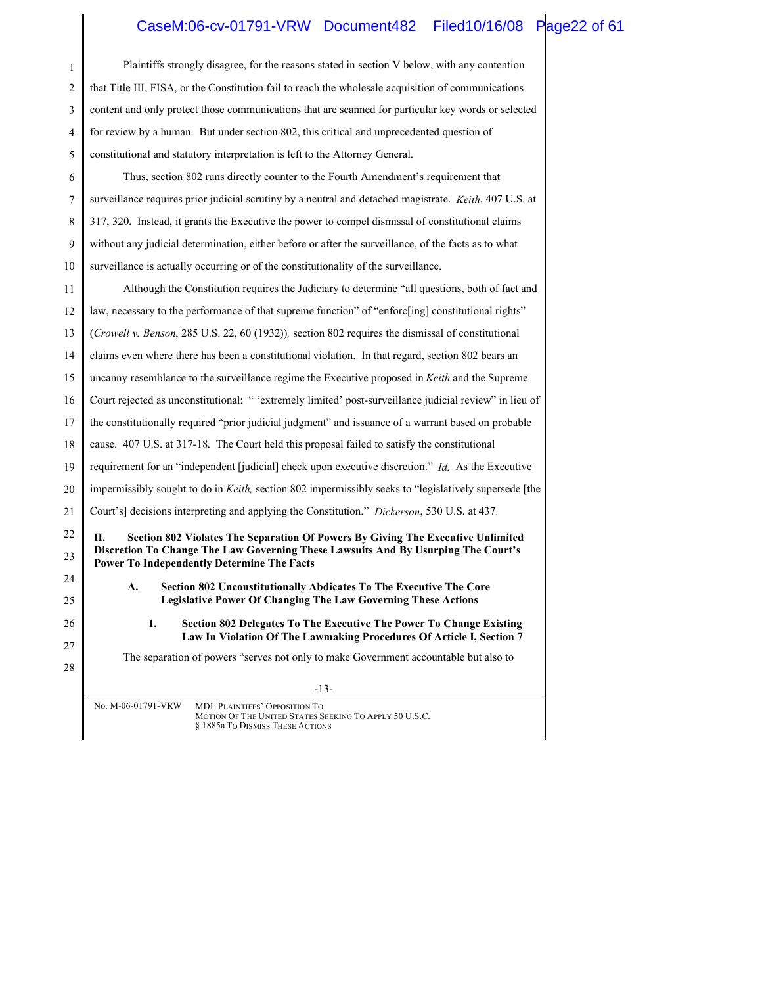## CaseM:06-cv-01791-VRW Document482 Filed10/16/08 Page22 of 61

| 1  | Plaintiffs strongly disagree, for the reasons stated in section V below, with any contention                                                             |
|----|----------------------------------------------------------------------------------------------------------------------------------------------------------|
| 2  | that Title III, FISA, or the Constitution fail to reach the wholesale acquisition of communications                                                      |
| 3  | content and only protect those communications that are scanned for particular key words or selected                                                      |
| 4  | for review by a human. But under section 802, this critical and unprecedented question of                                                                |
| 5  | constitutional and statutory interpretation is left to the Attorney General.                                                                             |
| 6  | Thus, section 802 runs directly counter to the Fourth Amendment's requirement that                                                                       |
| 7  | surveillance requires prior judicial scrutiny by a neutral and detached magistrate. Keith, 407 U.S. at                                                   |
| 8  | 317, 320. Instead, it grants the Executive the power to compel dismissal of constitutional claims                                                        |
| 9  | without any judicial determination, either before or after the surveillance, of the facts as to what                                                     |
| 10 | surveillance is actually occurring or of the constitutionality of the surveillance.                                                                      |
| 11 | Although the Constitution requires the Judiciary to determine "all questions, both of fact and                                                           |
| 12 | law, necessary to the performance of that supreme function" of "enforc[ing] constitutional rights"                                                       |
| 13 | (Crowell v. Benson, 285 U.S. 22, 60 (1932)), section 802 requires the dismissal of constitutional                                                        |
| 14 | claims even where there has been a constitutional violation. In that regard, section 802 bears an                                                        |
| 15 | uncanny resemblance to the surveillance regime the Executive proposed in Keith and the Supreme                                                           |
| 16 | Court rejected as unconstitutional: "'extremely limited' post-surveillance judicial review" in lieu of                                                   |
| 17 | the constitutionally required "prior judicial judgment" and issuance of a warrant based on probable                                                      |
| 18 | cause. 407 U.S. at 317-18. The Court held this proposal failed to satisfy the constitutional                                                             |
| 19 | requirement for an "independent [judicial] check upon executive discretion." Id. As the Executive                                                        |
| 20 | impermissibly sought to do in Keith, section 802 impermissibly seeks to "legislatively supersede [the                                                    |
| 21 | Court's] decisions interpreting and applying the Constitution." Dickerson, 530 U.S. at 437.                                                              |
| 22 | Section 802 Violates The Separation Of Powers By Giving The Executive Unlimited<br>Н.                                                                    |
| 23 | Discretion To Change The Law Governing These Lawsuits And By Usurping The Court's<br><b>Power To Independently Determine The Facts</b>                   |
| 24 | А.<br>Section 802 Unconstitutionally Abdicates To The Executive The Core                                                                                 |
| 25 | <b>Legislative Power Of Changing The Law Governing These Actions</b>                                                                                     |
| 26 | 1.<br><b>Section 802 Delegates To The Executive The Power To Change Existing</b><br>Law In Violation Of The Lawmaking Procedures Of Article I, Section 7 |
| 27 | The separation of powers "serves not only to make Government accountable but also to                                                                     |
| 28 |                                                                                                                                                          |
|    | $-13-$                                                                                                                                                   |
|    | No. M-06-01791-VRW<br><b>MDL PLAINTIFFS' OPPOSITION TO</b><br>MOTION OF THE UNITED STATES SEEKING TO APPLY 50 U.S.C.<br>§ 1885a To DISMISS THESE ACTIONS |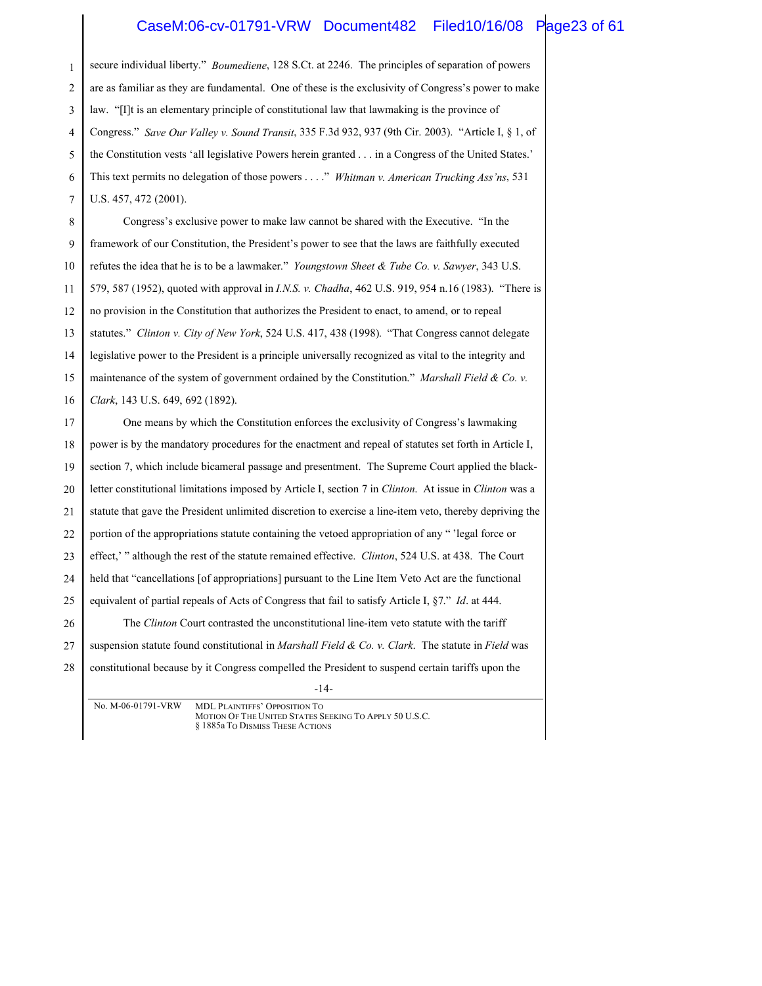#### CaseM:06-cv-01791-VRW Document482 Filed10/16/08 Page23 of 61

1 2 3 4 5 6 7 secure individual liberty." *Boumediene*, 128 S.Ct. at 2246. The principles of separation of powers are as familiar as they are fundamental. One of these is the exclusivity of Congress's power to make law. "[I]t is an elementary principle of constitutional law that lawmaking is the province of Congress." *Save Our Valley v. Sound Transit*, 335 F.3d 932, 937 (9th Cir. 2003). "Article I, § 1, of the Constitution vests 'all legislative Powers herein granted . . . in a Congress of the United States.' This text permits no delegation of those powers . . . ." *Whitman v. American Trucking Ass'ns*, 531 U.S. 457, 472 (2001).

8 9 10 11 12 13 14 15 16 Congress's exclusive power to make law cannot be shared with the Executive. "In the framework of our Constitution, the President's power to see that the laws are faithfully executed refutes the idea that he is to be a lawmaker." *Youngstown Sheet & Tube Co. v. Sawyer*, 343 U.S. 579, 587 (1952), quoted with approval in *I.N.S. v. Chadha*, 462 U.S. 919, 954 n.16 (1983). "There is no provision in the Constitution that authorizes the President to enact, to amend, or to repeal statutes." *Clinton v. City of New York*, 524 U.S. 417, 438 (1998). "That Congress cannot delegate legislative power to the President is a principle universally recognized as vital to the integrity and maintenance of the system of government ordained by the Constitution." *Marshall Field & Co. v. Clark*, 143 U.S. 649, 692 (1892).

-14- 17 18 19 20 21 22 23 24 25 26 27 28 One means by which the Constitution enforces the exclusivity of Congress's lawmaking power is by the mandatory procedures for the enactment and repeal of statutes set forth in Article I, section 7, which include bicameral passage and presentment. The Supreme Court applied the blackletter constitutional limitations imposed by Article I, section 7 in *Clinton*. At issue in *Clinton* was a statute that gave the President unlimited discretion to exercise a line-item veto, thereby depriving the portion of the appropriations statute containing the vetoed appropriation of any " 'legal force or effect,' " although the rest of the statute remained effective. *Clinton*, 524 U.S. at 438. The Court held that "cancellations [of appropriations] pursuant to the Line Item Veto Act are the functional equivalent of partial repeals of Acts of Congress that fail to satisfy Article I, §7." *Id*. at 444. The *Clinton* Court contrasted the unconstitutional line-item veto statute with the tariff suspension statute found constitutional in *Marshall Field & Co. v. Clark*. The statute in *Field* was constitutional because by it Congress compelled the President to suspend certain tariffs upon the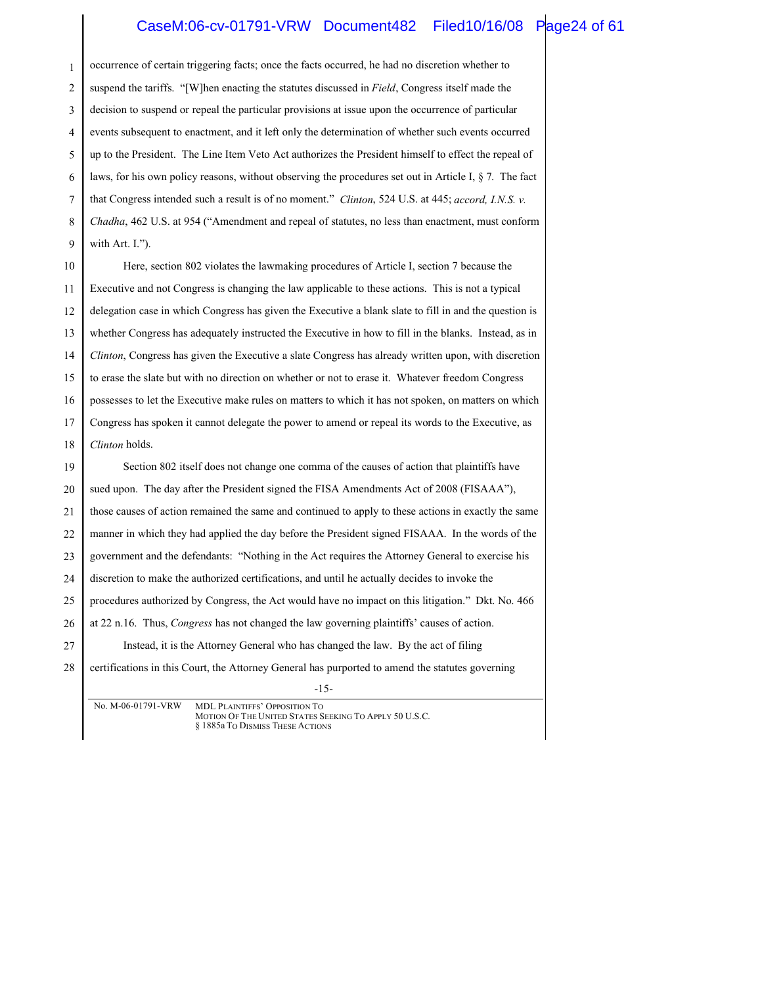### CaseM:06-cv-01791-VRW Document482 Filed10/16/08 Page24 of 61

1 2 3 4 5 6 7 8 9 10 11 12 13 occurrence of certain triggering facts; once the facts occurred, he had no discretion whether to suspend the tariffs. "[W]hen enacting the statutes discussed in *Field*, Congress itself made the decision to suspend or repeal the particular provisions at issue upon the occurrence of particular events subsequent to enactment, and it left only the determination of whether such events occurred up to the President. The Line Item Veto Act authorizes the President himself to effect the repeal of laws, for his own policy reasons, without observing the procedures set out in Article I, § 7. The fact that Congress intended such a result is of no moment." *Clinton*, 524 U.S. at 445; *accord, I.N.S. v. Chadha*, 462 U.S. at 954 ("Amendment and repeal of statutes, no less than enactment, must conform with Art. I."). Here, section 802 violates the lawmaking procedures of Article I, section 7 because the Executive and not Congress is changing the law applicable to these actions. This is not a typical delegation case in which Congress has given the Executive a blank slate to fill in and the question is whether Congress has adequately instructed the Executive in how to fill in the blanks. Instead, as in

14 15 16 17 *Clinton*, Congress has given the Executive a slate Congress has already written upon, with discretion to erase the slate but with no direction on whether or not to erase it. Whatever freedom Congress possesses to let the Executive make rules on matters to which it has not spoken, on matters on which Congress has spoken it cannot delegate the power to amend or repeal its words to the Executive, as

-15- 18 19 20 21 22 23 24 25 26 27 28 *Clinton* holds. Section 802 itself does not change one comma of the causes of action that plaintiffs have sued upon. The day after the President signed the FISA Amendments Act of 2008 (FISAAA"), those causes of action remained the same and continued to apply to these actions in exactly the same manner in which they had applied the day before the President signed FISAAA. In the words of the government and the defendants: "Nothing in the Act requires the Attorney General to exercise his discretion to make the authorized certifications, and until he actually decides to invoke the procedures authorized by Congress, the Act would have no impact on this litigation." Dkt. No. 466 at 22 n.16. Thus, *Congress* has not changed the law governing plaintiffs' causes of action. Instead, it is the Attorney General who has changed the law. By the act of filing certifications in this Court, the Attorney General has purported to amend the statutes governing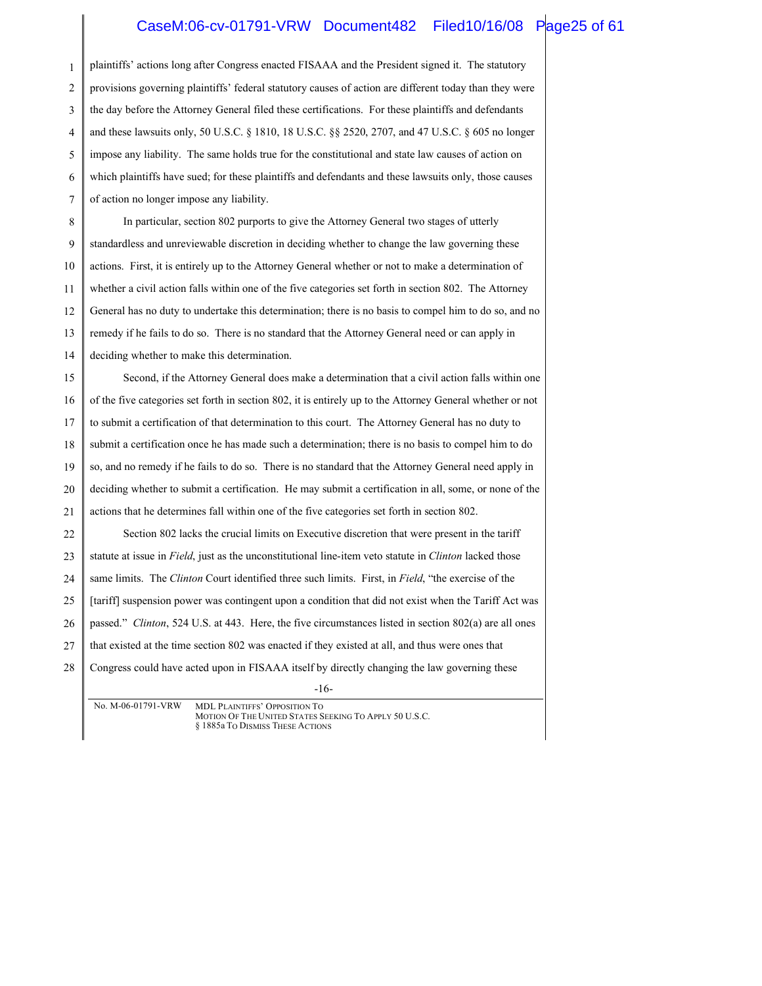#### CaseM:06-cv-01791-VRW Document482 Filed10/16/08 Page25 of 61

1 2 3 4 5 6 7 plaintiffs' actions long after Congress enacted FISAAA and the President signed it. The statutory provisions governing plaintiffs' federal statutory causes of action are different today than they were the day before the Attorney General filed these certifications. For these plaintiffs and defendants and these lawsuits only, 50 U.S.C. § 1810, 18 U.S.C. §§ 2520, 2707, and 47 U.S.C. § 605 no longer impose any liability. The same holds true for the constitutional and state law causes of action on which plaintiffs have sued; for these plaintiffs and defendants and these lawsuits only, those causes of action no longer impose any liability.

8 9 10 11 12 13 14 In particular, section 802 purports to give the Attorney General two stages of utterly standardless and unreviewable discretion in deciding whether to change the law governing these actions. First, it is entirely up to the Attorney General whether or not to make a determination of whether a civil action falls within one of the five categories set forth in section 802. The Attorney General has no duty to undertake this determination; there is no basis to compel him to do so, and no remedy if he fails to do so. There is no standard that the Attorney General need or can apply in deciding whether to make this determination.

15 16 17 18 19 20 21 22 23 24 25 26 27 Second, if the Attorney General does make a determination that a civil action falls within one of the five categories set forth in section 802, it is entirely up to the Attorney General whether or not to submit a certification of that determination to this court. The Attorney General has no duty to submit a certification once he has made such a determination; there is no basis to compel him to do so, and no remedy if he fails to do so. There is no standard that the Attorney General need apply in deciding whether to submit a certification. He may submit a certification in all, some, or none of the actions that he determines fall within one of the five categories set forth in section 802. Section 802 lacks the crucial limits on Executive discretion that were present in the tariff statute at issue in *Field*, just as the unconstitutional line-item veto statute in *Clinton* lacked those same limits. The *Clinton* Court identified three such limits. First, in *Field*, "the exercise of the [tariff] suspension power was contingent upon a condition that did not exist when the Tariff Act was passed." *Clinton*, 524 U.S. at 443. Here, the five circumstances listed in section 802(a) are all ones that existed at the time section 802 was enacted if they existed at all, and thus were ones that

28 Congress could have acted upon in FISAAA itself by directly changing the law governing these

-16-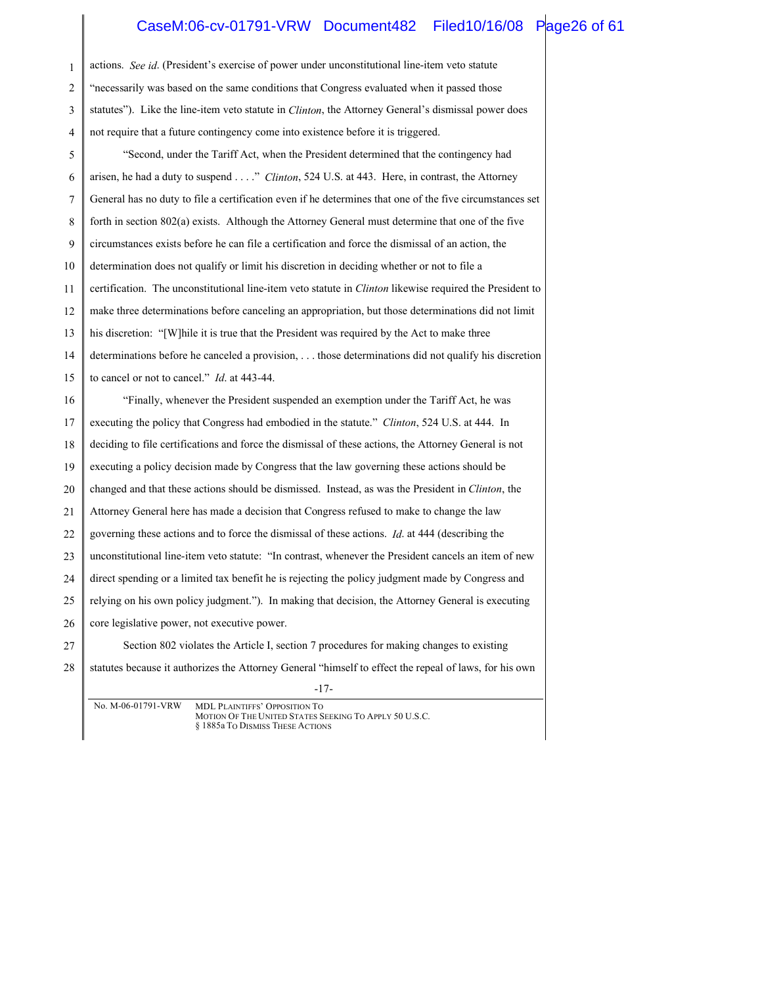### CaseM:06-cv-01791-VRW Document482 Filed10/16/08 Page26 of 61

| 1  | actions. See id. (President's exercise of power under unconstitutional line-item veto statute                   |  |
|----|-----------------------------------------------------------------------------------------------------------------|--|
| 2  | "necessarily was based on the same conditions that Congress evaluated when it passed those                      |  |
| 3  | statutes"). Like the line-item veto statute in <i>Clinton</i> , the Attorney General's dismissal power does     |  |
| 4  | not require that a future contingency come into existence before it is triggered.                               |  |
| 5  | "Second, under the Tariff Act, when the President determined that the contingency had                           |  |
| 6  | arisen, he had a duty to suspend" Clinton, 524 U.S. at 443. Here, in contrast, the Attorney                     |  |
| 7  | General has no duty to file a certification even if he determines that one of the five circumstances set        |  |
| 8  | forth in section 802(a) exists. Although the Attorney General must determine that one of the five               |  |
| 9  | circumstances exists before he can file a certification and force the dismissal of an action, the               |  |
| 10 | determination does not qualify or limit his discretion in deciding whether or not to file a                     |  |
| 11 | certification. The unconstitutional line-item veto statute in <i>Clinton</i> likewise required the President to |  |
| 12 | make three determinations before canceling an appropriation, but those determinations did not limit             |  |
| 13 | his discretion: "[W] hile it is true that the President was required by the Act to make three                   |  |
| 14 | determinations before he canceled a provision,  those determinations did not qualify his discretion             |  |
| 15 | to cancel or not to cancel." <i>Id.</i> at 443-44.                                                              |  |
| 16 | "Finally, whenever the President suspended an exemption under the Tariff Act, he was                            |  |
| 17 | executing the policy that Congress had embodied in the statute." Clinton, 524 U.S. at 444. In                   |  |
| 18 | deciding to file certifications and force the dismissal of these actions, the Attorney General is not           |  |
| 19 | executing a policy decision made by Congress that the law governing these actions should be                     |  |
| 20 | changed and that these actions should be dismissed. Instead, as was the President in Clinton, the               |  |
| 21 | Attorney General here has made a decision that Congress refused to make to change the law                       |  |
| 22 | governing these actions and to force the dismissal of these actions. <i>Id.</i> at 444 (describing the          |  |
| 23 | unconstitutional line-item veto statute: "In contrast, whenever the President cancels an item of new            |  |
| 24 | direct spending or a limited tax benefit he is rejecting the policy judgment made by Congress and               |  |
| 25 | relying on his own policy judgment."). In making that decision, the Attorney General is executing               |  |
| 26 | core legislative power, not executive power.                                                                    |  |
| 27 | Section 802 violates the Article I, section 7 procedures for making changes to existing                         |  |
| 28 | statutes because it authorizes the Attorney General "himself to effect the repeal of laws, for his own          |  |
|    |                                                                                                                 |  |

-17-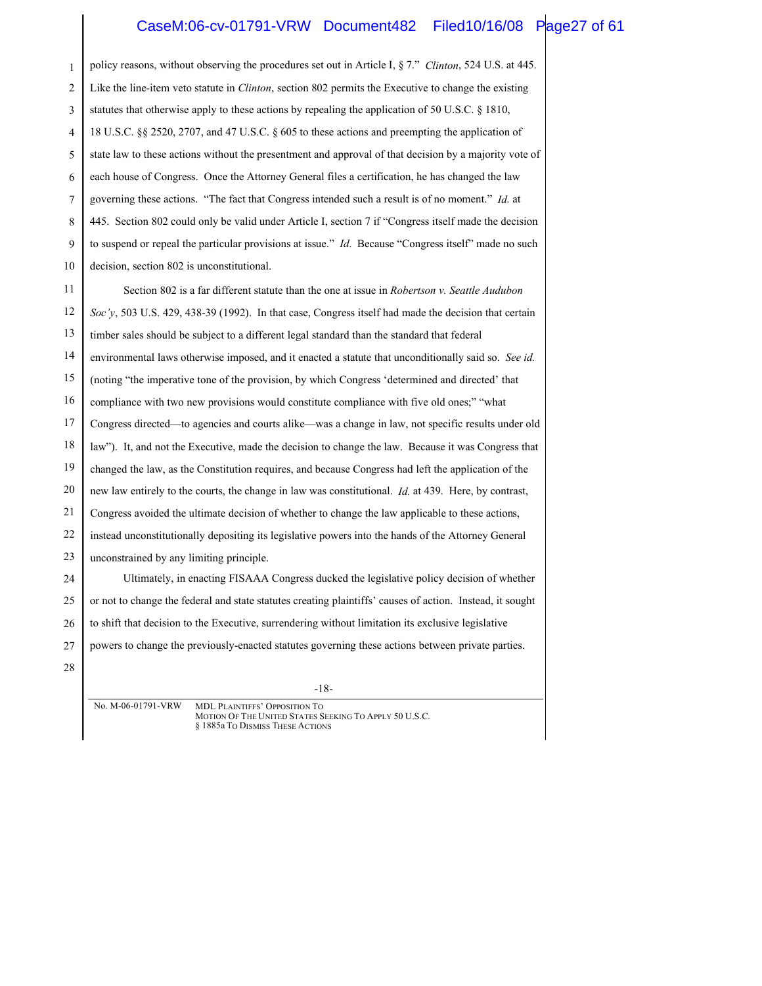#### CaseM:06-cv-01791-VRW Document482 Filed10/16/08 Page27 of 61

| $\mathbf{1}$   | policy reasons, without observing the procedures set out in Article I, § 7." Clinton, 524 U.S. at 445.      |  |
|----------------|-------------------------------------------------------------------------------------------------------------|--|
| $\overline{2}$ | Like the line-item veto statute in Clinton, section 802 permits the Executive to change the existing        |  |
| 3              | statutes that otherwise apply to these actions by repealing the application of 50 U.S.C. $\S$ 1810,         |  |
| $\overline{4}$ | 18 U.S.C. §§ 2520, 2707, and 47 U.S.C. § 605 to these actions and preempting the application of             |  |
| 5              | state law to these actions without the presentment and approval of that decision by a majority vote of      |  |
| 6              | each house of Congress. Once the Attorney General files a certification, he has changed the law             |  |
| 7              | governing these actions. "The fact that Congress intended such a result is of no moment." Id. at            |  |
| 8              | 445. Section 802 could only be valid under Article I, section 7 if "Congress itself made the decision       |  |
| 9              | to suspend or repeal the particular provisions at issue." <i>Id.</i> Because "Congress itself" made no such |  |
| 10             | decision, section 802 is unconstitutional.                                                                  |  |
| 11             | Section 802 is a far different statute than the one at issue in <i>Robertson v. Seattle Audubon</i>         |  |
| 12             | Soc'y, 503 U.S. 429, 438-39 (1992). In that case, Congress itself had made the decision that certain        |  |
| 13             | timber sales should be subject to a different legal standard than the standard that federal                 |  |
| 14             | environmental laws otherwise imposed, and it enacted a statute that unconditionally said so. See id.        |  |
| 15             | (noting "the imperative tone of the provision, by which Congress 'determined and directed' that             |  |
| 16             | compliance with two new provisions would constitute compliance with five old ones;" "what                   |  |
| 17             | Congress directed—to agencies and courts alike—was a change in law, not specific results under old          |  |
| 18             | law"). It, and not the Executive, made the decision to change the law. Because it was Congress that         |  |
| 19             | changed the law, as the Constitution requires, and because Congress had left the application of the         |  |
| 20             | new law entirely to the courts, the change in law was constitutional. <i>Id.</i> at 439. Here, by contrast, |  |
| 21             | Congress avoided the ultimate decision of whether to change the law applicable to these actions,            |  |
| 22             | instead unconstitutionally depositing its legislative powers into the hands of the Attorney General         |  |
| 23             | unconstrained by any limiting principle.                                                                    |  |
| 24             | Ultimately, in enacting FISAAA Congress ducked the legislative policy decision of whether                   |  |
| 25             | or not to change the federal and state statutes creating plaintiffs' causes of action. Instead, it sought   |  |
| 26             | to shift that decision to the Executive, surrendering without limitation its exclusive legislative          |  |
| 27             | powers to change the previously-enacted statutes governing these actions between private parties.           |  |
| 28             |                                                                                                             |  |
|                | 1 <sub>0</sub>                                                                                              |  |

-18-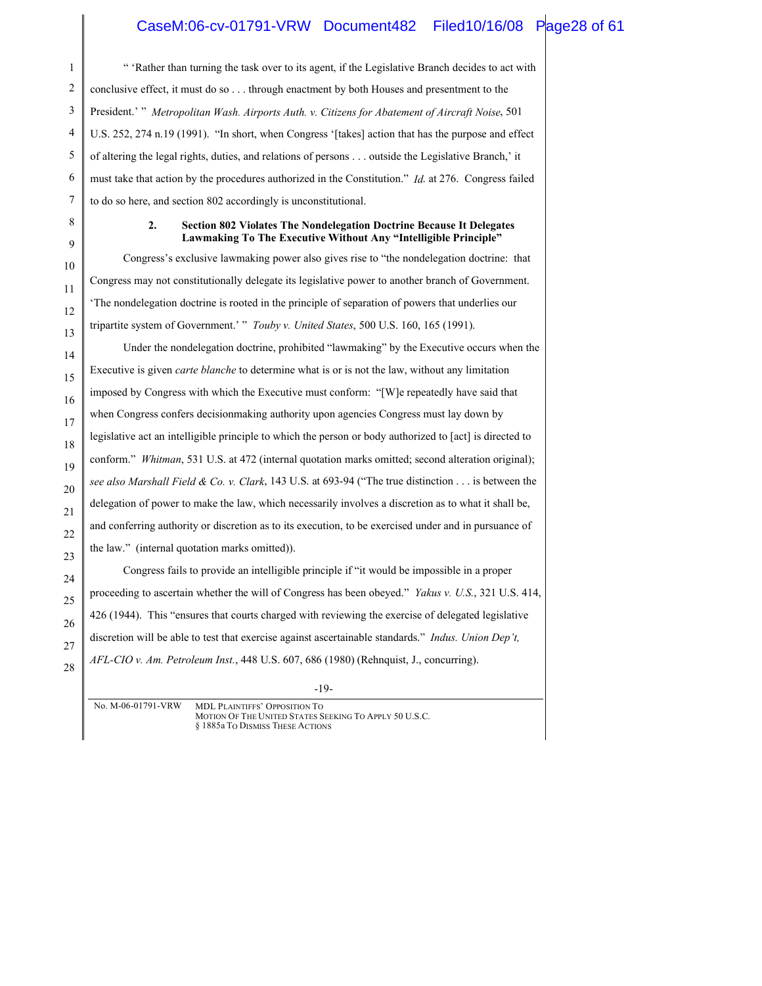### CaseM:06-cv-01791-VRW Document482 Filed10/16/08 Page28 of 61

" 'Rather than turning the task over to its agent, if the Legislative Branch decides to act with conclusive effect, it must do so . . . through enactment by both Houses and presentment to the President.' " *Metropolitan Wash. Airports Auth. v. Citizens for Abatement of Aircraft Noise*, 501 U.S. 252, 274 n.19 (1991). "In short, when Congress '[takes] action that has the purpose and effect of altering the legal rights, duties, and relations of persons . . . outside the Legislative Branch,' it must take that action by the procedures authorized in the Constitution." *Id*. at 276. Congress failed to do so here, and section 802 accordingly is unconstitutional.

#### **2. Section 802 Violates The Nondelegation Doctrine Because It Delegates Lawmaking To The Executive Without Any "Intelligible Principle"**

Congress's exclusive lawmaking power also gives rise to "the nondelegation doctrine: that Congress may not constitutionally delegate its legislative power to another branch of Government. 'The nondelegation doctrine is rooted in the principle of separation of powers that underlies our tripartite system of Government.' " *Touby v. United States*, 500 U.S. 160, 165 (1991).

Under the nondelegation doctrine, prohibited "lawmaking" by the Executive occurs when the Executive is given *carte blanche* to determine what is or is not the law, without any limitation imposed by Congress with which the Executive must conform: "[W]e repeatedly have said that when Congress confers decisionmaking authority upon agencies Congress must lay down by legislative act an intelligible principle to which the person or body authorized to [act] is directed to conform." *Whitman*, 531 U.S. at 472 (internal quotation marks omitted; second alteration original); *see also Marshall Field & Co. v. Clark*, 143 U.S. at 693-94 ("The true distinction . . . is between the delegation of power to make the law, which necessarily involves a discretion as to what it shall be, and conferring authority or discretion as to its execution, to be exercised under and in pursuance of the law." (internal quotation marks omitted)). Congress fails to provide an intelligible principle if "it would be impossible in a proper

proceeding to ascertain whether the will of Congress has been obeyed." *Yakus v. U.S.*, 321 U.S. 414, 426 (1944). This "ensures that courts charged with reviewing the exercise of delegated legislative discretion will be able to test that exercise against ascertainable standards." *Indus. Union Dep't, AFL-CIO v. Am. Petroleum Inst.*, 448 U.S. 607, 686 (1980) (Rehnquist, J., concurring).

-19-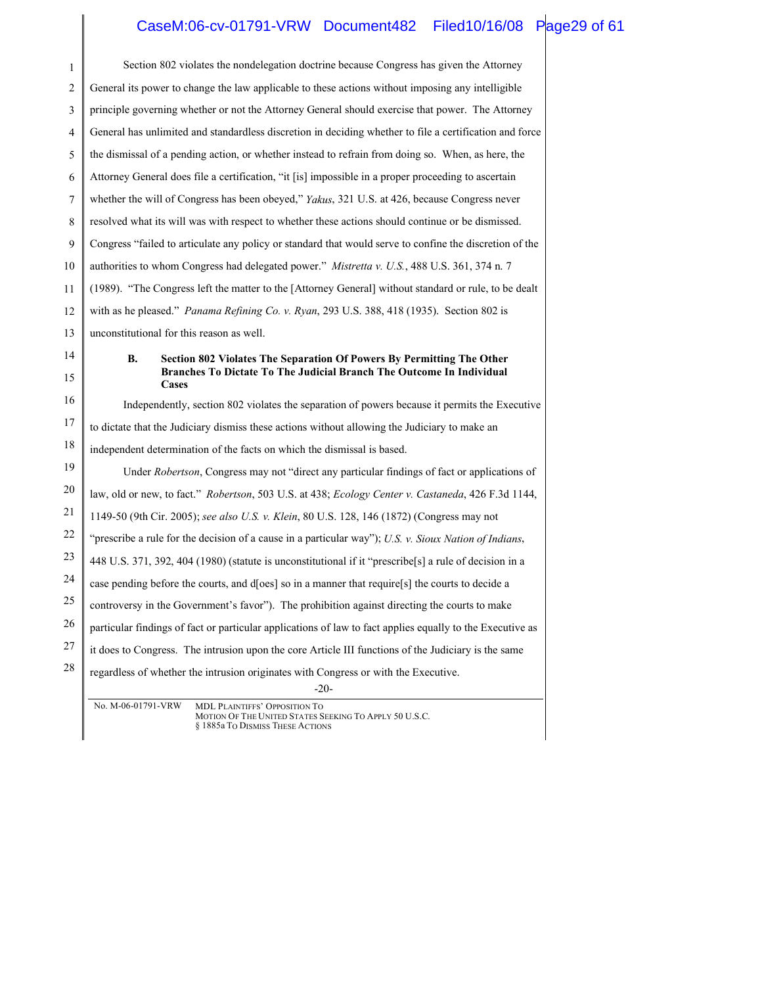### CaseM:06-cv-01791-VRW Document482 Filed10/16/08 Page29 of 61

| 1              | Section 802 violates the nondelegation doctrine because Congress has given the Attorney                                                                  |
|----------------|----------------------------------------------------------------------------------------------------------------------------------------------------------|
| $\overline{2}$ | General its power to change the law applicable to these actions without imposing any intelligible                                                        |
| 3              | principle governing whether or not the Attorney General should exercise that power. The Attorney                                                         |
| 4              | General has unlimited and standardless discretion in deciding whether to file a certification and force                                                  |
| 5              | the dismissal of a pending action, or whether instead to refrain from doing so. When, as here, the                                                       |
| 6              | Attorney General does file a certification, "it [is] impossible in a proper proceeding to ascertain                                                      |
| 7              | whether the will of Congress has been obeyed," <i>Yakus</i> , 321 U.S. at 426, because Congress never                                                    |
| 8              | resolved what its will was with respect to whether these actions should continue or be dismissed.                                                        |
| 9              | Congress "failed to articulate any policy or standard that would serve to confine the discretion of the                                                  |
| 10             | authorities to whom Congress had delegated power." <i>Mistretta v. U.S.</i> , 488 U.S. 361, 374 n. 7                                                     |
| 11             | (1989). "The Congress left the matter to the [Attorney General] without standard or rule, to be dealt                                                    |
| 12             | with as he pleased." Panama Refining Co. v. Ryan, 293 U.S. 388, 418 (1935). Section 802 is                                                               |
| 13             | unconstitutional for this reason as well.                                                                                                                |
| 14             | В.<br>Section 802 Violates The Separation Of Powers By Permitting The Other                                                                              |
| 15             | Branches To Dictate To The Judicial Branch The Outcome In Individual<br>Cases                                                                            |
| 16             | Independently, section 802 violates the separation of powers because it permits the Executive                                                            |
| 17             | to dictate that the Judiciary dismiss these actions without allowing the Judiciary to make an                                                            |
| 18             | independent determination of the facts on which the dismissal is based.                                                                                  |
| 19             | Under Robertson, Congress may not "direct any particular findings of fact or applications of                                                             |
| 20             | law, old or new, to fact." Robertson, 503 U.S. at 438; Ecology Center v. Castaneda, 426 F.3d 1144,                                                       |
| 21             | 1149-50 (9th Cir. 2005); see also U.S. v. Klein, 80 U.S. 128, 146 (1872) (Congress may not                                                               |
| 22             | "prescribe a rule for the decision of a cause in a particular way"); U.S. v. Sioux Nation of Indians,                                                    |
| 23             | 448 U.S. 371, 392, 404 (1980) (statute is unconstitutional if it "prescribe[s] a rule of decision in a                                                   |
| 24             | case pending before the courts, and d[oes] so in a manner that require[s] the courts to decide a                                                         |
| 25             | controversy in the Government's favor"). The prohibition against directing the courts to make                                                            |
| 26             | particular findings of fact or particular applications of law to fact applies equally to the Executive as                                                |
| 27             | it does to Congress. The intrusion upon the core Article III functions of the Judiciary is the same                                                      |
| 28             | regardless of whether the intrusion originates with Congress or with the Executive.                                                                      |
|                | $-20-$                                                                                                                                                   |
|                | No. M-06-01791-VRW<br><b>MDL PLAINTIFFS' OPPOSITION TO</b><br>MOTION OF THE UNITED STATES SEEKING TO APPLY 50 U.S.C.<br>§ 1885a To DISMISS THESE ACTIONS |

║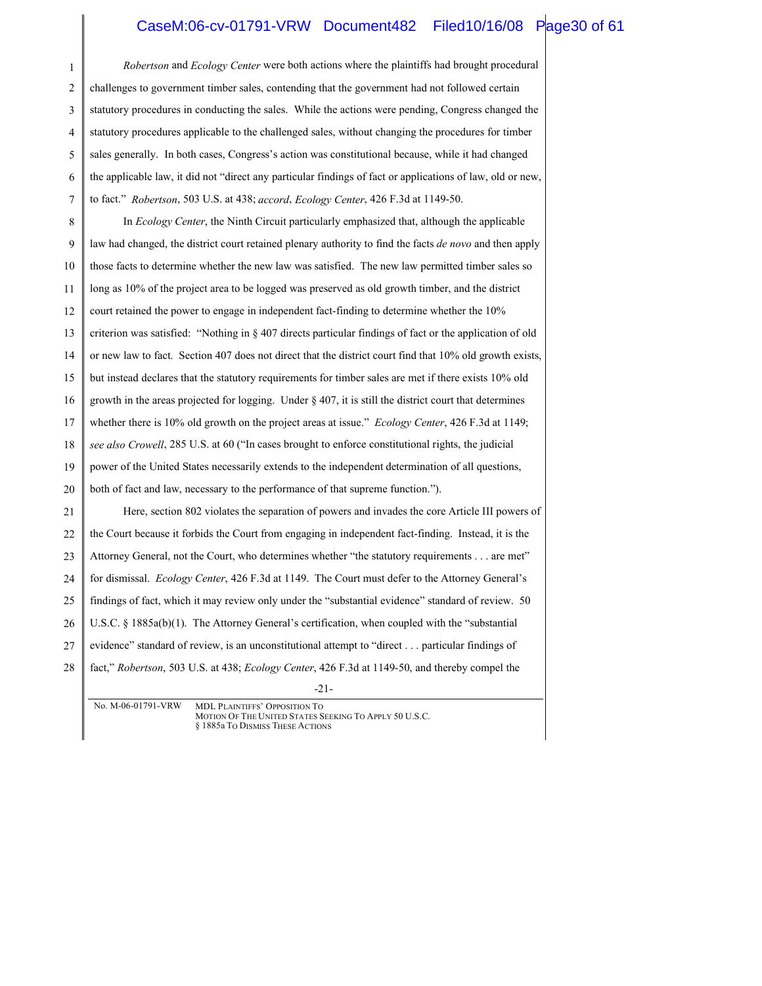#### CaseM:06-cv-01791-VRW Document482 Filed10/16/08 Page30 of 61

-21- 1 2 3 4 5 6 7 8 9 10 11 12 13 14 15 16 17 18 19 20 21 22 23 24 25 26 27 28 *Robertson* and *Ecology Center* were both actions where the plaintiffs had brought procedural challenges to government timber sales, contending that the government had not followed certain statutory procedures in conducting the sales. While the actions were pending, Congress changed the statutory procedures applicable to the challenged sales, without changing the procedures for timber sales generally. In both cases, Congress's action was constitutional because, while it had changed the applicable law, it did not "direct any particular findings of fact or applications of law, old or new, to fact." *Robertson*, 503 U.S. at 438; *accord*, *Ecology Center*, 426 F.3d at 1149-50. In *Ecology Center*, the Ninth Circuit particularly emphasized that, although the applicable law had changed, the district court retained plenary authority to find the facts *de novo* and then apply those facts to determine whether the new law was satisfied. The new law permitted timber sales so long as 10% of the project area to be logged was preserved as old growth timber, and the district court retained the power to engage in independent fact-finding to determine whether the 10% criterion was satisfied: "Nothing in § 407 directs particular findings of fact or the application of old or new law to fact. Section 407 does not direct that the district court find that 10% old growth exists, but instead declares that the statutory requirements for timber sales are met if there exists 10% old growth in the areas projected for logging. Under § 407, it is still the district court that determines whether there is 10% old growth on the project areas at issue." *Ecology Center*, 426 F.3d at 1149; *see also Crowell*, 285 U.S. at 60 ("In cases brought to enforce constitutional rights, the judicial power of the United States necessarily extends to the independent determination of all questions, both of fact and law, necessary to the performance of that supreme function."). Here, section 802 violates the separation of powers and invades the core Article III powers of the Court because it forbids the Court from engaging in independent fact-finding. Instead, it is the Attorney General, not the Court, who determines whether "the statutory requirements . . . are met" for dismissal. *Ecology Center*, 426 F.3d at 1149. The Court must defer to the Attorney General's findings of fact, which it may review only under the "substantial evidence" standard of review. 50 U.S.C. § 1885a(b)(1). The Attorney General's certification, when coupled with the "substantial evidence" standard of review, is an unconstitutional attempt to "direct . . . particular findings of fact," *Robertson*, 503 U.S. at 438; *Ecology Center*, 426 F.3d at 1149-50, and thereby compel the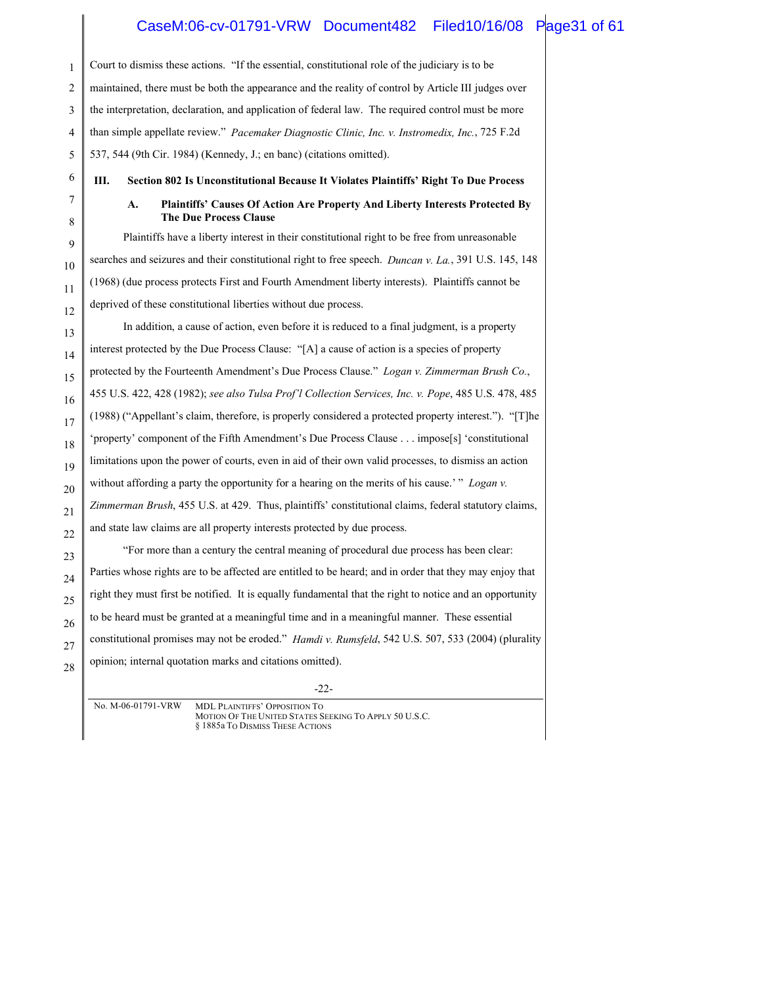## CaseM:06-cv-01791-VRW Document482 Filed10/16/08 Page31 of 61

| 1              | Court to dismiss these actions. "If the essential, constitutional role of the judiciary is to be                    |  |
|----------------|---------------------------------------------------------------------------------------------------------------------|--|
| 2              | maintained, there must be both the appearance and the reality of control by Article III judges over                 |  |
| 3              | the interpretation, declaration, and application of federal law. The required control must be more                  |  |
| $\overline{4}$ | than simple appellate review." Pacemaker Diagnostic Clinic, Inc. v. Instromedix, Inc., 725 F.2d                     |  |
| 5              | 537, 544 (9th Cir. 1984) (Kennedy, J.; en banc) (citations omitted).                                                |  |
| 6              | III.<br>Section 802 Is Unconstitutional Because It Violates Plaintiffs' Right To Due Process                        |  |
| 7<br>8         | Plaintiffs' Causes Of Action Are Property And Liberty Interests Protected By<br>A.<br><b>The Due Process Clause</b> |  |
| 9              | Plaintiffs have a liberty interest in their constitutional right to be free from unreasonable                       |  |
| $10\,$         | searches and seizures and their constitutional right to free speech. <i>Duncan v. La.</i> , 391 U.S. 145, 148       |  |
| 11             | (1968) (due process protects First and Fourth Amendment liberty interests). Plaintiffs cannot be                    |  |
| 12             | deprived of these constitutional liberties without due process.                                                     |  |
| 13             | In addition, a cause of action, even before it is reduced to a final judgment, is a property                        |  |
| 14             | interest protected by the Due Process Clause: "[A] a cause of action is a species of property                       |  |
| 15             | protected by the Fourteenth Amendment's Due Process Clause." Logan v. Zimmerman Brush Co.,                          |  |
| 16             | 455 U.S. 422, 428 (1982); see also Tulsa Prof'l Collection Services, Inc. v. Pope, 485 U.S. 478, 485                |  |
| 17             | (1988) ("Appellant's claim, therefore, is properly considered a protected property interest."). "[T]he              |  |
| 18             | 'property' component of the Fifth Amendment's Due Process Clause impose[s] 'constitutional                          |  |
| 19             | limitations upon the power of courts, even in aid of their own valid processes, to dismiss an action                |  |
| 20             | without affording a party the opportunity for a hearing on the merits of his cause.'" Logan v.                      |  |
| 21             | Zimmerman Brush, 455 U.S. at 429. Thus, plaintiffs' constitutional claims, federal statutory claims,                |  |
| 22             | and state law claims are all property interests protected by due process.                                           |  |
| 23             | "For more than a century the central meaning of procedural due process has been clear:                              |  |
| 24             | Parties whose rights are to be affected are entitled to be heard; and in order that they may enjoy that             |  |
| 25             | right they must first be notified. It is equally fundamental that the right to notice and an opportunity            |  |
| 26             | to be heard must be granted at a meaningful time and in a meaningful manner. These essential                        |  |
| 27             | constitutional promises may not be eroded." <i>Hamdi v. Rumsfeld</i> , 542 U.S. 507, 533 (2004) (plurality          |  |
| 28             | opinion; internal quotation marks and citations omitted).                                                           |  |

-22-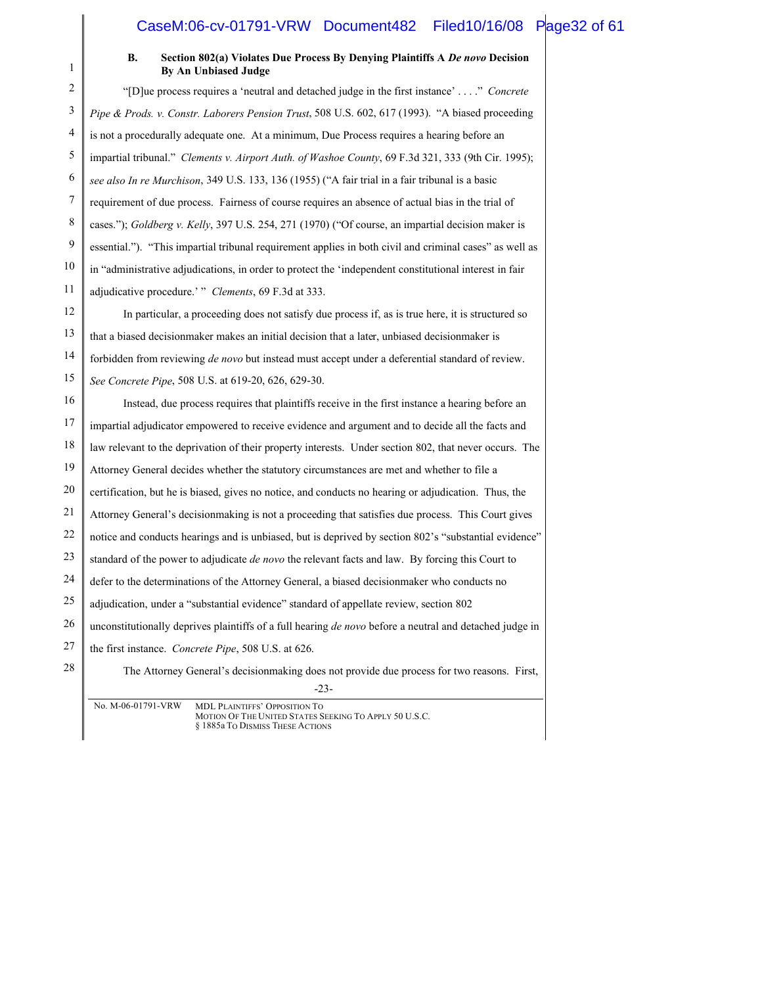### CaseM:06-cv-01791-VRW Document482 Filed10/16/08 Page32 of 61

| $\mathbf{1}$ | Section 802(a) Violates Due Process By Denying Plaintiffs A De novo Decision<br><b>B.</b><br><b>By An Unbiased Judge</b> |
|--------------|--------------------------------------------------------------------------------------------------------------------------|
| 2            | "[D] ue process requires a 'neutral and detached judge in the first instance'" Concrete                                  |
| 3            | Pipe & Prods. v. Constr. Laborers Pension Trust, 508 U.S. 602, 617 (1993). "A biased proceeding                          |
| 4            | is not a procedurally adequate one. At a minimum, Due Process requires a hearing before an                               |
| 5            | impartial tribunal." Clements v. Airport Auth. of Washoe County, 69 F.3d 321, 333 (9th Cir. 1995);                       |
| 6            | see also In re Murchison, 349 U.S. 133, 136 (1955) ("A fair trial in a fair tribunal is a basic                          |
| 7            | requirement of due process. Fairness of course requires an absence of actual bias in the trial of                        |
| 8            | cases."); Goldberg v. Kelly, 397 U.S. 254, 271 (1970) ("Of course, an impartial decision maker is                        |
| 9            | essential."). "This impartial tribunal requirement applies in both civil and criminal cases" as well as                  |
| 10           | in "administrative adjudications, in order to protect the 'independent constitutional interest in fair                   |
| 11           | adjudicative procedure.' " Clements, 69 F.3d at 333.                                                                     |
| 12           | In particular, a proceeding does not satisfy due process if, as is true here, it is structured so                        |
| 13           | that a biased decision maker makes an initial decision that a later, unbiased decision maker is                          |
| 14           | forbidden from reviewing de novo but instead must accept under a deferential standard of review.                         |
| 15           | See Concrete Pipe, 508 U.S. at 619-20, 626, 629-30.                                                                      |
| 16           | Instead, due process requires that plaintiffs receive in the first instance a hearing before an                          |
| 17           | impartial adjudicator empowered to receive evidence and argument and to decide all the facts and                         |
| 18           | law relevant to the deprivation of their property interests. Under section 802, that never occurs. The                   |
| 19           | Attorney General decides whether the statutory circumstances are met and whether to file a                               |
| 20           | certification, but he is biased, gives no notice, and conducts no hearing or adjudication. Thus, the                     |
| 21           | Attorney General's decisionmaking is not a proceeding that satisfies due process. This Court gives                       |
| 22           | notice and conducts hearings and is unbiased, but is deprived by section 802's "substantial evidence"                    |
| 23           | standard of the power to adjudicate <i>de novo</i> the relevant facts and law. By forcing this Court to                  |
| 24           | defer to the determinations of the Attorney General, a biased decision maker who conducts no                             |
| 25           | adjudication, under a "substantial evidence" standard of appellate review, section 802                                   |
| 26           | unconstitutionally deprives plaintiffs of a full hearing de novo before a neutral and detached judge in                  |
| 27           | the first instance. Concrete Pipe, 508 U.S. at 626.                                                                      |
| $28\,$       | The Attorney General's decisionmaking does not provide due process for two reasons. First,<br>$-23-$                     |
|              | No. M-06-01791-VRW<br><b>MDL PLAINTIFFS' OPPOSITION TO</b>                                                               |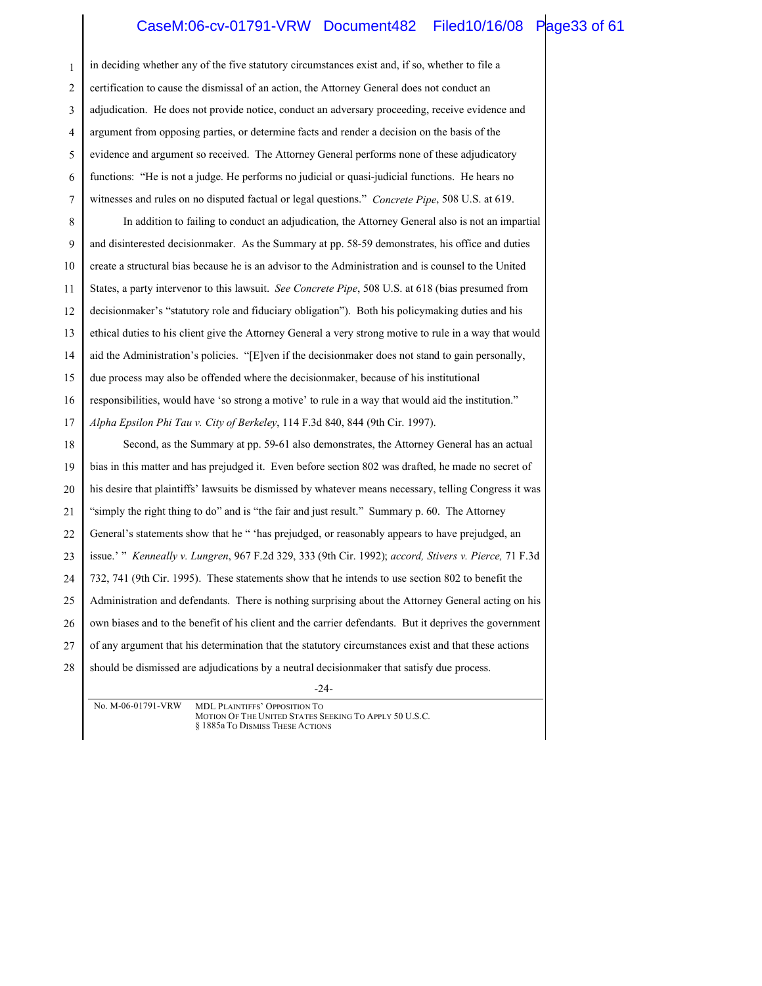#### CaseM:06-cv-01791-VRW Document482 Filed10/16/08 Page33 of 61

1 2 3 4 5 6 7 8 9 10 11 12 13 14 15 16 17 18 19 20 21 22 23 24 25 26 27 28 in deciding whether any of the five statutory circumstances exist and, if so, whether to file a certification to cause the dismissal of an action, the Attorney General does not conduct an adjudication. He does not provide notice, conduct an adversary proceeding, receive evidence and argument from opposing parties, or determine facts and render a decision on the basis of the evidence and argument so received. The Attorney General performs none of these adjudicatory functions: "He is not a judge. He performs no judicial or quasi-judicial functions. He hears no witnesses and rules on no disputed factual or legal questions." *Concrete Pipe*, 508 U.S. at 619. In addition to failing to conduct an adjudication, the Attorney General also is not an impartial and disinterested decisionmaker. As the Summary at pp. 58-59 demonstrates, his office and duties create a structural bias because he is an advisor to the Administration and is counsel to the United States, a party intervenor to this lawsuit. *See Concrete Pipe*, 508 U.S. at 618 (bias presumed from decisionmaker's "statutory role and fiduciary obligation"). Both his policymaking duties and his ethical duties to his client give the Attorney General a very strong motive to rule in a way that would aid the Administration's policies. "[E]ven if the decisionmaker does not stand to gain personally, due process may also be offended where the decisionmaker, because of his institutional responsibilities, would have 'so strong a motive' to rule in a way that would aid the institution." *Alpha Epsilon Phi Tau v. City of Berkeley*, 114 F.3d 840, 844 (9th Cir. 1997). Second, as the Summary at pp. 59-61 also demonstrates, the Attorney General has an actual bias in this matter and has prejudged it. Even before section 802 was drafted, he made no secret of his desire that plaintiffs' lawsuits be dismissed by whatever means necessary, telling Congress it was "simply the right thing to do" and is "the fair and just result." Summary p. 60. The Attorney General's statements show that he " 'has prejudged, or reasonably appears to have prejudged, an issue.' " *Kenneally v. Lungren*, 967 F.2d 329, 333 (9th Cir. 1992); *accord, Stivers v. Pierce,* 71 F.3d 732, 741 (9th Cir. 1995). These statements show that he intends to use section 802 to benefit the Administration and defendants. There is nothing surprising about the Attorney General acting on his own biases and to the benefit of his client and the carrier defendants. But it deprives the government of any argument that his determination that the statutory circumstances exist and that these actions should be dismissed are adjudications by a neutral decisionmaker that satisfy due process.

-24-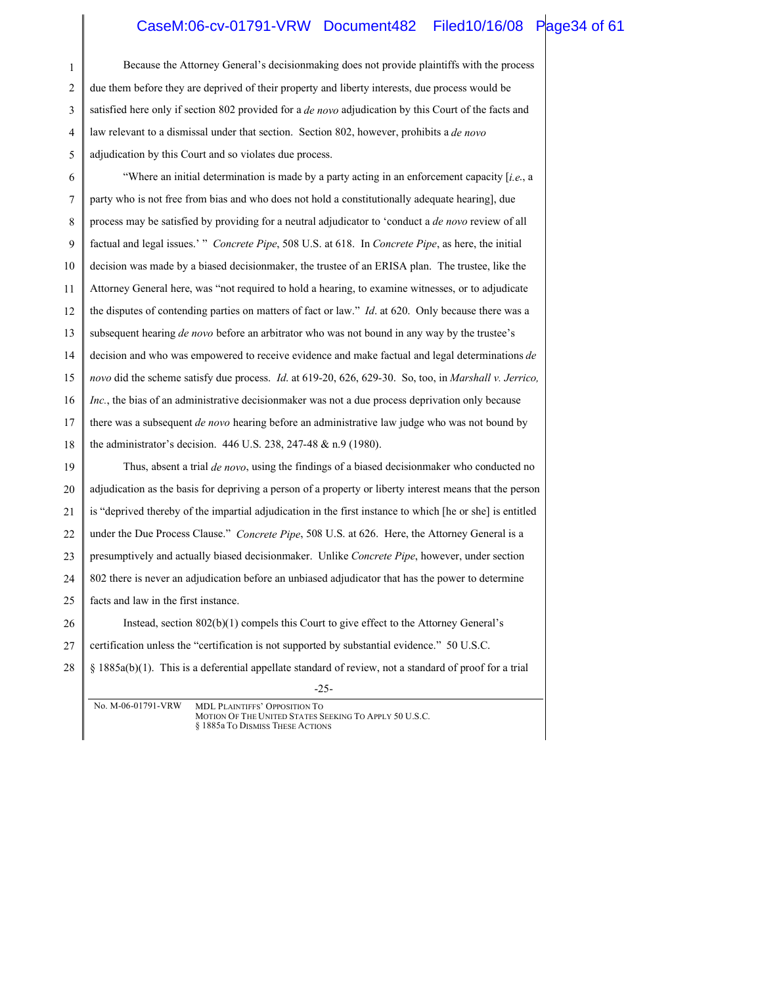### CaseM:06-cv-01791-VRW Document482 Filed10/16/08 Page34 of 61

-25- 1 2 3 4 5 6 7 8 9 10 11 12 13 14 15 16 17 18 19 20 21 22 23 24 25 26 27 28 Because the Attorney General's decisionmaking does not provide plaintiffs with the process due them before they are deprived of their property and liberty interests, due process would be satisfied here only if section 802 provided for a *de novo* adjudication by this Court of the facts and law relevant to a dismissal under that section. Section 802, however, prohibits a *de novo* adjudication by this Court and so violates due process. "Where an initial determination is made by a party acting in an enforcement capacity [*i.e*., a party who is not free from bias and who does not hold a constitutionally adequate hearing], due process may be satisfied by providing for a neutral adjudicator to 'conduct a *de novo* review of all factual and legal issues.' " *Concrete Pipe*, 508 U.S. at 618. In *Concrete Pipe*, as here, the initial decision was made by a biased decisionmaker, the trustee of an ERISA plan. The trustee, like the Attorney General here, was "not required to hold a hearing, to examine witnesses, or to adjudicate the disputes of contending parties on matters of fact or law." *Id*. at 620. Only because there was a subsequent hearing *de novo* before an arbitrator who was not bound in any way by the trustee's decision and who was empowered to receive evidence and make factual and legal determinations *de novo* did the scheme satisfy due process. *Id*. at 619-20, 626, 629-30. So, too, in *Marshall v. Jerrico, Inc.*, the bias of an administrative decisionmaker was not a due process deprivation only because there was a subsequent *de novo* hearing before an administrative law judge who was not bound by the administrator's decision. 446 U.S. 238, 247-48 & n.9 (1980). Thus, absent a trial *de novo*, using the findings of a biased decisionmaker who conducted no adjudication as the basis for depriving a person of a property or liberty interest means that the person is "deprived thereby of the impartial adjudication in the first instance to which [he or she] is entitled under the Due Process Clause." *Concrete Pipe*, 508 U.S. at 626. Here, the Attorney General is a presumptively and actually biased decisionmaker. Unlike *Concrete Pipe*, however, under section 802 there is never an adjudication before an unbiased adjudicator that has the power to determine facts and law in the first instance. Instead, section 802(b)(1) compels this Court to give effect to the Attorney General's certification unless the "certification is not supported by substantial evidence." 50 U.S.C. § 1885a(b)(1). This is a deferential appellate standard of review, not a standard of proof for a trial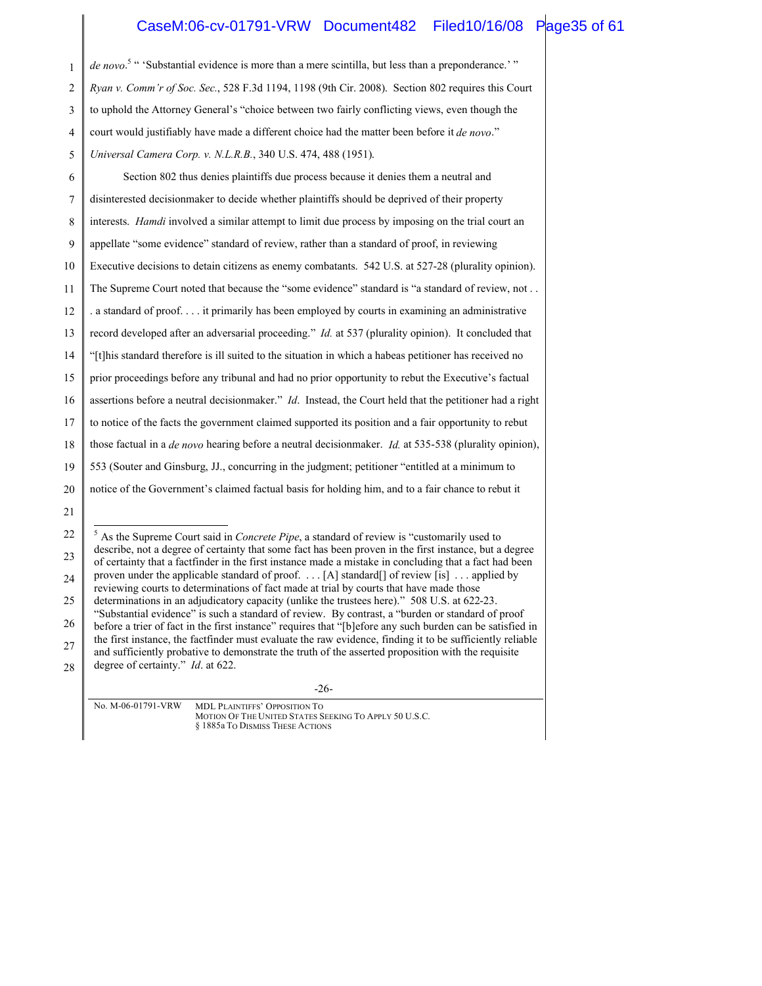## CaseM:06-cv-01791-VRW Document482 Filed10/16/08 Page35 of 61

| 1  | de novo. <sup>5</sup> "Substantial evidence is more than a mere scintilla, but less than a preponderance.'"                                                                                                      |  |
|----|------------------------------------------------------------------------------------------------------------------------------------------------------------------------------------------------------------------|--|
| 2  | Ryan v. Comm'r of Soc. Sec., 528 F.3d 1194, 1198 (9th Cir. 2008). Section 802 requires this Court                                                                                                                |  |
| 3  | to uphold the Attorney General's "choice between two fairly conflicting views, even though the                                                                                                                   |  |
| 4  | court would justifiably have made a different choice had the matter been before it de novo."                                                                                                                     |  |
| 5  | Universal Camera Corp. v. N.L.R.B., 340 U.S. 474, 488 (1951).                                                                                                                                                    |  |
| 6  | Section 802 thus denies plaintiffs due process because it denies them a neutral and                                                                                                                              |  |
| 7  | disinterested decisionmaker to decide whether plaintiffs should be deprived of their property                                                                                                                    |  |
| 8  | interests. <i>Hamdi</i> involved a similar attempt to limit due process by imposing on the trial court an                                                                                                        |  |
| 9  | appellate "some evidence" standard of review, rather than a standard of proof, in reviewing                                                                                                                      |  |
| 10 | Executive decisions to detain citizens as enemy combatants. 542 U.S. at 527-28 (plurality opinion).                                                                                                              |  |
| 11 | The Supreme Court noted that because the "some evidence" standard is "a standard of review, not                                                                                                                  |  |
| 12 | . a standard of proof it primarily has been employed by courts in examining an administrative                                                                                                                    |  |
| 13 | record developed after an adversarial proceeding." <i>Id.</i> at 537 (plurality opinion). It concluded that                                                                                                      |  |
| 14 | "[t]his standard therefore is ill suited to the situation in which a habeas petitioner has received no                                                                                                           |  |
| 15 | prior proceedings before any tribunal and had no prior opportunity to rebut the Executive's factual                                                                                                              |  |
| 16 | assertions before a neutral decisionmaker." Id. Instead, the Court held that the petitioner had a right                                                                                                          |  |
| 17 | to notice of the facts the government claimed supported its position and a fair opportunity to rebut                                                                                                             |  |
| 18 | those factual in a <i>de novo</i> hearing before a neutral decisionmaker. <i>Id.</i> at 535-538 (plurality opinion),                                                                                             |  |
| 19 | 553 (Souter and Ginsburg, JJ., concurring in the judgment; petitioner "entitled at a minimum to                                                                                                                  |  |
| 20 | notice of the Government's claimed factual basis for holding him, and to a fair chance to rebut it                                                                                                               |  |
| 21 |                                                                                                                                                                                                                  |  |
| 22 | $5$ As the Supreme Court said in Concrete Pipe, a standard of review is "customarily used to                                                                                                                     |  |
| 23 | describe, not a degree of certainty that some fact has been proven in the first instance, but a degree<br>of certainty that a factfinder in the first instance made a mistake in concluding that a fact had been |  |
| 24 | proven under the applicable standard of proof. [A] standard [] of review [is] applied by<br>reviewing courts to determinations of fact made at trial by courts that have made those                              |  |

25 determinations in an adjudicatory capacity (unlike the trustees here)." 508 U.S. at 622-23. "Substantial evidence" is such a standard of review. By contrast, a "burden or standard of proof

26 27 before a trier of fact in the first instance" requires that "[b]efore any such burden can be satisfied in the first instance, the factfinder must evaluate the raw evidence, finding it to be sufficiently reliable and sufficiently probative to demonstrate the truth of the asserted proposition with the requisite

28 degree of certainty." *Id*. at 622.

-26-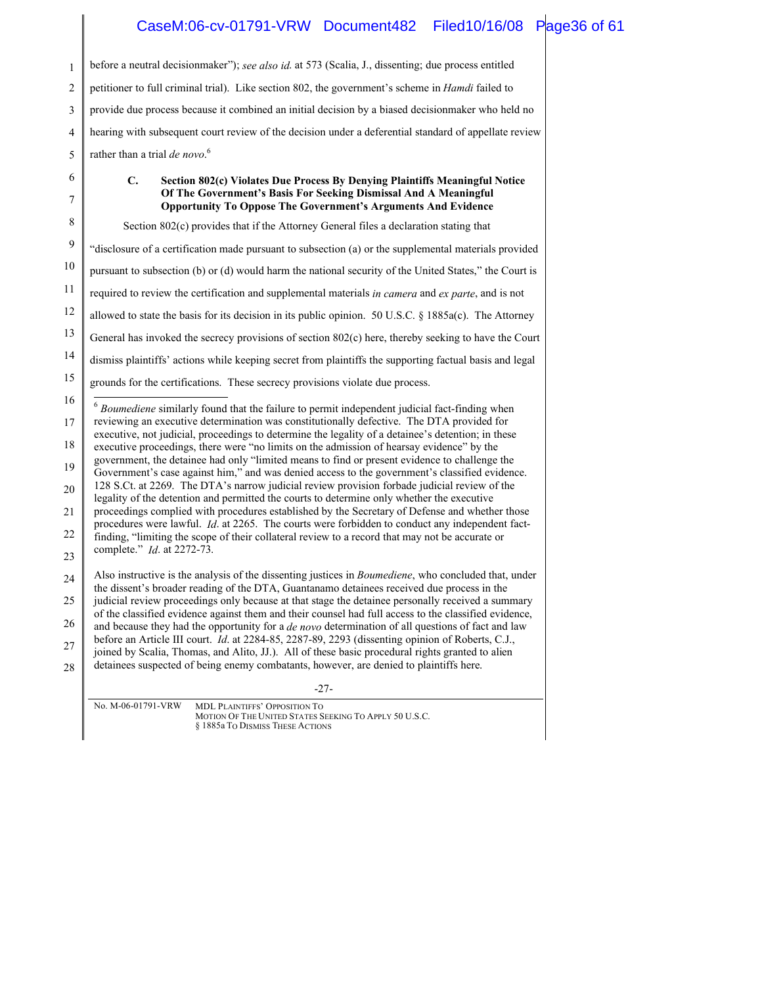# CaseM:06-cv-01791-VRW Document482 Filed10/16/08 Page36 of 61

| 1              | before a neutral decisionmaker"); see also id. at 573 (Scalia, J., dissenting; due process entitled                                                                                                                 |
|----------------|---------------------------------------------------------------------------------------------------------------------------------------------------------------------------------------------------------------------|
| 2              | petitioner to full criminal trial). Like section 802, the government's scheme in <i>Hamdi</i> failed to                                                                                                             |
| 3              | provide due process because it combined an initial decision by a biased decisionmaker who held no                                                                                                                   |
| $\overline{4}$ | hearing with subsequent court review of the decision under a deferential standard of appellate review                                                                                                               |
| 5              | rather than a trial de novo. <sup>6</sup>                                                                                                                                                                           |
| 6              | Section 802(c) Violates Due Process By Denying Plaintiffs Meaningful Notice<br>C.                                                                                                                                   |
| 7              | Of The Government's Basis For Seeking Dismissal And A Meaningful<br><b>Opportunity To Oppose The Government's Arguments And Evidence</b>                                                                            |
| 8              | Section 802(c) provides that if the Attorney General files a declaration stating that                                                                                                                               |
| 9              | "disclosure of a certification made pursuant to subsection (a) or the supplemental materials provided                                                                                                               |
| 10             | pursuant to subsection (b) or (d) would harm the national security of the United States," the Court is                                                                                                              |
| 11             | required to review the certification and supplemental materials in camera and ex parte, and is not                                                                                                                  |
| 12             | allowed to state the basis for its decision in its public opinion. 50 U.S.C. $\S$ 1885a(c). The Attorney                                                                                                            |
| 13             | General has invoked the secrecy provisions of section 802(c) here, thereby seeking to have the Court                                                                                                                |
| 14             | dismiss plaintiffs' actions while keeping secret from plaintiffs the supporting factual basis and legal                                                                                                             |
| 15             | grounds for the certifications. These secrecy provisions violate due process.                                                                                                                                       |
| 16             | Boumediene similarly found that the failure to permit independent judicial fact-finding when                                                                                                                        |
| 17             | reviewing an executive determination was constitutionally defective. The DTA provided for<br>executive, not judicial, proceedings to determine the legality of a detainee's detention; in these                     |
| 18             | executive proceedings, there were "no limits on the admission of hearsay evidence" by the<br>government, the detainee had only "limited means to find or present evidence to challenge the                          |
| 19             | Government's case against him," and was denied access to the government's classified evidence.<br>128 S.Ct. at 2269. The DTA's narrow judicial review provision forbade judicial review of the                      |
| 20             | legality of the detention and permitted the courts to determine only whether the executive                                                                                                                          |
| 21             | proceedings complied with procedures established by the Secretary of Defense and whether those<br>procedures were lawful. <i>Id.</i> at 2265. The courts were forbidden to conduct any independent fact-            |
| 22             | finding, "limiting the scope of their collateral review to a record that may not be accurate or<br>complete." <i>Id.</i> at 2272-73.                                                                                |
| 23             | Also instructive is the analysis of the dissenting justices in <i>Boumediene</i> , who concluded that, under                                                                                                        |
| 24             | the dissent's broader reading of the DTA, Guantanamo detainees received due process in the                                                                                                                          |
| 25             | judicial review proceedings only because at that stage the detainee personally received a summary<br>of the classified evidence against them and their counsel had full access to the classified evidence,          |
| 26             | and because they had the opportunity for a <i>de novo</i> determination of all questions of fact and law<br>before an Article III court. <i>Id.</i> at 2284-85, 2287-89, 2293 (dissenting opinion of Roberts, C.J., |
| 27             | joined by Scalia, Thomas, and Alito, JJ.). All of these basic procedural rights granted to alien<br>detainees suspected of being enemy combatants, however, are denied to plaintiffs here.                          |
| 28             |                                                                                                                                                                                                                     |
|                | -27-                                                                                                                                                                                                                |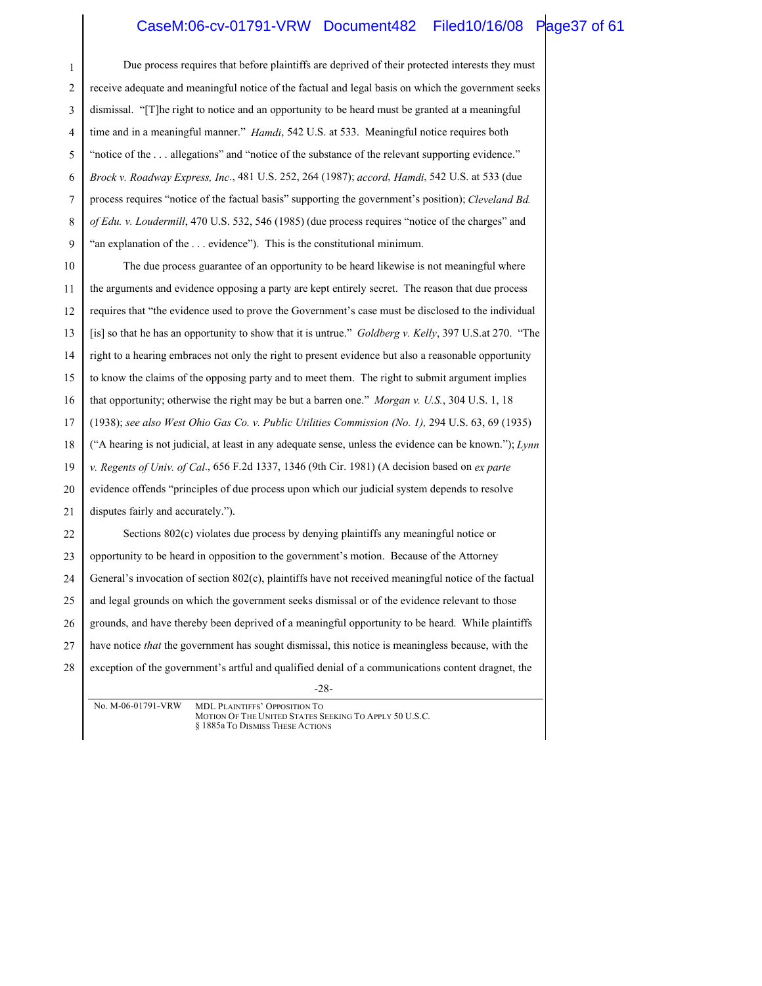### CaseM:06-cv-01791-VRW Document482 Filed10/16/08 Page37 of 61

| $\mathbf{1}$   | Due process requires that before plaintiffs are deprived of their protected interests they must                                                   |
|----------------|---------------------------------------------------------------------------------------------------------------------------------------------------|
| $\mathfrak{2}$ | receive adequate and meaningful notice of the factual and legal basis on which the government seeks                                               |
| 3              | dismissal. "[T] he right to notice and an opportunity to be heard must be granted at a meaningful                                                 |
| 4              | time and in a meaningful manner." Hamdi, 542 U.S. at 533. Meaningful notice requires both                                                         |
| 5              | "notice of the  allegations" and "notice of the substance of the relevant supporting evidence."                                                   |
| 6              | Brock v. Roadway Express, Inc., 481 U.S. 252, 264 (1987); accord, Hamdi, 542 U.S. at 533 (due                                                     |
| 7              | process requires "notice of the factual basis" supporting the government's position); Cleveland Bd.                                               |
| 8              | of Edu. v. Loudermill, 470 U.S. 532, 546 (1985) (due process requires "notice of the charges" and                                                 |
| 9              | "an explanation of the  evidence"). This is the constitutional minimum.                                                                           |
| 10             | The due process guarantee of an opportunity to be heard likewise is not meaningful where                                                          |
| 11             | the arguments and evidence opposing a party are kept entirely secret. The reason that due process                                                 |
| 12             | requires that "the evidence used to prove the Government's case must be disclosed to the individual                                               |
| 13             | [is] so that he has an opportunity to show that it is untrue." Goldberg v. Kelly, 397 U.S.at 270. "The                                            |
| 14             | right to a hearing embraces not only the right to present evidence but also a reasonable opportunity                                              |
| 15             | to know the claims of the opposing party and to meet them. The right to submit argument implies                                                   |
| 16             | that opportunity; otherwise the right may be but a barren one." Morgan v. U.S., 304 U.S. 1, 18                                                    |
| 17             | (1938); see also West Ohio Gas Co. v. Public Utilities Commission (No. 1), 294 U.S. 63, 69 (1935)                                                 |
| 18             | ("A hearing is not judicial, at least in any adequate sense, unless the evidence can be known."); Lynn                                            |
| 19             | v. Regents of Univ. of Cal., 656 F.2d 1337, 1346 (9th Cir. 1981) (A decision based on ex parte                                                    |
| 20             | evidence offends "principles of due process upon which our judicial system depends to resolve                                                     |
| 21             | disputes fairly and accurately.").                                                                                                                |
| 22             | Sections 802(c) violates due process by denying plaintiffs any meaningful notice or                                                               |
| 23             | opportunity to be heard in opposition to the government's motion. Because of the Attorney                                                         |
| 24             | General's invocation of section 802(c), plaintiffs have not received meaningful notice of the factual                                             |
| 25             | and legal grounds on which the government seeks dismissal or of the evidence relevant to those                                                    |
| 26             | grounds, and have thereby been deprived of a meaningful opportunity to be heard. While plaintiffs                                                 |
| 27             | have notice <i>that</i> the government has sought dismissal, this notice is meaningless because, with the                                         |
| 28             | exception of the government's artful and qualified denial of a communications content dragnet, the                                                |
|                | $-28-$                                                                                                                                            |
|                | No. M-06-01791-VRW<br>MDL PLAINTIFFS' OPPOSITION TO<br>MOTION OF THE UNITED STATES SEEKING TO APPLY 50 U.S.C.<br>§ 1885a To DISMISS THESE ACTIONS |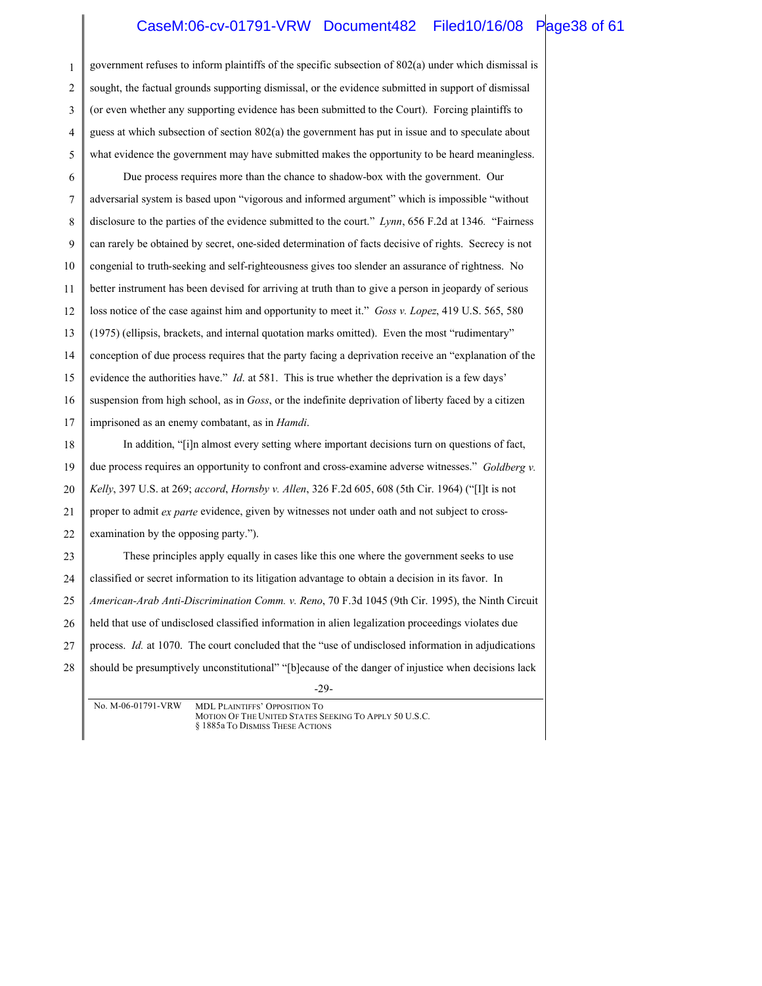### CaseM:06-cv-01791-VRW Document482 Filed10/16/08 Page38 of 61

| 1  | government refuses to inform plaintiffs of the specific subsection of 802(a) under which dismissal is |
|----|-------------------------------------------------------------------------------------------------------|
| 2  | sought, the factual grounds supporting dismissal, or the evidence submitted in support of dismissal   |
| 3  | (or even whether any supporting evidence has been submitted to the Court). Forcing plaintiffs to      |
| 4  | guess at which subsection of section 802(a) the government has put in issue and to speculate about    |
| 5  | what evidence the government may have submitted makes the opportunity to be heard meaningless.        |
| 6  | Due process requires more than the chance to shadow-box with the government. Our                      |
| 7  | adversarial system is based upon "vigorous and informed argument" which is impossible "without        |
| 8  | disclosure to the parties of the evidence submitted to the court." Lynn, 656 F.2d at 1346. "Fairness" |
| 9  | can rarely be obtained by secret, one-sided determination of facts decisive of rights. Secrecy is not |
| 10 | congenial to truth-seeking and self-righteousness gives too slender an assurance of rightness. No     |
| 11 | better instrument has been devised for arriving at truth than to give a person in jeopardy of serious |
| 12 | loss notice of the case against him and opportunity to meet it." Goss v. Lopez, 419 U.S. 565, 580     |
| 13 | (1975) (ellipsis, brackets, and internal quotation marks omitted). Even the most "rudimentary"        |
| 14 | conception of due process requires that the party facing a deprivation receive an "explanation of the |
| 15 | evidence the authorities have." Id. at 581. This is true whether the deprivation is a few days'       |
| 16 | suspension from high school, as in Goss, or the indefinite deprivation of liberty faced by a citizen  |
| 17 | imprisoned as an enemy combatant, as in <i>Hamdi</i> .                                                |
| 18 | In addition, "[i]n almost every setting where important decisions turn on questions of fact,          |
| 19 | due process requires an opportunity to confront and cross-examine adverse witnesses." Goldberg v.     |
| 20 | Kelly, 397 U.S. at 269; accord, Hornsby v. Allen, 326 F.2d 605, 608 (5th Cir. 1964) ("[I]t is not     |
| 21 | proper to admit ex parte evidence, given by witnesses not under oath and not subject to cross-        |
| 22 | examination by the opposing party.").                                                                 |
| 23 | These principles apply equally in cases like this one where the government seeks to use               |
| 24 | classified or secret information to its litigation advantage to obtain a decision in its favor. In    |
| 25 | American-Arab Anti-Discrimination Comm. v. Reno, 70 F.3d 1045 (9th Cir. 1995), the Ninth Circuit      |
| 26 | held that use of undisclosed classified information in alien legalization proceedings violates due    |
| 27 | process. Id. at 1070. The court concluded that the "use of undisclosed information in adjudications   |
| 28 | should be presumptively unconstitutional" "[b]ecause of the danger of injustice when decisions lack   |
|    | $-29-$                                                                                                |
|    | No. M-06-01791-VRW<br>MDI PLAINTIEES' OPPOSITION TO                                                   |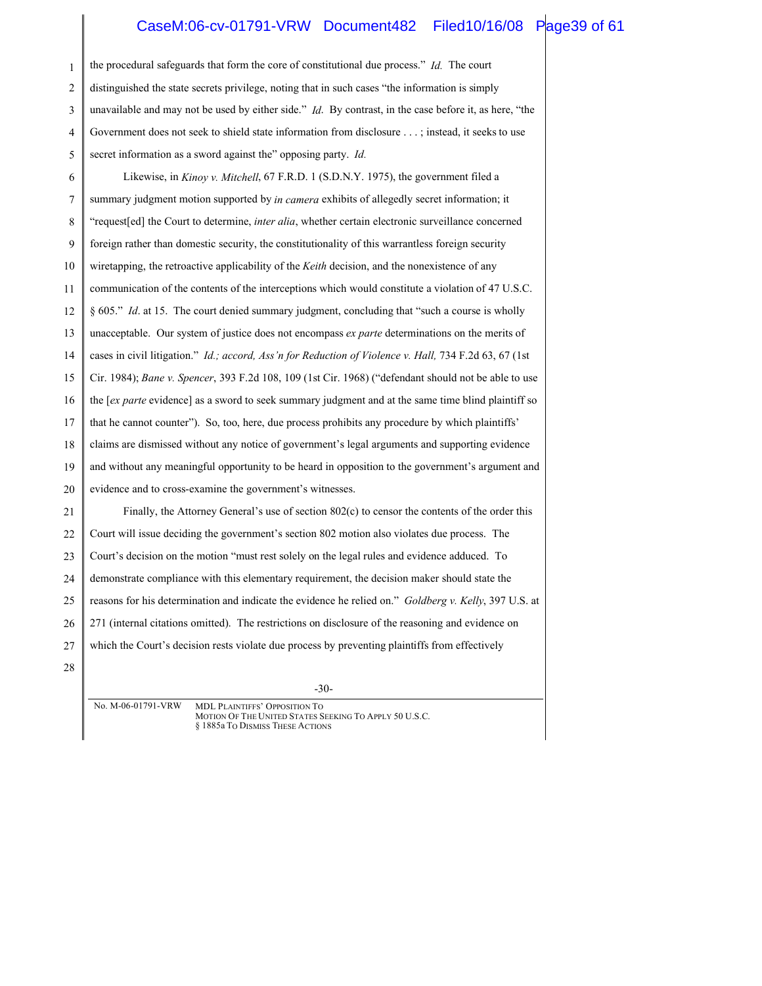#### CaseM:06-cv-01791-VRW Document482 Filed10/16/08 Page39 of 61

1 2 3 4 5 6 7 8 9 10 11 12 13 14 15 16 17 18 19 20 21 22 23 24 25 26 27 28 the procedural safeguards that form the core of constitutional due process." *Id.* The court distinguished the state secrets privilege, noting that in such cases "the information is simply unavailable and may not be used by either side." *Id*. By contrast, in the case before it, as here, "the Government does not seek to shield state information from disclosure . . . ; instead, it seeks to use secret information as a sword against the" opposing party. *Id.* Likewise, in *Kinoy v. Mitchell*, 67 F.R.D. 1 (S.D.N.Y. 1975), the government filed a summary judgment motion supported by *in camera* exhibits of allegedly secret information; it "request[ed] the Court to determine, *inter alia*, whether certain electronic surveillance concerned foreign rather than domestic security, the constitutionality of this warrantless foreign security wiretapping, the retroactive applicability of the *Keith* decision, and the nonexistence of any communication of the contents of the interceptions which would constitute a violation of 47 U.S.C. § 605." *Id.* at 15. The court denied summary judgment, concluding that "such a course is wholly unacceptable. Our system of justice does not encompass *ex parte* determinations on the merits of cases in civil litigation." *Id.; accord, Ass'n for Reduction of Violence v. Hall,* 734 F.2d 63, 67 (1st Cir. 1984); *Bane v. Spencer*, 393 F.2d 108, 109 (1st Cir. 1968) ("defendant should not be able to use the [*ex parte* evidence] as a sword to seek summary judgment and at the same time blind plaintiff so that he cannot counter"). So, too, here, due process prohibits any procedure by which plaintiffs' claims are dismissed without any notice of government's legal arguments and supporting evidence and without any meaningful opportunity to be heard in opposition to the government's argument and evidence and to cross-examine the government's witnesses. Finally, the Attorney General's use of section 802(c) to censor the contents of the order this Court will issue deciding the government's section 802 motion also violates due process. The Court's decision on the motion "must rest solely on the legal rules and evidence adduced. To demonstrate compliance with this elementary requirement, the decision maker should state the reasons for his determination and indicate the evidence he relied on." *Goldberg v. Kelly*, 397 U.S. at 271 (internal citations omitted). The restrictions on disclosure of the reasoning and evidence on which the Court's decision rests violate due process by preventing plaintiffs from effectively

-30-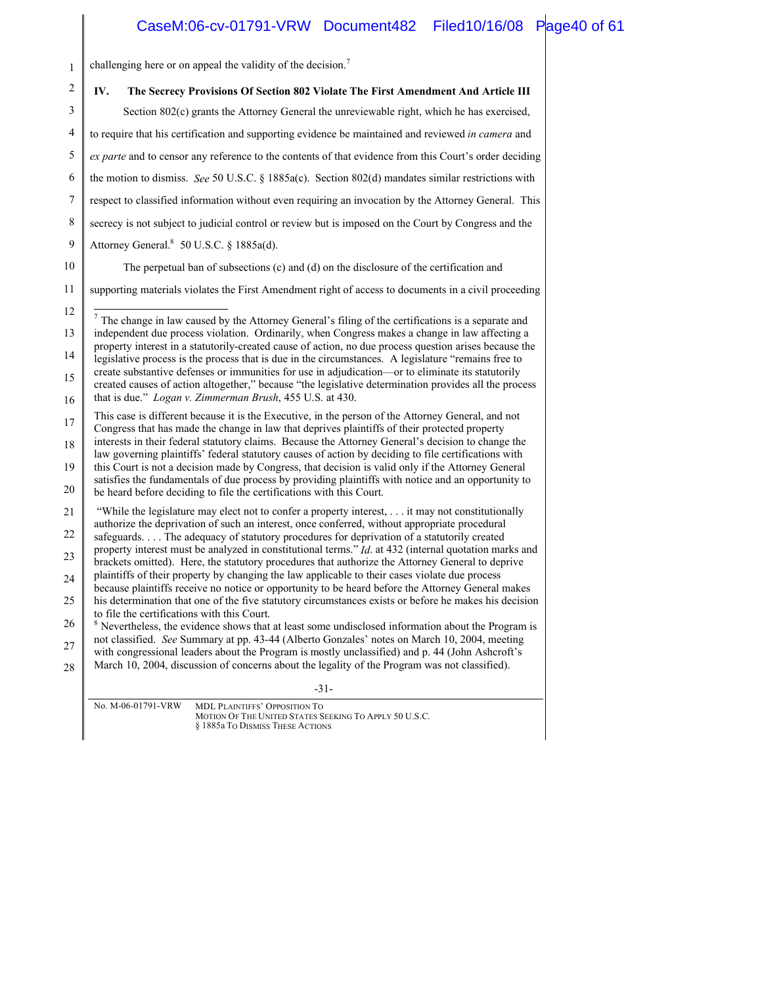### CaseM:06-cv-01791-VRW Document482 Filed10/16/08 Page40 of 61

1 challenging here or on appeal the validity of the decision.<sup>7</sup>

| $\mathbf{2}$ | IV.<br>The Secrecy Provisions Of Section 802 Violate The First Amendment And Article III                                                                                                                                                                                                                  |
|--------------|-----------------------------------------------------------------------------------------------------------------------------------------------------------------------------------------------------------------------------------------------------------------------------------------------------------|
| 3            | Section 802(c) grants the Attorney General the unreviewable right, which he has exercised,                                                                                                                                                                                                                |
| 4            | to require that his certification and supporting evidence be maintained and reviewed in camera and                                                                                                                                                                                                        |
| 5            | ex parte and to censor any reference to the contents of that evidence from this Court's order deciding                                                                                                                                                                                                    |
| 6            | the motion to dismiss. See 50 U.S.C. § 1885a(c). Section 802(d) mandates similar restrictions with                                                                                                                                                                                                        |
| 7            | respect to classified information without even requiring an invocation by the Attorney General. This                                                                                                                                                                                                      |
| 8            | secrecy is not subject to judicial control or review but is imposed on the Court by Congress and the                                                                                                                                                                                                      |
| 9            | Attorney General. <sup>8</sup> 50 U.S.C. § 1885a(d).                                                                                                                                                                                                                                                      |
| 10           | The perpetual ban of subsections (c) and (d) on the disclosure of the certification and                                                                                                                                                                                                                   |
| 11           | supporting materials violates the First Amendment right of access to documents in a civil proceeding                                                                                                                                                                                                      |
| 12           | $7$ The change in law caused by the Attorney General's filing of the certifications is a separate and                                                                                                                                                                                                     |
| 13           | independent due process violation. Ordinarily, when Congress makes a change in law affecting a                                                                                                                                                                                                            |
| 14           | property interest in a statutorily-created cause of action, no due process question arises because the<br>legislative process is the process that is due in the circumstances. A legislature "remains free to                                                                                             |
| 15           | create substantive defenses or immunities for use in adjudication—or to eliminate its statutorily<br>created causes of action altogether," because "the legislative determination provides all the process                                                                                                |
| 16           | that is due." Logan v. Zimmerman Brush, 455 U.S. at 430.                                                                                                                                                                                                                                                  |
| 17<br>18     | This case is different because it is the Executive, in the person of the Attorney General, and not<br>Congress that has made the change in law that deprives plaintiffs of their protected property<br>interests in their federal statutory claims. Because the Attorney General's decision to change the |
| 19           | law governing plaintiffs' federal statutory causes of action by deciding to file certifications with<br>this Court is not a decision made by Congress, that decision is valid only if the Attorney General                                                                                                |
| 20           | satisfies the fundamentals of due process by providing plaintiffs with notice and an opportunity to<br>be heard before deciding to file the certifications with this Court.                                                                                                                               |
| 21           | "While the legislature may elect not to confer a property interest, it may not constitutionally                                                                                                                                                                                                           |
| 22           | authorize the deprivation of such an interest, once conferred, without appropriate procedural<br>safeguards The adequacy of statutory procedures for deprivation of a statutorily created                                                                                                                 |
| 23           | property interest must be analyzed in constitutional terms." <i>Id.</i> at 432 (internal quotation marks and<br>brackets omitted). Here, the statutory procedures that authorize the Attorney General to deprive                                                                                          |
| 24           | plaintiffs of their property by changing the law applicable to their cases violate due process<br>because plaintiffs receive no notice or opportunity to be heard before the Attorney General makes                                                                                                       |
| 25           | his determination that one of the five statutory circumstances exists or before he makes his decision                                                                                                                                                                                                     |
| 26           | to file the certifications with this Court.<br><sup>8</sup> Nevertheless, the evidence shows that at least some undisclosed information about the Program is                                                                                                                                              |
| 27           | not classified. See Summary at pp. 43-44 (Alberto Gonzales' notes on March 10, 2004, meeting<br>with congressional leaders about the Program is mostly unclassified) and p. 44 (John Ashcroft's                                                                                                           |
| 28           | March 10, 2004, discussion of concerns about the legality of the Program was not classified).                                                                                                                                                                                                             |
|              | $-31-$                                                                                                                                                                                                                                                                                                    |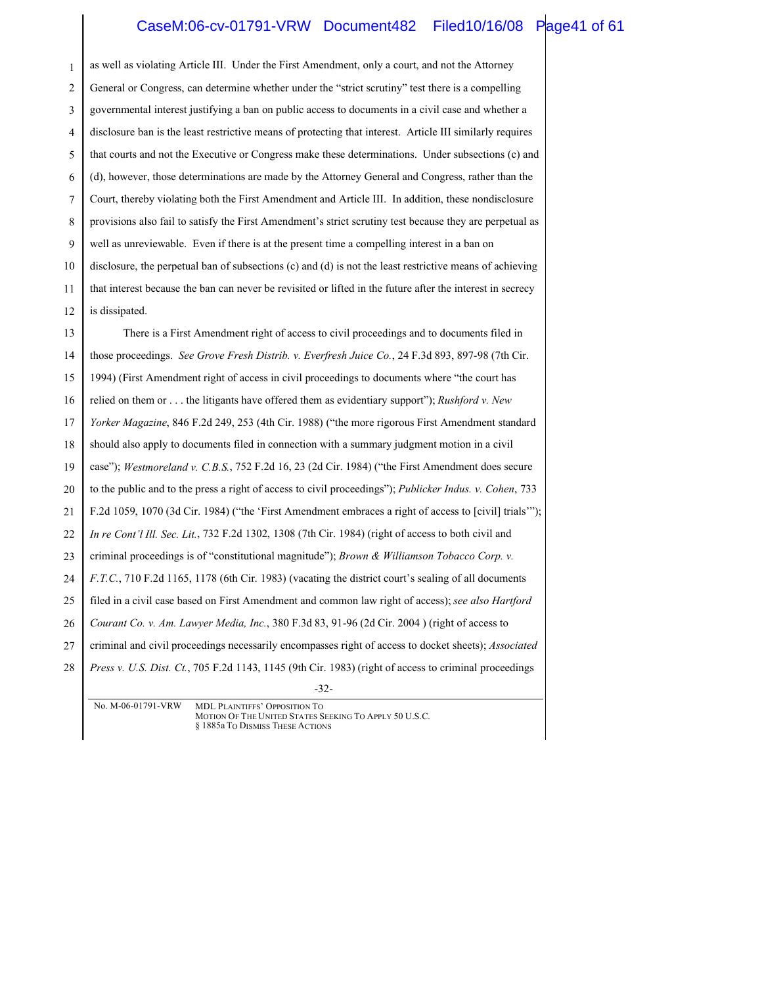### CaseM:06-cv-01791-VRW Document482 Filed10/16/08 Page41 of 61

1 2 3 4 5 6 7 8 9 10 11 12 13 14 15 16 as well as violating Article III. Under the First Amendment, only a court, and not the Attorney General or Congress, can determine whether under the "strict scrutiny" test there is a compelling governmental interest justifying a ban on public access to documents in a civil case and whether a disclosure ban is the least restrictive means of protecting that interest. Article III similarly requires that courts and not the Executive or Congress make these determinations. Under subsections (c) and (d), however, those determinations are made by the Attorney General and Congress, rather than the Court, thereby violating both the First Amendment and Article III. In addition, these nondisclosure provisions also fail to satisfy the First Amendment's strict scrutiny test because they are perpetual as well as unreviewable. Even if there is at the present time a compelling interest in a ban on disclosure, the perpetual ban of subsections (c) and (d) is not the least restrictive means of achieving that interest because the ban can never be revisited or lifted in the future after the interest in secrecy is dissipated. There is a First Amendment right of access to civil proceedings and to documents filed in those proceedings. *See Grove Fresh Distrib. v. Everfresh Juice Co.*, 24 F.3d 893, 897-98 (7th Cir. 1994) (First Amendment right of access in civil proceedings to documents where "the court has relied on them or . . . the litigants have offered them as evidentiary support"); *Rushford v. New* 

17 *Yorker Magazine*, 846 F.2d 249, 253 (4th Cir. 1988) ("the more rigorous First Amendment standard

18 should also apply to documents filed in connection with a summary judgment motion in a civil

19 case"); *Westmoreland v. C.B.S.*, 752 F.2d 16, 23 (2d Cir. 1984) ("the First Amendment does secure

20 to the public and to the press a right of access to civil proceedings"); *Publicker Indus. v. Cohen*, 733

21 F.2d 1059, 1070 (3d Cir. 1984) ("the 'First Amendment embraces a right of access to [civil] trials'");

22 *In re Cont'l Ill. Sec. Lit.*, 732 F.2d 1302, 1308 (7th Cir. 1984) (right of access to both civil and

23 criminal proceedings is of "constitutional magnitude"); *Brown & Williamson Tobacco Corp. v.* 

24 *F.T.C.*, 710 F.2d 1165, 1178 (6th Cir. 1983) (vacating the district court's sealing of all documents

25 filed in a civil case based on First Amendment and common law right of access); *see also Hartford* 

26 *Courant Co. v. Am. Lawyer Media, Inc.*, 380 F.3d 83, 91-96 (2d Cir. 2004 ) (right of access to

27 criminal and civil proceedings necessarily encompasses right of access to docket sheets); *Associated* 

28 *Press v. U.S. Dist. Ct.*, 705 F.2d 1143, 1145 (9th Cir. 1983) (right of access to criminal proceedings

<sup>-32-</sup>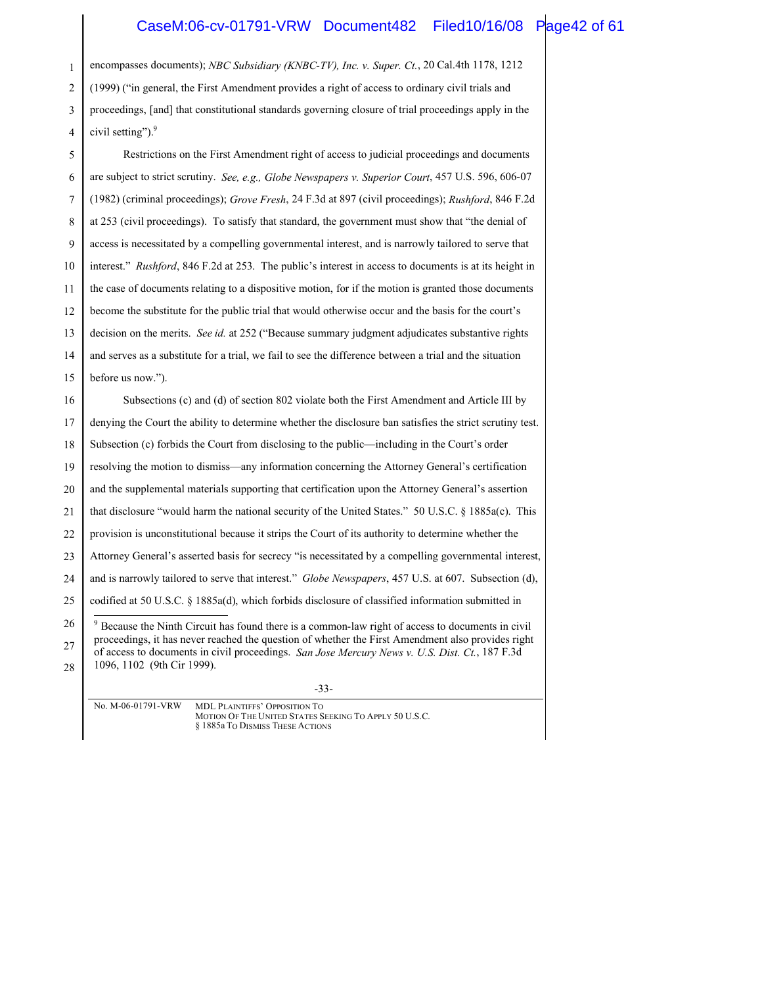#### CaseM:06-cv-01791-VRW Document482 Filed10/16/08 Page42 of 61

1 2 3 4 5 encompasses documents); *NBC Subsidiary (KNBC-TV), Inc. v. Super. Ct.*, 20 Cal.4th 1178, 1212 (1999) ("in general, the First Amendment provides a right of access to ordinary civil trials and proceedings, [and] that constitutional standards governing closure of trial proceedings apply in the civil setting"). $9$ Restrictions on the First Amendment right of access to judicial proceedings and documents

6 7 8 9 10 11 12 13 14 15 16 17 18 19 20 21 22 23 24 25 are subject to strict scrutiny. *See, e.g., Globe Newspapers v. Superior Court*, 457 U.S. 596, 606-07 (1982) (criminal proceedings); *Grove Fresh*, 24 F.3d at 897 (civil proceedings); *Rushford*, 846 F.2d at 253 (civil proceedings). To satisfy that standard, the government must show that "the denial of access is necessitated by a compelling governmental interest, and is narrowly tailored to serve that interest." *Rushford*, 846 F.2d at 253. The public's interest in access to documents is at its height in the case of documents relating to a dispositive motion, for if the motion is granted those documents become the substitute for the public trial that would otherwise occur and the basis for the court's decision on the merits. *See id.* at 252 ("Because summary judgment adjudicates substantive rights and serves as a substitute for a trial, we fail to see the difference between a trial and the situation before us now."). Subsections (c) and (d) of section 802 violate both the First Amendment and Article III by denying the Court the ability to determine whether the disclosure ban satisfies the strict scrutiny test. Subsection (c) forbids the Court from disclosing to the public—including in the Court's order resolving the motion to dismiss—any information concerning the Attorney General's certification and the supplemental materials supporting that certification upon the Attorney General's assertion that disclosure "would harm the national security of the United States." 50 U.S.C. § 1885a(c). This provision is unconstitutional because it strips the Court of its authority to determine whether the Attorney General's asserted basis for secrecy "is necessitated by a compelling governmental interest, and is narrowly tailored to serve that interest." *Globe Newspapers*, 457 U.S. at 607. Subsection (d), codified at 50 U.S.C. § 1885a(d), which forbids disclosure of classified information submitted in

26 27 28 <sup>9</sup> Because the Ninth Circuit has found there is a common-law right of access to documents in civil proceedings, it has never reached the question of whether the First Amendment also provides right of access to documents in civil proceedings. *San Jose Mercury News v. U.S. Dist. Ct.*, 187 F.3d 1096, 1102 (9th Cir 1999).

-33-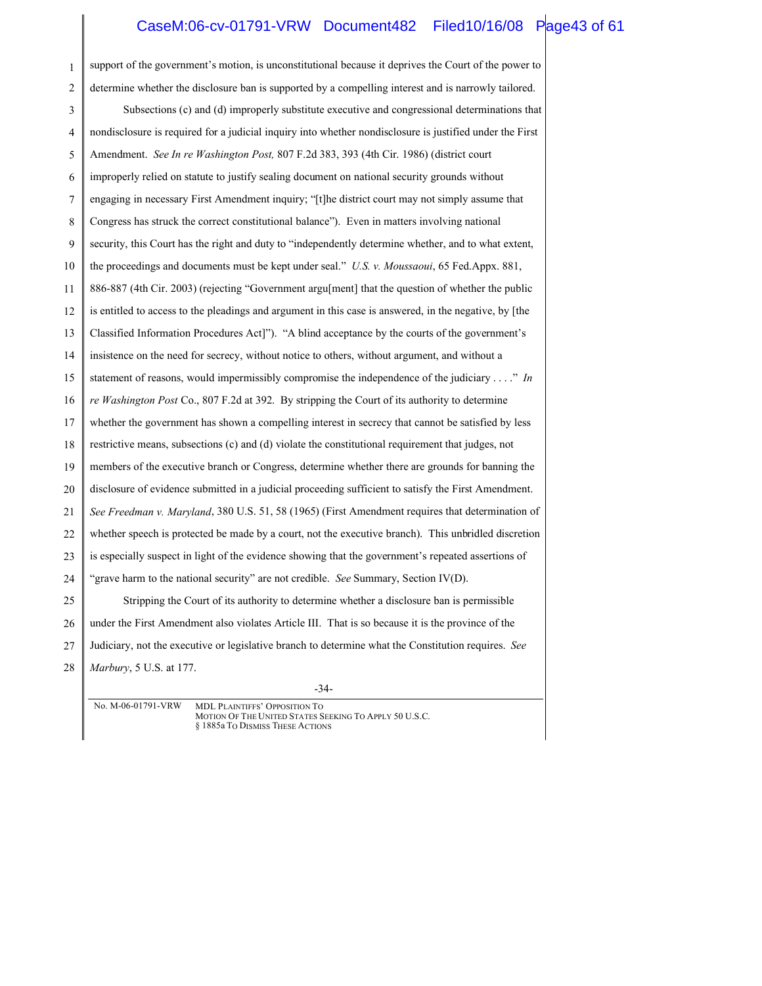#### CaseM:06-cv-01791-VRW Document482 Filed10/16/08 Page43 of 61

1 2 3 4 5 6 7 8 9 10 11 12 13 14 15 16 17 18 19 20 21 22 23 24 25 26 27 28 support of the government's motion, is unconstitutional because it deprives the Court of the power to determine whether the disclosure ban is supported by a compelling interest and is narrowly tailored. Subsections (c) and (d) improperly substitute executive and congressional determinations that nondisclosure is required for a judicial inquiry into whether nondisclosure is justified under the First Amendment. *See In re Washington Post,* 807 F.2d 383, 393 (4th Cir. 1986) (district court improperly relied on statute to justify sealing document on national security grounds without engaging in necessary First Amendment inquiry; "[t]he district court may not simply assume that Congress has struck the correct constitutional balance"). Even in matters involving national security, this Court has the right and duty to "independently determine whether, and to what extent, the proceedings and documents must be kept under seal." *U.S. v. Moussaoui*, 65 Fed.Appx. 881, 886-887 (4th Cir. 2003) (rejecting "Government argu[ment] that the question of whether the public is entitled to access to the pleadings and argument in this case is answered, in the negative, by [the Classified Information Procedures Act]"). "A blind acceptance by the courts of the government's insistence on the need for secrecy, without notice to others, without argument, and without a statement of reasons, would impermissibly compromise the independence of the judiciary . . . ." *In re Washington Post* Co., 807 F.2d at 392. By stripping the Court of its authority to determine whether the government has shown a compelling interest in secrecy that cannot be satisfied by less restrictive means, subsections (c) and (d) violate the constitutional requirement that judges, not members of the executive branch or Congress, determine whether there are grounds for banning the disclosure of evidence submitted in a judicial proceeding sufficient to satisfy the First Amendment. *See Freedman v. Maryland*, 380 U.S. 51, 58 (1965) (First Amendment requires that determination of whether speech is protected be made by a court, not the executive branch). This unbridled discretion is especially suspect in light of the evidence showing that the government's repeated assertions of "grave harm to the national security" are not credible. *See* Summary, Section IV(D). Stripping the Court of its authority to determine whether a disclosure ban is permissible under the First Amendment also violates Article III. That is so because it is the province of the Judiciary, not the executive or legislative branch to determine what the Constitution requires. *See Marbury*, 5 U.S. at 177.

-34-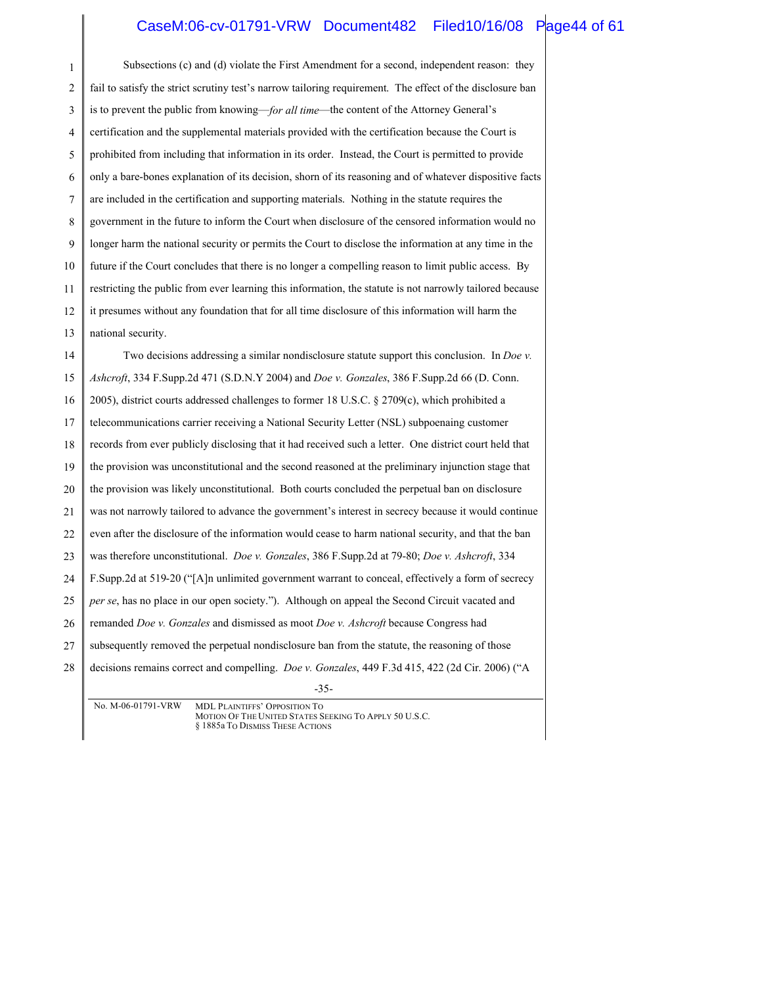#### CaseM:06-cv-01791-VRW Document482 Filed10/16/08 Page44 of 61

-35- 1 2 3 4 5 6 7 8 9 10 11 12 13 14 15 16 17 18 19 20 21 22 23 24 25 26 27 28 Subsections (c) and (d) violate the First Amendment for a second, independent reason: they fail to satisfy the strict scrutiny test's narrow tailoring requirement. The effect of the disclosure ban is to prevent the public from knowing—*for all time*—the content of the Attorney General's certification and the supplemental materials provided with the certification because the Court is prohibited from including that information in its order. Instead, the Court is permitted to provide only a bare-bones explanation of its decision, shorn of its reasoning and of whatever dispositive facts are included in the certification and supporting materials. Nothing in the statute requires the government in the future to inform the Court when disclosure of the censored information would no longer harm the national security or permits the Court to disclose the information at any time in the future if the Court concludes that there is no longer a compelling reason to limit public access. By restricting the public from ever learning this information, the statute is not narrowly tailored because it presumes without any foundation that for all time disclosure of this information will harm the national security. Two decisions addressing a similar nondisclosure statute support this conclusion. In *Doe v. Ashcroft*, 334 F.Supp.2d 471 (S.D.N.Y 2004) and *Doe v. Gonzales*, 386 F.Supp.2d 66 (D. Conn. 2005), district courts addressed challenges to former 18 U.S.C. § 2709(c), which prohibited a telecommunications carrier receiving a National Security Letter (NSL) subpoenaing customer records from ever publicly disclosing that it had received such a letter. One district court held that the provision was unconstitutional and the second reasoned at the preliminary injunction stage that the provision was likely unconstitutional. Both courts concluded the perpetual ban on disclosure was not narrowly tailored to advance the government's interest in secrecy because it would continue even after the disclosure of the information would cease to harm national security, and that the ban was therefore unconstitutional. *Doe v. Gonzales*, 386 F.Supp.2d at 79-80; *Doe v. Ashcroft*, 334 F.Supp.2d at 519-20 ("[A]n unlimited government warrant to conceal, effectively a form of secrecy *per se*, has no place in our open society."). Although on appeal the Second Circuit vacated and remanded *Doe v. Gonzales* and dismissed as moot *Doe v. Ashcroft* because Congress had subsequently removed the perpetual nondisclosure ban from the statute, the reasoning of those decisions remains correct and compelling. *Doe v. Gonzales*, 449 F.3d 415, 422 (2d Cir. 2006) ("A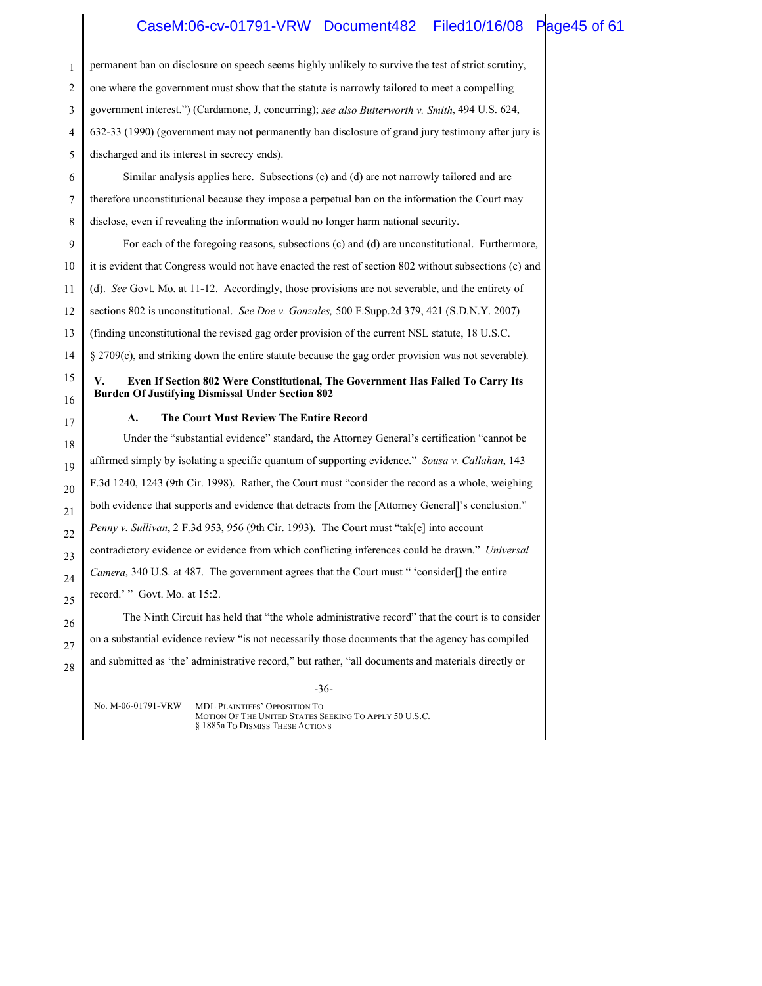### CaseM:06-cv-01791-VRW Document482 Filed10/16/08 Page45 of 61

| 1  | permanent ban on disclosure on speech seems highly unlikely to survive the test of strict scrutiny,    |
|----|--------------------------------------------------------------------------------------------------------|
| 2  | one where the government must show that the statute is narrowly tailored to meet a compelling          |
| 3  | government interest.") (Cardamone, J, concurring); see also Butterworth v. Smith, 494 U.S. 624,        |
| 4  | 632-33 (1990) (government may not permanently ban disclosure of grand jury testimony after jury is     |
| 5  | discharged and its interest in secrecy ends).                                                          |
| 6  | Similar analysis applies here. Subsections (c) and (d) are not narrowly tailored and are               |
| 7  | therefore unconstitutional because they impose a perpetual ban on the information the Court may        |
| 8  | disclose, even if revealing the information would no longer harm national security.                    |
| 9  | For each of the foregoing reasons, subsections (c) and (d) are unconstitutional. Furthermore,          |
| 10 | it is evident that Congress would not have enacted the rest of section 802 without subsections (c) and |
| 11 | (d). See Govt. Mo. at $11-12$ . Accordingly, those provisions are not severable, and the entirety of   |
| 12 | sections 802 is unconstitutional. See Doe v. Gonzales, 500 F.Supp.2d 379, 421 (S.D.N.Y. 2007)          |
| 13 | (finding unconstitutional the revised gag order provision of the current NSL statute, 18 U.S.C.)       |
| 14 | $\S$ 2709(c), and striking down the entire statute because the gag order provision was not severable). |
|    |                                                                                                        |
| 15 | V.<br>Even If Section 802 Were Constitutional, The Government Has Failed To Carry Its                  |
| 16 | <b>Burden Of Justifying Dismissal Under Section 802</b>                                                |
| 17 | The Court Must Review The Entire Record<br>$\mathbf{A}$ .                                              |
| 18 | Under the "substantial evidence" standard, the Attorney General's certification "cannot be             |
| 19 | affirmed simply by isolating a specific quantum of supporting evidence." Sousa v. Callahan, 143        |
| 20 | F.3d 1240, 1243 (9th Cir. 1998). Rather, the Court must "consider the record as a whole, weighing      |
| 21 | both evidence that supports and evidence that detracts from the [Attorney General]'s conclusion."      |
| 22 | Penny v. Sullivan, 2 F.3d 953, 956 (9th Cir. 1993). The Court must "tak[e] into account                |
| 23 | contradictory evidence or evidence from which conflicting inferences could be drawn." Universal        |
| 24 | Camera, 340 U.S. at 487. The government agrees that the Court must "'consider[] the entire             |
| 25 | record.'" Govt. Mo. at 15:2.                                                                           |
| 26 | The Ninth Circuit has held that "the whole administrative record" that the court is to consider        |
| 27 | on a substantial evidence review "is not necessarily those documents that the agency has compiled      |
| 28 | and submitted as 'the' administrative record," but rather, "all documents and materials directly or    |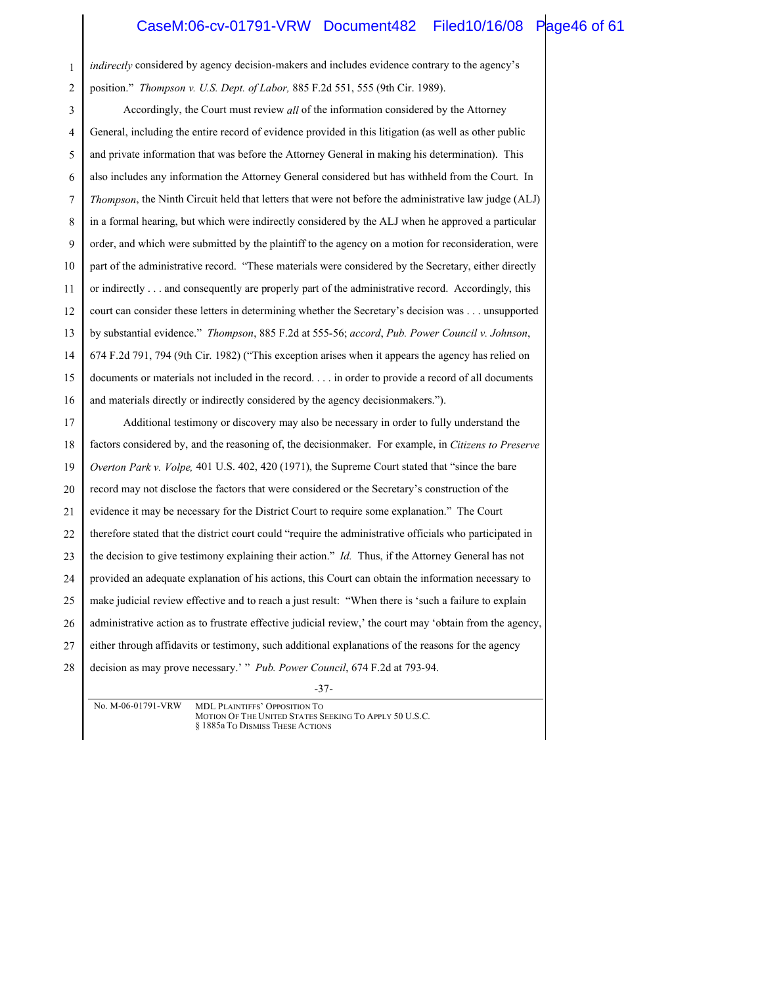### CaseM:06-cv-01791-VRW Document482 Filed10/16/08 Page46 of 61

-37- 1 2 3 4 5 6 7 8 9 10 11 12 13 14 15 16 17 18 19 20 21 22 23 24 25 26 27 28 *indirectly* considered by agency decision-makers and includes evidence contrary to the agency's position." *Thompson v. U.S. Dept. of Labor,* 885 F.2d 551, 555 (9th Cir. 1989). Accordingly, the Court must review *all* of the information considered by the Attorney General, including the entire record of evidence provided in this litigation (as well as other public and private information that was before the Attorney General in making his determination). This also includes any information the Attorney General considered but has withheld from the Court. In *Thompson*, the Ninth Circuit held that letters that were not before the administrative law judge (ALJ) in a formal hearing, but which were indirectly considered by the ALJ when he approved a particular order, and which were submitted by the plaintiff to the agency on a motion for reconsideration, were part of the administrative record. "These materials were considered by the Secretary, either directly or indirectly . . . and consequently are properly part of the administrative record. Accordingly, this court can consider these letters in determining whether the Secretary's decision was . . . unsupported by substantial evidence." *Thompson*, 885 F.2d at 555-56; *accord*, *Pub. Power Council v. Johnson*, 674 F.2d 791, 794 (9th Cir. 1982) ("This exception arises when it appears the agency has relied on documents or materials not included in the record. . . . in order to provide a record of all documents and materials directly or indirectly considered by the agency decisionmakers."). Additional testimony or discovery may also be necessary in order to fully understand the factors considered by, and the reasoning of, the decisionmaker. For example, in *Citizens to Preserve Overton Park v. Volpe,* 401 U.S. 402, 420 (1971), the Supreme Court stated that "since the bare record may not disclose the factors that were considered or the Secretary's construction of the evidence it may be necessary for the District Court to require some explanation." The Court therefore stated that the district court could "require the administrative officials who participated in the decision to give testimony explaining their action." *Id.* Thus, if the Attorney General has not provided an adequate explanation of his actions, this Court can obtain the information necessary to make judicial review effective and to reach a just result: "When there is 'such a failure to explain administrative action as to frustrate effective judicial review,' the court may 'obtain from the agency, either through affidavits or testimony, such additional explanations of the reasons for the agency decision as may prove necessary.' " *Pub. Power Council*, 674 F.2d at 793-94.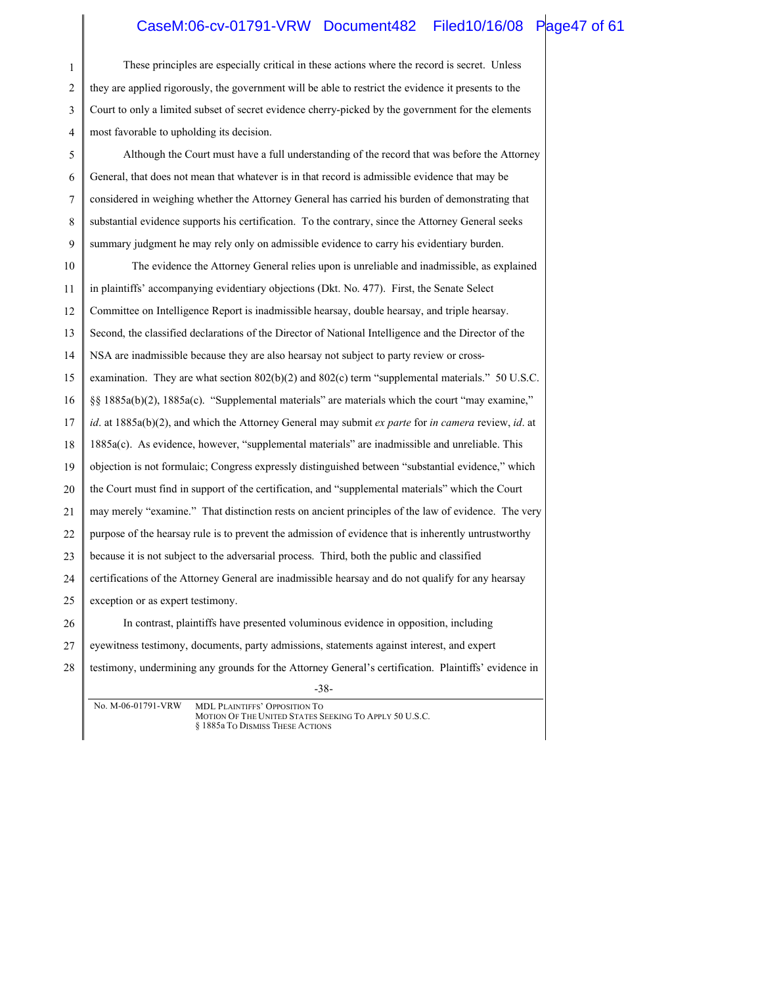### CaseM:06-cv-01791-VRW Document482 Filed10/16/08 Page47 of 61

| These principles are especially critical in these actions where the record is secret. Unless           |
|--------------------------------------------------------------------------------------------------------|
| they are applied rigorously, the government will be able to restrict the evidence it presents to the   |
| Court to only a limited subset of secret evidence cherry-picked by the government for the elements     |
| most favorable to upholding its decision.                                                              |
| Although the Court must have a full understanding of the record that was before the Attorney           |
| General, that does not mean that whatever is in that record is admissible evidence that may be         |
| considered in weighing whether the Attorney General has carried his burden of demonstrating that       |
| substantial evidence supports his certification. To the contrary, since the Attorney General seeks     |
| summary judgment he may rely only on admissible evidence to carry his evidentiary burden.              |
| The evidence the Attorney General relies upon is unreliable and inadmissible, as explained             |
| in plaintiffs' accompanying evidentiary objections (Dkt. No. 477). First, the Senate Select            |
| Committee on Intelligence Report is inadmissible hearsay, double hearsay, and triple hearsay.          |
| Second, the classified declarations of the Director of National Intelligence and the Director of the   |
| NSA are inadmissible because they are also hearsay not subject to party review or cross-               |
| examination. They are what section $802(b)(2)$ and $802(c)$ term "supplemental materials." 50 U.S.C.   |
| §§ 1885a(b)(2), 1885a(c). "Supplemental materials" are materials which the court "may examine,"        |
| id. at $1885a(b)(2)$ , and which the Attorney General may submit ex parte for in camera review, id. at |
| 1885a(c). As evidence, however, "supplemental materials" are inadmissible and unreliable. This         |
| objection is not formulaic; Congress expressly distinguished between "substantial evidence," which     |
| the Court must find in support of the certification, and "supplemental materials" which the Court      |
| may merely "examine." That distinction rests on ancient principles of the law of evidence. The very    |
| purpose of the hearsay rule is to prevent the admission of evidence that is inherently untrustworthy   |
| because it is not subject to the adversarial process. Third, both the public and classified            |
| certifications of the Attorney General are inadmissible hearsay and do not qualify for any hearsay     |
| exception or as expert testimony.                                                                      |
| In contrast, plaintiffs have presented voluminous evidence in opposition, including                    |
| eyewitness testimony, documents, party admissions, statements against interest, and expert             |
| testimony, undermining any grounds for the Attorney General's certification. Plaintiffs' evidence in   |
| $-38-$<br>No. M-06-01791-VRW MDL PLAINTIEES' OPPOSITION TO                                             |
|                                                                                                        |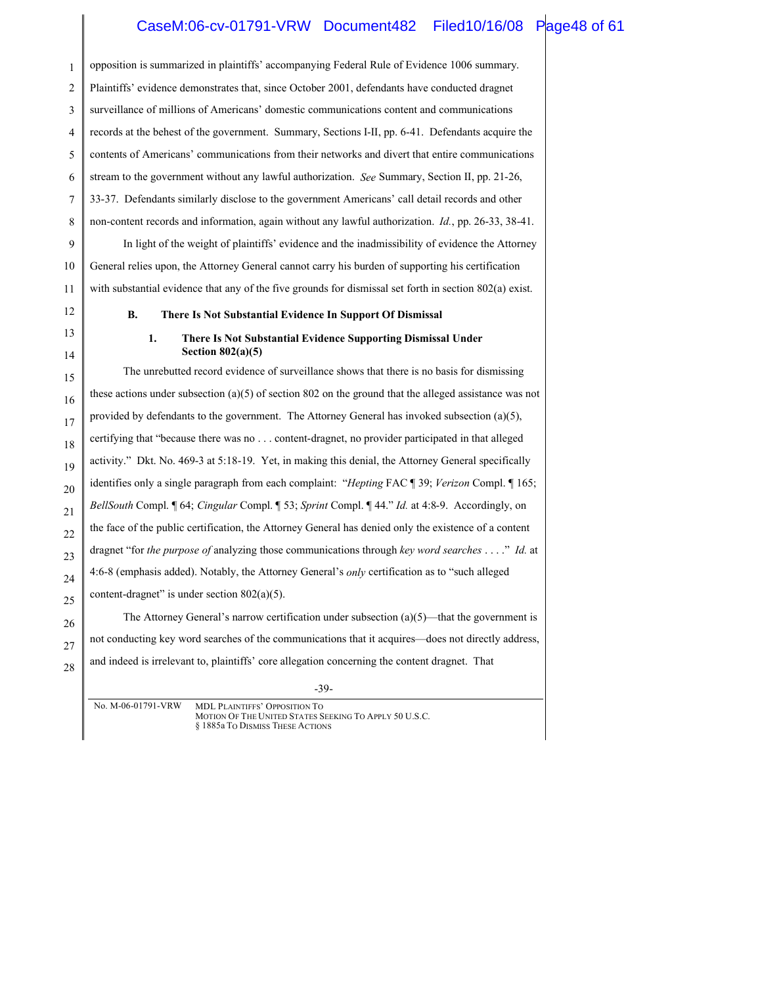#### CaseM:06-cv-01791-VRW Document482 Filed10/16/08 Page48 of 61

1 2 3 4 5 6 7 8 9 10 11 12 13 14 15 16 17 18 19 20 21 22 23 opposition is summarized in plaintiffs' accompanying Federal Rule of Evidence 1006 summary. Plaintiffs' evidence demonstrates that, since October 2001, defendants have conducted dragnet surveillance of millions of Americans' domestic communications content and communications records at the behest of the government. Summary, Sections I-II, pp. 6-41. Defendants acquire the contents of Americans' communications from their networks and divert that entire communications stream to the government without any lawful authorization. *See* Summary, Section II, pp. 21-26, 33-37. Defendants similarly disclose to the government Americans' call detail records and other non-content records and information, again without any lawful authorization. *Id.*, pp. 26-33, 38-41. In light of the weight of plaintiffs' evidence and the inadmissibility of evidence the Attorney General relies upon, the Attorney General cannot carry his burden of supporting his certification with substantial evidence that any of the five grounds for dismissal set forth in section 802(a) exist. **B. There Is Not Substantial Evidence In Support Of Dismissal 1. There Is Not Substantial Evidence Supporting Dismissal Under Section 802(a)(5)** The unrebutted record evidence of surveillance shows that there is no basis for dismissing these actions under subsection (a)(5) of section 802 on the ground that the alleged assistance was not provided by defendants to the government. The Attorney General has invoked subsection  $(a)(5)$ , certifying that "because there was no . . . content-dragnet, no provider participated in that alleged activity." Dkt. No. 469-3 at 5:18-19. Yet, in making this denial, the Attorney General specifically identifies only a single paragraph from each complaint: "*Hepting* FAC ¶ 39; *Verizon* Compl. ¶ 165; *BellSouth* Compl. ¶ 64; *Cingular* Compl. ¶ 53; *Sprint* Compl. ¶ 44." *Id.* at 4:8-9. Accordingly, on the face of the public certification, the Attorney General has denied only the existence of a content dragnet "for *the purpose of* analyzing those communications through *key word searches* . . . ." *Id.* at

24 4:6-8 (emphasis added). Notably, the Attorney General's *only* certification as to "such alleged

25 content-dragnet" is under section  $802(a)(5)$ .

26 27 28

The Attorney General's narrow certification under subsection  $(a)(5)$ —that the government is not conducting key word searches of the communications that it acquires—does not directly address, and indeed is irrelevant to, plaintiffs' core allegation concerning the content dragnet. That

<sup>-39-</sup>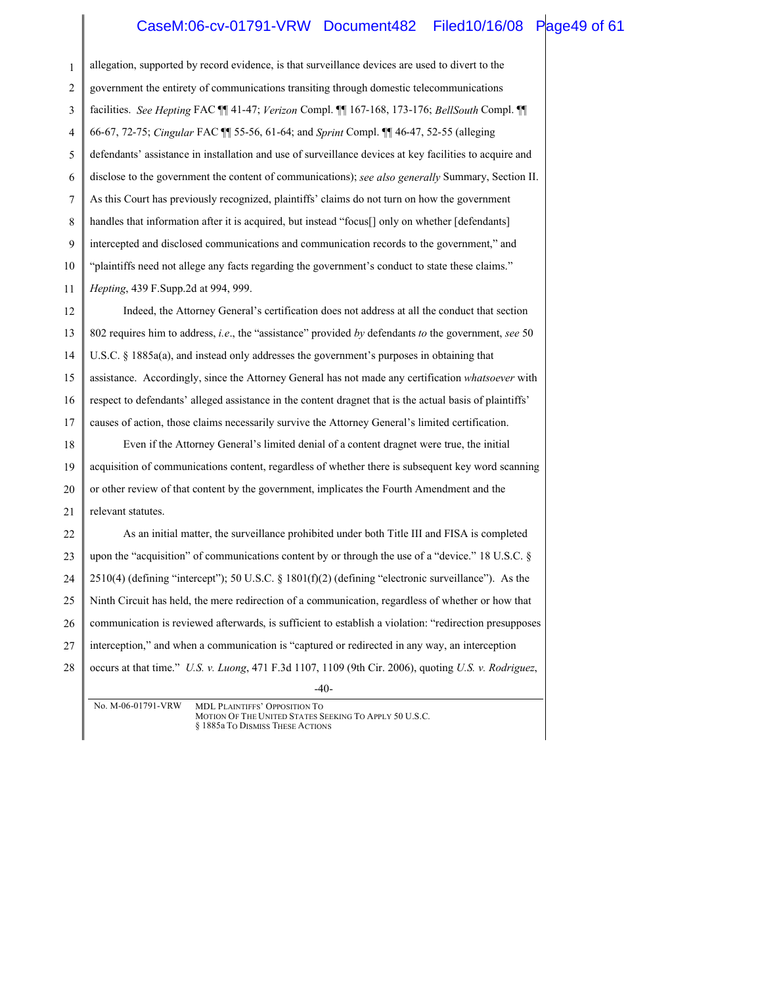### CaseM:06-cv-01791-VRW Document482 Filed10/16/08 Page49 of 61

| allegation, supported by record evidence, is that surveillance devices are used to divert to the             |
|--------------------------------------------------------------------------------------------------------------|
| government the entirety of communications transiting through domestic telecommunications                     |
| facilities. See Hepting FAC [[ 41-47; Verizon Compl. [[ 167-168, 173-176; BellSouth Compl. [[                |
| 66-67, 72-75; Cingular FAC ¶ 55-56, 61-64; and Sprint Compl. ¶ 46-47, 52-55 (alleging                        |
| defendants' assistance in installation and use of surveillance devices at key facilities to acquire and      |
| disclose to the government the content of communications); see also generally Summary, Section II.           |
| As this Court has previously recognized, plaintiffs' claims do not turn on how the government                |
| handles that information after it is acquired, but instead "focus[] only on whether [defendants]             |
| intercepted and disclosed communications and communication records to the government," and                   |
| "plaintiffs need not allege any facts regarding the government's conduct to state these claims."             |
| Hepting, 439 F.Supp.2d at 994, 999.                                                                          |
| Indeed, the Attorney General's certification does not address at all the conduct that section                |
| 802 requires him to address, <i>i.e.</i> , the "assistance" provided by defendants to the government, see 50 |
| U.S.C. $\S$ 1885a(a), and instead only addresses the government's purposes in obtaining that                 |
| assistance. Accordingly, since the Attorney General has not made any certification whatsoever with           |
| respect to defendants' alleged assistance in the content dragnet that is the actual basis of plaintiffs'     |
| causes of action, those claims necessarily survive the Attorney General's limited certification.             |
| Even if the Attorney General's limited denial of a content dragnet were true, the initial                    |
| acquisition of communications content, regardless of whether there is subsequent key word scanning           |
| or other review of that content by the government, implicates the Fourth Amendment and the                   |
| relevant statutes.                                                                                           |
| As an initial matter, the surveillance prohibited under both Title III and FISA is completed                 |
| upon the "acquisition" of communications content by or through the use of a "device." 18 U.S.C. §            |
| $2510(4)$ (defining "intercept"); 50 U.S.C. § 1801(f)(2) (defining "electronic surveillance"). As the        |
| Ninth Circuit has held, the mere redirection of a communication, regardless of whether or how that           |
| communication is reviewed afterwards, is sufficient to establish a violation: "redirection presupposes       |
| interception," and when a communication is "captured or redirected in any way, an interception               |
| occurs at that time." U.S. v. Luong, 471 F.3d 1107, 1109 (9th Cir. 2006), quoting U.S. v. Rodriguez,         |
| $-40-$                                                                                                       |
|                                                                                                              |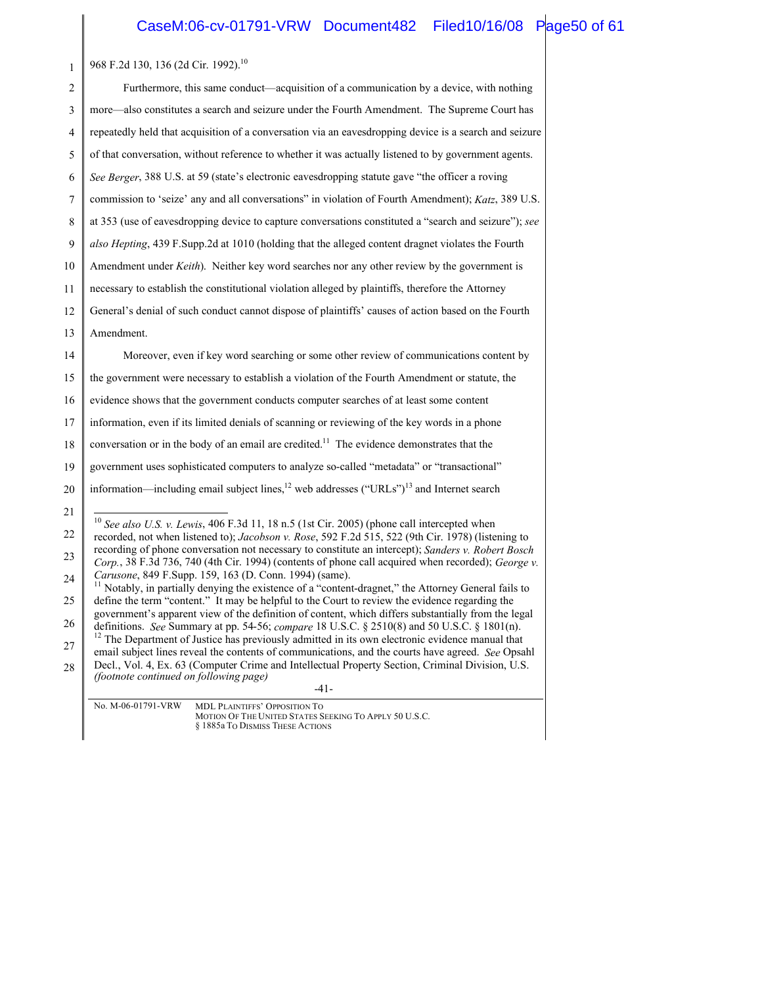### CaseM:06-cv-01791-VRW Document482 Filed10/16/08 Page50 of 61

| $\mathbf{1}$ | 968 F.2d 130, 136 (2d Cir. 1992). <sup>10</sup>                                                                                                                                                                 |
|--------------|-----------------------------------------------------------------------------------------------------------------------------------------------------------------------------------------------------------------|
| 2            | Furthermore, this same conduct—acquisition of a communication by a device, with nothing                                                                                                                         |
| 3            | more—also constitutes a search and seizure under the Fourth Amendment. The Supreme Court has                                                                                                                    |
| 4            | repeatedly held that acquisition of a conversation via an eavesdropping device is a search and seizure                                                                                                          |
| 5            | of that conversation, without reference to whether it was actually listened to by government agents.                                                                                                            |
| 6            | See Berger, 388 U.S. at 59 (state's electronic eavesdropping statute gave "the officer a roving                                                                                                                 |
| 7            | commission to 'seize' any and all conversations" in violation of Fourth Amendment); Katz, 389 U.S.                                                                                                              |
| 8            | at 353 (use of eavesdropping device to capture conversations constituted a "search and seizure"); see                                                                                                           |
| 9            | also Hepting, 439 F.Supp.2d at 1010 (holding that the alleged content dragnet violates the Fourth                                                                                                               |
| 10           | Amendment under Keith). Neither key word searches nor any other review by the government is                                                                                                                     |
| 11           | necessary to establish the constitutional violation alleged by plaintiffs, therefore the Attorney                                                                                                               |
| 12           | General's denial of such conduct cannot dispose of plaintiffs' causes of action based on the Fourth                                                                                                             |
| 13           | Amendment.                                                                                                                                                                                                      |
| 14           | Moreover, even if key word searching or some other review of communications content by                                                                                                                          |
| 15           | the government were necessary to establish a violation of the Fourth Amendment or statute, the                                                                                                                  |
| 16           | evidence shows that the government conducts computer searches of at least some content                                                                                                                          |
| 17           | information, even if its limited denials of scanning or reviewing of the key words in a phone                                                                                                                   |
| 18           | conversation or in the body of an email are credited. <sup>11</sup> The evidence demonstrates that the                                                                                                          |
| 19           | government uses sophisticated computers to analyze so-called "metadata" or "transactional"                                                                                                                      |
| 20           | information—including email subject lines, <sup>12</sup> web addresses ("URLs") <sup>13</sup> and Internet search                                                                                               |
| 21           | $10$ See also U.S. v. Lewis, 406 F.3d 11, 18 n.5 (1st Cir. 2005) (phone call intercepted when                                                                                                                   |
| 22           | recorded, not when listened to); Jacobson v. Rose, 592 F.2d 515, 522 (9th Cir. 1978) (listening to                                                                                                              |
| 23           | recording of phone conversation not necessary to constitute an intercept); Sanders v. Robert Bosch<br>Corp., 38 F.3d 736, 740 (4th Cir. 1994) (contents of phone call acquired when recorded); George v.        |
| 24           | Carusone, 849 F.Supp. 159, 163 (D. Conn. 1994) (same).<br><sup>11</sup> Notably, in partially denying the existence of a "content-dragnet," the Attorney General fails to                                       |
| 25           | define the term "content." It may be helpful to the Court to review the evidence regarding the<br>government's apparent view of the definition of content, which differs substantially from the legal           |
| 26           | definitions. See Summary at pp. 54-56; compare 18 U.S.C. § 2510(8) and 50 U.S.C. § 1801(n).                                                                                                                     |
| 27           | <sup>12</sup> The Department of Justice has previously admitted in its own electronic evidence manual that<br>email subject lines reveal the contents of communications, and the courts have agreed. See Opsahl |
| 28           | Decl., Vol. 4, Ex. 63 (Computer Crime and Intellectual Property Section, Criminal Division, U.S.<br><i>(footnote continued on following page)</i>                                                               |
|              | -41-                                                                                                                                                                                                            |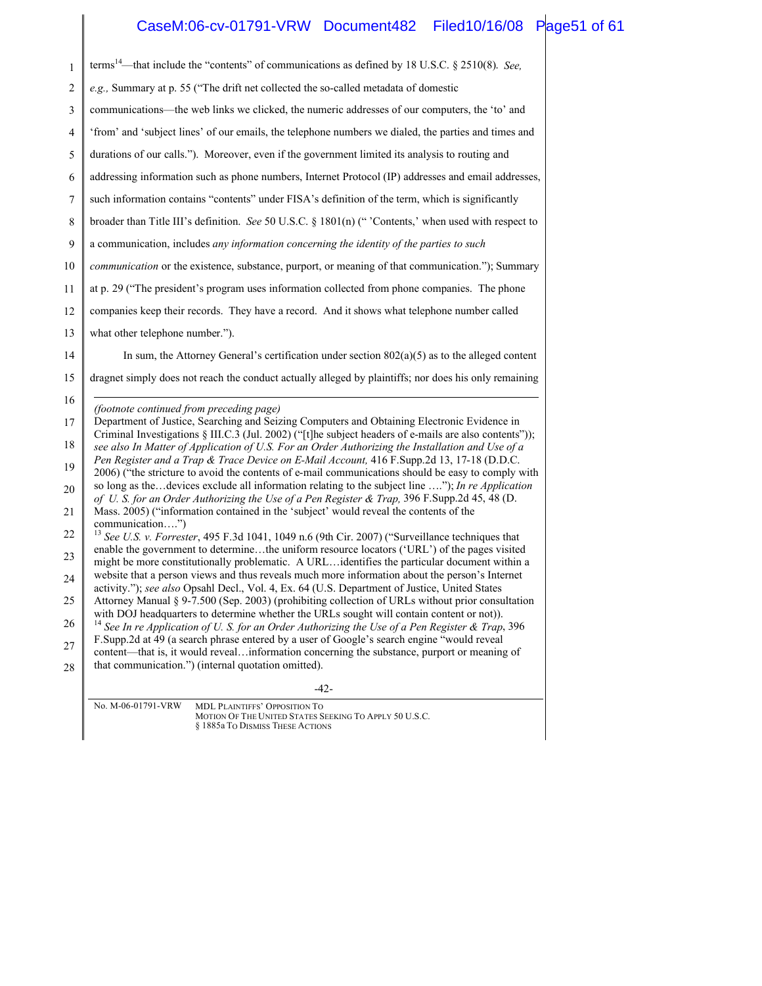## CaseM:06-cv-01791-VRW Document482 Filed10/16/08 Page51 of 61

| $\mathbf{1}$   | terms <sup>14</sup> —that include the "contents" of communications as defined by 18 U.S.C. § 2510(8). See,                                                                                                 |
|----------------|------------------------------------------------------------------------------------------------------------------------------------------------------------------------------------------------------------|
| $\overline{2}$ | e.g., Summary at p. 55 ("The drift net collected the so-called metadata of domestic                                                                                                                        |
| 3              | communications—the web links we clicked, the numeric addresses of our computers, the 'to' and                                                                                                              |
| 4              | 'from' and 'subject lines' of our emails, the telephone numbers we dialed, the parties and times and                                                                                                       |
| 5              | durations of our calls."). Moreover, even if the government limited its analysis to routing and                                                                                                            |
| 6              | addressing information such as phone numbers, Internet Protocol (IP) addresses and email addresses,                                                                                                        |
| 7              | such information contains "contents" under FISA's definition of the term, which is significantly                                                                                                           |
| 8              | broader than Title III's definition. See 50 U.S.C. § 1801(n) ("'Contents,' when used with respect to                                                                                                       |
| 9              | a communication, includes any information concerning the identity of the parties to such                                                                                                                   |
| 10             | <i>communication</i> or the existence, substance, purport, or meaning of that communication."); Summary                                                                                                    |
| 11             | at p. 29 ("The president's program uses information collected from phone companies. The phone                                                                                                              |
| 12             | companies keep their records. They have a record. And it shows what telephone number called                                                                                                                |
| 13             | what other telephone number.").                                                                                                                                                                            |
| 14             | In sum, the Attorney General's certification under section $802(a)(5)$ as to the alleged content                                                                                                           |
| 15             | dragnet simply does not reach the conduct actually alleged by plaintiffs; nor does his only remaining                                                                                                      |
| 16             |                                                                                                                                                                                                            |
| 17             | (footnote continued from preceding page)<br>Department of Justice, Searching and Seizing Computers and Obtaining Electronic Evidence in                                                                    |
| 18             | Criminal Investigations § III.C.3 (Jul. 2002) ("[t]he subject headers of e-mails are also contents"));<br>see also In Matter of Application of U.S. For an Order Authorizing the Installation and Use of a |
| 19             | Pen Register and a Trap & Trace Device on E-Mail Account, 416 F.Supp.2d 13, 17-18 (D.D.C.<br>2006) ("the stricture to avoid the contents of e-mail communications should be easy to comply with            |
| 20             | so long as the devices exclude all information relating to the subject line "); In re Application                                                                                                          |
| 21             | of U.S. for an Order Authorizing the Use of a Pen Register & Trap, 396 F.Supp.2d 45, 48 (D.<br>Mass. 2005) ("information contained in the 'subject' would reveal the contents of the                       |
| 22             | communication")<br><sup>13</sup> See U.S. v. Forrester, 495 F.3d 1041, 1049 n.6 (9th Cir. 2007) ("Surveillance techniques that                                                                             |
| 23             | enable the government to determinethe uniform resource locators ('URL') of the pages visited<br>might be more constitutionally problematic. A URLidentifies the particular document within a               |
| 24             | website that a person views and thus reveals much more information about the person's Internet                                                                                                             |
| 25             | activity."); see also Opsahl Decl., Vol. 4, Ex. 64 (U.S. Department of Justice, United States<br>Attorney Manual § 9-7.500 (Sep. 2003) (prohibiting collection of URLs without prior consultation          |
| 26             | with DOJ headquarters to determine whether the URLs sought will contain content or not)).<br>See In re Application of U.S. for an Order Authorizing the Use of a Pen Register & Trap, 396                  |
| 27             | F.Supp.2d at 49 (a search phrase entered by a user of Google's search engine "would reveal                                                                                                                 |
| 28             | content—that is, it would revealinformation concerning the substance, purport or meaning of<br>that communication.") (internal quotation omitted).                                                         |
|                | $-42-$                                                                                                                                                                                                     |
|                | $M \, 06.01701$ $VDW = Vgy = 0$                                                                                                                                                                            |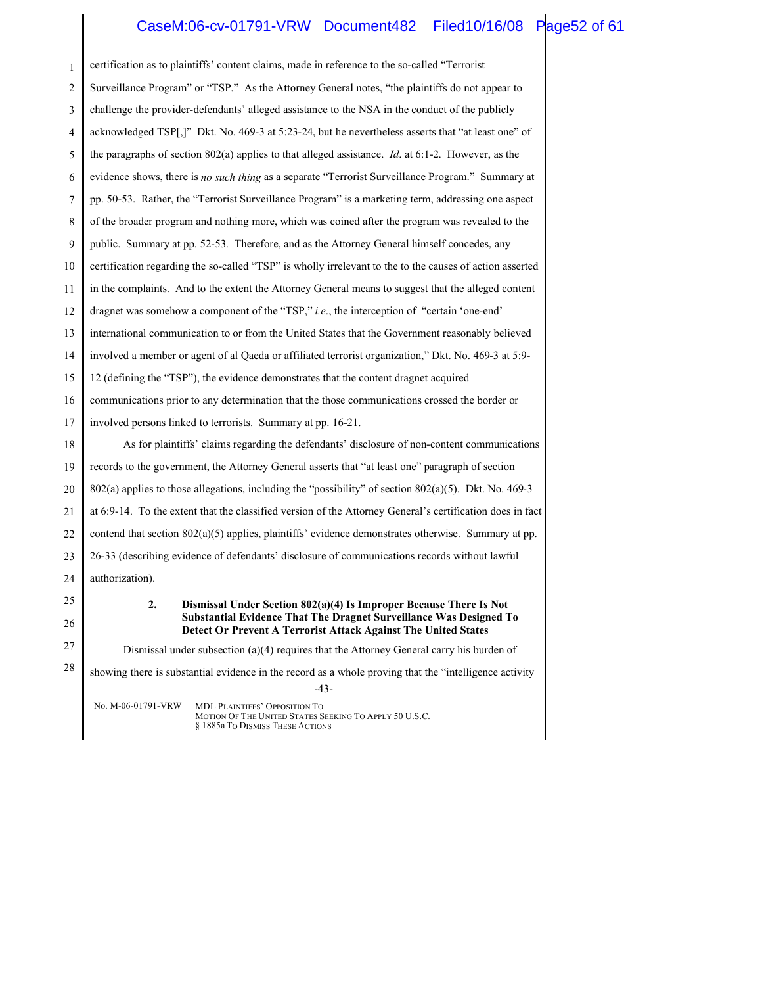### CaseM:06-cv-01791-VRW Document482 Filed10/16/08 Page52 of 61

| 1  | certification as to plaintiffs' content claims, made in reference to the so-called "Terrorist                                        |
|----|--------------------------------------------------------------------------------------------------------------------------------------|
| 2  | Surveillance Program" or "TSP." As the Attorney General notes, "the plaintiffs do not appear to                                      |
| 3  | challenge the provider-defendants' alleged assistance to the NSA in the conduct of the publicly                                      |
| 4  | acknowledged TSP[,]" Dkt. No. 469-3 at 5:23-24, but he nevertheless asserts that "at least one" of                                   |
| 5  | the paragraphs of section $802(a)$ applies to that alleged assistance. <i>Id.</i> at 6:1-2. However, as the                          |
| 6  | evidence shows, there is no such thing as a separate "Terrorist Surveillance Program." Summary at                                    |
| 7  | pp. 50-53. Rather, the "Terrorist Surveillance Program" is a marketing term, addressing one aspect                                   |
| 8  | of the broader program and nothing more, which was coined after the program was revealed to the                                      |
| 9  | public. Summary at pp. 52-53. Therefore, and as the Attorney General himself concedes, any                                           |
| 10 | certification regarding the so-called "TSP" is wholly irrelevant to the to the causes of action asserted                             |
| 11 | in the complaints. And to the extent the Attorney General means to suggest that the alleged content                                  |
| 12 | dragnet was somehow a component of the "TSP," $i.e.,$ the interception of "certain 'one-end"                                         |
| 13 | international communication to or from the United States that the Government reasonably believed                                     |
| 14 | involved a member or agent of al Qaeda or affiliated terrorist organization," Dkt. No. 469-3 at 5:9-                                 |
| 15 | 12 (defining the "TSP"), the evidence demonstrates that the content dragnet acquired                                                 |
| 16 | communications prior to any determination that the those communications crossed the border or                                        |
| 17 | involved persons linked to terrorists. Summary at pp. 16-21.                                                                         |
| 18 | As for plaintiffs' claims regarding the defendants' disclosure of non-content communications                                         |
| 19 | records to the government, the Attorney General asserts that "at least one" paragraph of section                                     |
| 20 | $802(a)$ applies to those allegations, including the "possibility" of section $802(a)(5)$ . Dkt. No. 469-3                           |
| 21 | at 6:9-14. To the extent that the classified version of the Attorney General's certification does in fact                            |
| 22 | contend that section $802(a)(5)$ applies, plaintiffs' evidence demonstrates otherwise. Summary at pp.                                |
| 23 | 26-33 (describing evidence of defendants' disclosure of communications records without lawful                                        |
| 24 | authorization).                                                                                                                      |
| 25 | Dismissal Under Section 802(a)(4) Is Improper Because There Is Not<br>2.                                                             |
| 26 | Substantial Evidence That The Dragnet Surveillance Was Designed To<br>Detect Or Prevent A Terrorist Attack Against The United States |
| 27 | Dismissal under subsection $(a)(4)$ requires that the Attorney General carry his burden of                                           |
| 28 | showing there is substantial evidence in the record as a whole proving that the "intelligence activity<br>$-43-$                     |
|    | No. M-06-01791-VRW<br>MDL PLAINTIFFS' OPPOSITION TO                                                                                  |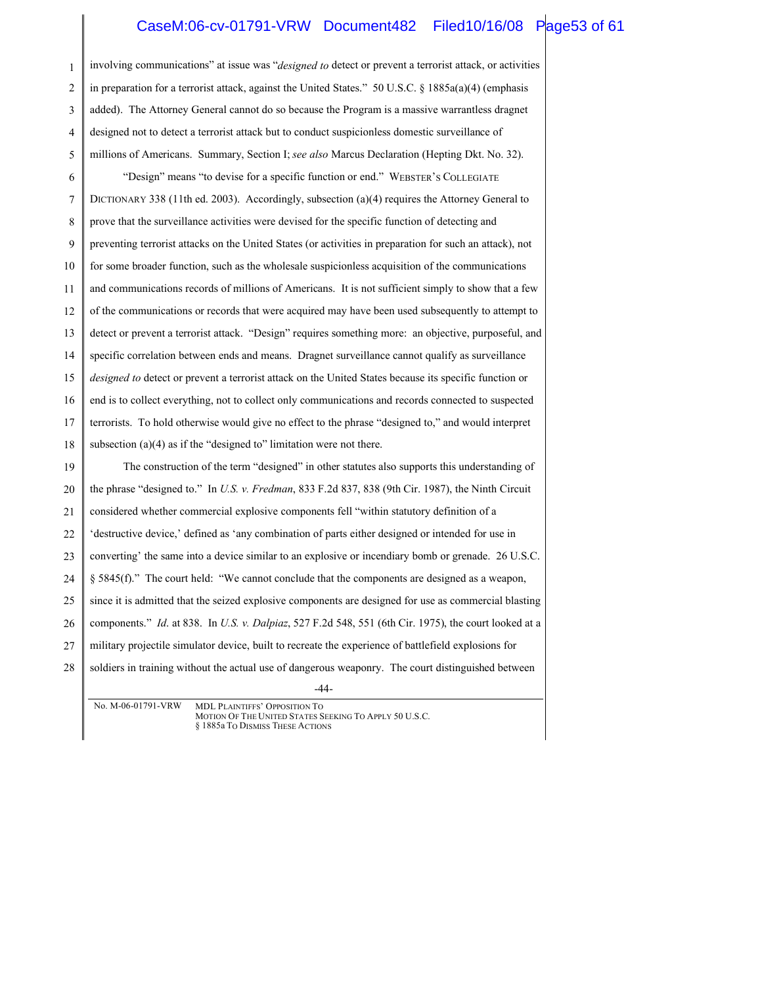### CaseM:06-cv-01791-VRW Document482 Filed10/16/08 Page53 of 61

| 1  | involving communications" at issue was "designed to detect or prevent a terrorist attack, or activities  |
|----|----------------------------------------------------------------------------------------------------------|
| 2  | in preparation for a terrorist attack, against the United States." $50$ U.S.C. § 1885a(a)(4) (emphasis   |
| 3  | added). The Attorney General cannot do so because the Program is a massive warrantless dragnet           |
| 4  | designed not to detect a terrorist attack but to conduct suspicionless domestic surveillance of          |
| 5  | millions of Americans. Summary, Section I; see also Marcus Declaration (Hepting Dkt. No. 32).            |
| 6  | "Design" means "to devise for a specific function or end." WEBSTER'S COLLEGIATE                          |
| 7  | DICTIONARY 338 (11th ed. 2003). Accordingly, subsection (a)(4) requires the Attorney General to          |
| 8  | prove that the surveillance activities were devised for the specific function of detecting and           |
| 9  | preventing terrorist attacks on the United States (or activities in preparation for such an attack), not |
| 10 | for some broader function, such as the wholesale suspicionless acquisition of the communications         |
| 11 | and communications records of millions of Americans. It is not sufficient simply to show that a few      |
| 12 | of the communications or records that were acquired may have been used subsequently to attempt to        |
| 13 | detect or prevent a terrorist attack. "Design" requires something more: an objective, purposeful, and    |
| 14 | specific correlation between ends and means. Dragnet surveillance cannot qualify as surveillance         |
| 15 | designed to detect or prevent a terrorist attack on the United States because its specific function or   |
| 16 | end is to collect everything, not to collect only communications and records connected to suspected      |
| 17 | terrorists. To hold otherwise would give no effect to the phrase "designed to," and would interpret      |
| 18 | subsection $(a)(4)$ as if the "designed to" limitation were not there.                                   |
| 19 | The construction of the term "designed" in other statutes also supports this understanding of            |
| 20 | the phrase "designed to." In U.S. v. Fredman, 833 F.2d 837, 838 (9th Cir. 1987), the Ninth Circuit       |
| 21 | considered whether commercial explosive components fell "within statutory definition of a                |
| 22 | 'destructive device,' defined as 'any combination of parts either designed or intended for use in        |
| 23 | converting' the same into a device similar to an explosive or incendiary bomb or grenade. 26 U.S.C.      |
| 24 | § 5845(f)." The court held: "We cannot conclude that the components are designed as a weapon,            |
| 25 | since it is admitted that the seized explosive components are designed for use as commercial blasting    |
| 26 | components." Id. at 838. In U.S. v. Dalpiaz, 527 F.2d 548, 551 (6th Cir. 1975), the court looked at a    |
| 27 | military projectile simulator device, built to recreate the experience of battlefield explosions for     |
| 28 | soldiers in training without the actual use of dangerous weaponry. The court distinguished between       |
|    | $-44-$                                                                                                   |
|    | No. M-06-01791-VRW MDL PLAINTIEES' OPPOSITION TO                                                         |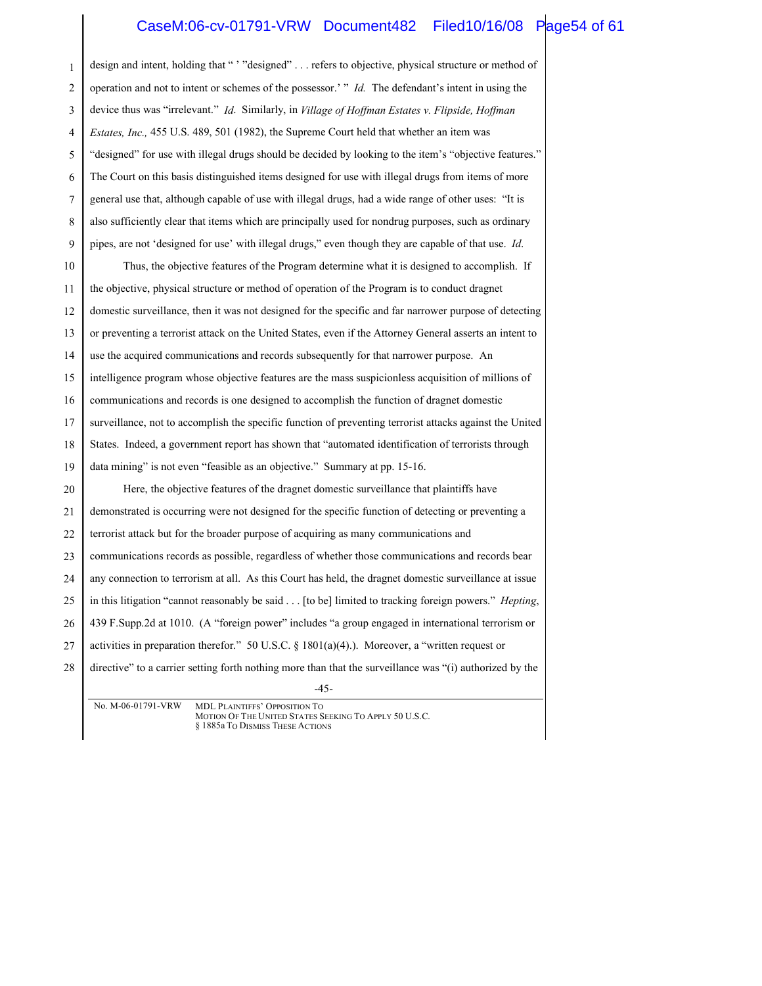#### CaseM:06-cv-01791-VRW Document482 Filed10/16/08 Page54 of 61

| $\mathbf{1}$ | design and intent, holding that "" "designed"  refers to objective, physical structure or method of            |
|--------------|----------------------------------------------------------------------------------------------------------------|
| 2            | operation and not to intent or schemes of the possessor." $\overline{d}$ . The defendant's intent in using the |
| 3            | device thus was "irrelevant." Id. Similarly, in Village of Hoffman Estates v. Flipside, Hoffman                |
| 4            | <i>Estates, Inc.,</i> 455 U.S. 489, 501 (1982), the Supreme Court held that whether an item was                |
| 5            | "designed" for use with illegal drugs should be decided by looking to the item's "objective features."         |
| 6            | The Court on this basis distinguished items designed for use with illegal drugs from items of more             |
| 7            | general use that, although capable of use with illegal drugs, had a wide range of other uses: "It is           |
| 8            | also sufficiently clear that items which are principally used for nondrug purposes, such as ordinary           |
| 9            | pipes, are not 'designed for use' with illegal drugs," even though they are capable of that use. Id.           |
| 10           | Thus, the objective features of the Program determine what it is designed to accomplish. If                    |
| 11           | the objective, physical structure or method of operation of the Program is to conduct dragnet                  |
| 12           | domestic surveillance, then it was not designed for the specific and far narrower purpose of detecting         |
| 13           | or preventing a terrorist attack on the United States, even if the Attorney General asserts an intent to       |
| 14           | use the acquired communications and records subsequently for that narrower purpose. An                         |
| 15           | intelligence program whose objective features are the mass suspicionless acquisition of millions of            |
| 16           | communications and records is one designed to accomplish the function of dragnet domestic                      |
| 17           | surveillance, not to accomplish the specific function of preventing terrorist attacks against the United       |
| 18           | States. Indeed, a government report has shown that "automated identification of terrorists through             |
| 19           | data mining" is not even "feasible as an objective." Summary at pp. 15-16.                                     |
| 20           | Here, the objective features of the dragnet domestic surveillance that plaintiffs have                         |
| 21           | demonstrated is occurring were not designed for the specific function of detecting or preventing a             |
| 22           | terrorist attack but for the broader purpose of acquiring as many communications and                           |
| 23           | communications records as possible, regardless of whether those communications and records bear                |
| 24           | any connection to terrorism at all. As this Court has held, the dragnet domestic surveillance at issue         |
| 25           | in this litigation "cannot reasonably be said [to be] limited to tracking foreign powers." <i>Hepting</i> ,    |
| 26           | 439 F.Supp.2d at 1010. (A "foreign power" includes "a group engaged in international terrorism or              |
| 27           | activities in preparation therefor." 50 U.S.C. § 1801(a)(4).). Moreover, a "written request or                 |
| 28           | directive" to a carrier setting forth nothing more than that the surveillance was "(i) authorized by the       |
|              | $-45-$<br>a series and                                                                                         |
|              | $\mathbf{M}$ $\mathbf{M}$ of 01701 $\mathbf{M}$                                                                |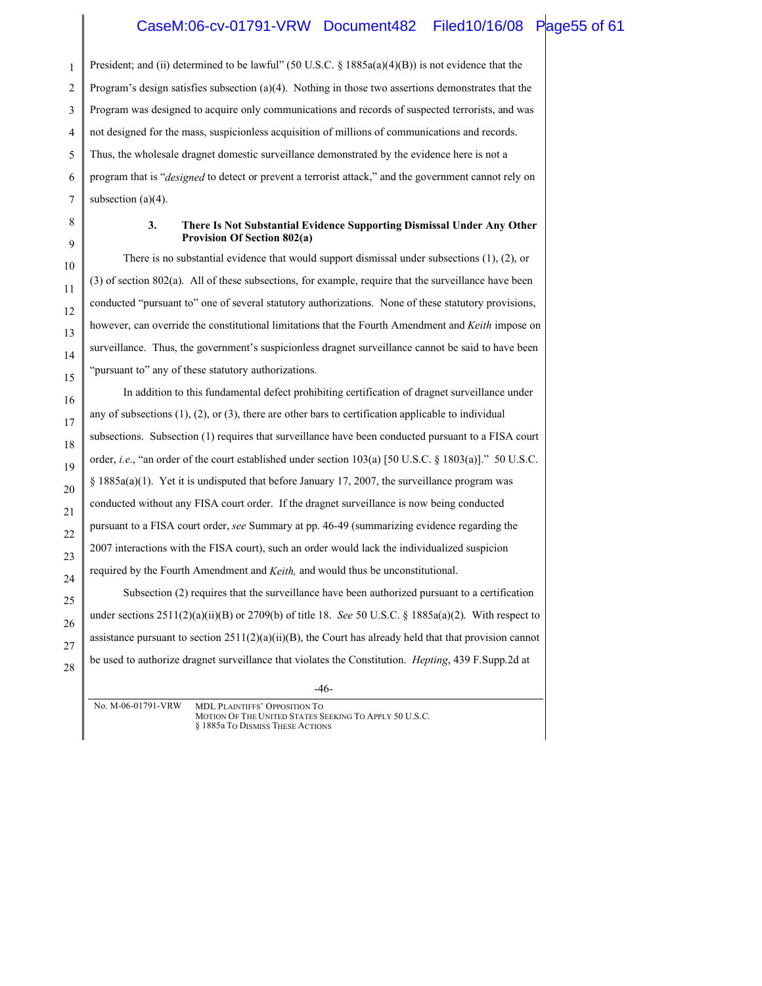#### CaseM:06-cv-01791-VRW Document482 Filed10/16/08 Page55 of 61

1 President; and (ii) determined to be lawful" (50 U.S.C.  $\S$  1885a(a)(4)(B)) is not evidence that the Program's design satisfies subsection (a)(4). Nothing in those two assertions demonstrates that the Program was designed to acquire only communications and records of suspected terrorists, and was not designed for the mass, suspicionless acquisition of millions of communications and records. Thus, the wholesale dragnet domestic surveillance demonstrated by the evidence here is not a program that is "*designed* to detect or prevent a terrorist attack," and the government cannot rely on subsection  $(a)(4)$ .

#### **3. There Is Not Substantial Evidence Supporting Dismissal Under Any Other Provision Of Section 802(a)**

There is no substantial evidence that would support dismissal under subsections (1), (2), or (3) of section 802(a). All of these subsections, for example, require that the surveillance have been conducted "pursuant to" one of several statutory authorizations. None of these statutory provisions, however, can override the constitutional limitations that the Fourth Amendment and *Keith* impose on surveillance. Thus, the government's suspicionless dragnet surveillance cannot be said to have been "pursuant to" any of these statutory authorizations.

In addition to this fundamental defect prohibiting certification of dragnet surveillance under any of subsections  $(1)$ ,  $(2)$ , or  $(3)$ , there are other bars to certification applicable to individual subsections. Subsection (1) requires that surveillance have been conducted pursuant to a FISA court order, *i.e*., "an order of the court established under section 103(a) [50 U.S.C. § 1803(a)]." 50 U.S.C.  $\S$  1885a(a)(1). Yet it is undisputed that before January 17, 2007, the surveillance program was conducted without any FISA court order. If the dragnet surveillance is now being conducted pursuant to a FISA court order, *see* Summary at pp. 46-49 (summarizing evidence regarding the 2007 interactions with the FISA court), such an order would lack the individualized suspicion required by the Fourth Amendment and *Keith,* and would thus be unconstitutional. Subsection (2) requires that the surveillance have been authorized pursuant to a certification under sections 2511(2)(a)(ii)(B) or 2709(b) of title 18. *See* 50 U.S.C. § 1885a(a)(2). With respect to

assistance pursuant to section  $2511(2)(a)(ii)(B)$ , the Court has already held that that provision cannot be used to authorize dragnet surveillance that violates the Constitution. *Hepting*, 439 F.Supp.2d at

-46-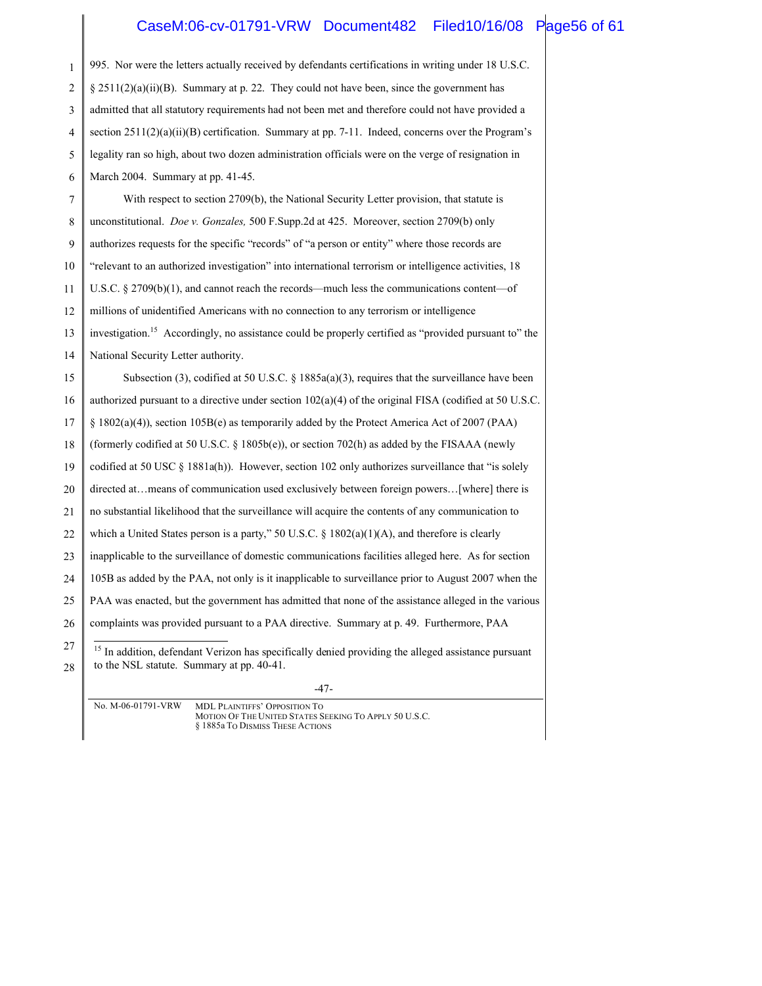### CaseM:06-cv-01791-VRW Document482 Filed10/16/08 Page56 of 61

| $\mathbf{1}$ | 995. Nor were the letters actually received by defendants certifications in writing under 18 U.S.C.                                                         |  |
|--------------|-------------------------------------------------------------------------------------------------------------------------------------------------------------|--|
| 2            | $\S$ 2511(2)(a)(ii)(B). Summary at p. 22. They could not have been, since the government has                                                                |  |
| 3            | admitted that all statutory requirements had not been met and therefore could not have provided a                                                           |  |
| 4            | section $2511(2)(a)(ii)(B)$ certification. Summary at pp. 7-11. Indeed, concerns over the Program's                                                         |  |
| 5            | legality ran so high, about two dozen administration officials were on the verge of resignation in                                                          |  |
| 6            | March 2004. Summary at pp. 41-45.                                                                                                                           |  |
| 7            | With respect to section 2709(b), the National Security Letter provision, that statute is                                                                    |  |
| 8            | unconstitutional. <i>Doe v. Gonzales</i> , 500 F.Supp.2d at 425. Moreover, section 2709(b) only                                                             |  |
| 9            | authorizes requests for the specific "records" of "a person or entity" where those records are                                                              |  |
| 10           | "relevant to an authorized investigation" into international terrorism or intelligence activities, 18                                                       |  |
| 11           | U.S.C. $\S$ 2709(b)(1), and cannot reach the records—much less the communications content—of                                                                |  |
| 12           | millions of unidentified Americans with no connection to any terrorism or intelligence                                                                      |  |
| 13           | investigation. <sup>15</sup> Accordingly, no assistance could be properly certified as "provided pursuant to" the                                           |  |
| 14           | National Security Letter authority.                                                                                                                         |  |
| 15           | Subsection (3), codified at 50 U.S.C. § 1885a(a)(3), requires that the surveillance have been                                                               |  |
| 16           | authorized pursuant to a directive under section $102(a)(4)$ of the original FISA (codified at 50 U.S.C.                                                    |  |
| 17           | § 1802(a)(4)), section 105B(e) as temporarily added by the Protect America Act of 2007 (PAA)                                                                |  |
| 18           | (formerly codified at 50 U.S.C. § 1805b(e)), or section 702(h) as added by the FISAAA (newly                                                                |  |
| 19           | codified at 50 USC § 1881a(h)). However, section 102 only authorizes surveillance that "is solely                                                           |  |
| 20           | directed atmeans of communication used exclusively between foreign powers[where] there is                                                                   |  |
| 21           | no substantial likelihood that the surveillance will acquire the contents of any communication to                                                           |  |
| 22           | which a United States person is a party," 50 U.S.C. § $1802(a)(1)(A)$ , and therefore is clearly                                                            |  |
| 23           | inapplicable to the surveillance of domestic communications facilities alleged here. As for section                                                         |  |
| 24           | 105B as added by the PAA, not only is it inapplicable to surveillance prior to August 2007 when the                                                         |  |
| 25           | PAA was enacted, but the government has admitted that none of the assistance alleged in the various                                                         |  |
| 26           | complaints was provided pursuant to a PAA directive. Summary at p. 49. Furthermore, PAA                                                                     |  |
| 27<br>28     | <sup>15</sup> In addition, defendant Verizon has specifically denied providing the alleged assistance pursuant<br>to the NSL statute. Summary at pp. 40-41. |  |

-47-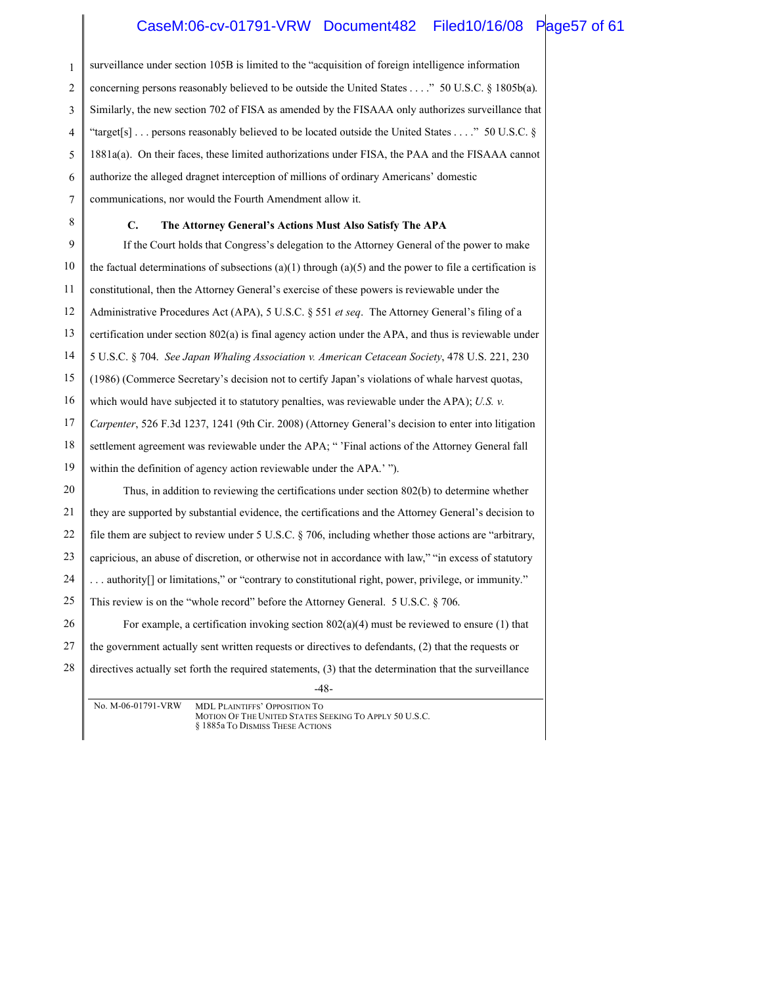### CaseM:06-cv-01791-VRW Document482 Filed10/16/08 Page57 of 61

| $\mathbf{1}$ | surveillance under section 105B is limited to the "acquisition of foreign intelligence information                                                       |
|--------------|----------------------------------------------------------------------------------------------------------------------------------------------------------|
| 2            | concerning persons reasonably believed to be outside the United States" 50 U.S.C. § 1805b(a).                                                            |
| 3            | Similarly, the new section 702 of FISA as amended by the FISAAA only authorizes surveillance that                                                        |
| 4            | "target[s]  persons reasonably believed to be located outside the United States " 50 U.S.C. $\S$                                                         |
| 5            | 1881a(a). On their faces, these limited authorizations under FISA, the PAA and the FISAAA cannot                                                         |
| 6            | authorize the alleged dragnet interception of millions of ordinary Americans' domestic                                                                   |
| 7            | communications, nor would the Fourth Amendment allow it.                                                                                                 |
| 8            | $\mathbf{C}$ .<br>The Attorney General's Actions Must Also Satisfy The APA                                                                               |
| 9            | If the Court holds that Congress's delegation to the Attorney General of the power to make                                                               |
| 10           | the factual determinations of subsections (a)(1) through (a)(5) and the power to file a certification is                                                 |
| 11           | constitutional, then the Attorney General's exercise of these powers is reviewable under the                                                             |
| 12           | Administrative Procedures Act (APA), 5 U.S.C. § 551 et seq. The Attorney General's filing of a                                                           |
| 13           | certification under section 802(a) is final agency action under the APA, and thus is reviewable under                                                    |
| 14           | 5 U.S.C. § 704. See Japan Whaling Association v. American Cetacean Society, 478 U.S. 221, 230                                                            |
| 15           | (1986) (Commerce Secretary's decision not to certify Japan's violations of whale harvest quotas,                                                         |
| 16           | which would have subjected it to statutory penalties, was reviewable under the APA); U.S. $\nu$ .                                                        |
| 17           | Carpenter, 526 F.3d 1237, 1241 (9th Cir. 2008) (Attorney General's decision to enter into litigation                                                     |
| 18           | settlement agreement was reviewable under the APA; "'Final actions of the Attorney General fall                                                          |
| 19           | within the definition of agency action reviewable under the APA.' ").                                                                                    |
| 20           | Thus, in addition to reviewing the certifications under section 802(b) to determine whether                                                              |
| 21           | they are supported by substantial evidence, the certifications and the Attorney General's decision to                                                    |
| 22           | file them are subject to review under 5 U.S.C. § 706, including whether those actions are "arbitrary,                                                    |
| 23           | capricious, an abuse of discretion, or otherwise not in accordance with law," "in excess of statutory                                                    |
| 24           | authority <sup>[]</sup> or limitations," or "contrary to constitutional right, power, privilege, or immunity."                                           |
| 25           | This review is on the "whole record" before the Attorney General. 5 U.S.C. § 706.                                                                        |
| 26           | For example, a certification invoking section $802(a)(4)$ must be reviewed to ensure (1) that                                                            |
| 27           | the government actually sent written requests or directives to defendants, (2) that the requests or                                                      |
| 28           | directives actually set forth the required statements, (3) that the determination that the surveillance                                                  |
|              | $-48-$                                                                                                                                                   |
|              | No. M-06-01791-VRW<br><b>MDL PLAINTIFFS' OPPOSITION TO</b><br>MOTION OF THE UNITED STATES SEEKING TO APPLY 50 U.S.C.<br>§ 1885a To DISMISS THESE ACTIONS |
|              |                                                                                                                                                          |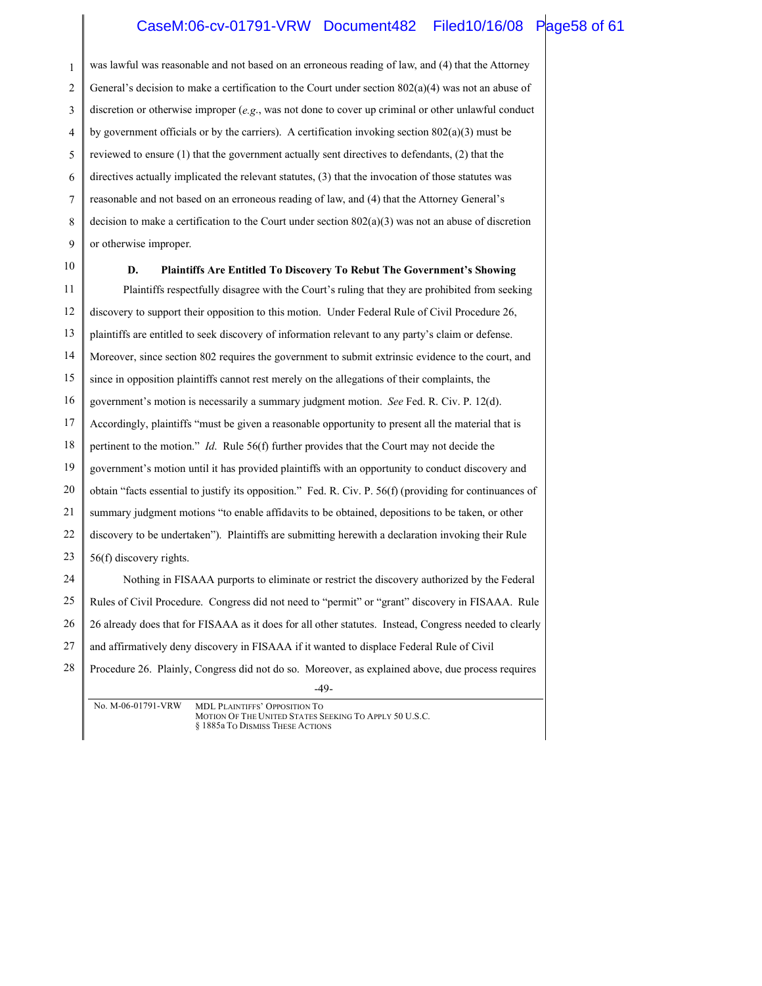# CaseM:06-cv-01791-VRW Document482 Filed10/16/08 Page58 of 61

| was lawful was reasonable and not based on an erroneous reading of law, and (4) that the Attorney           |  |  |  |  |  |
|-------------------------------------------------------------------------------------------------------------|--|--|--|--|--|
| General's decision to make a certification to the Court under section $802(a)(4)$ was not an abuse of       |  |  |  |  |  |
| discretion or otherwise improper (e.g., was not done to cover up criminal or other unlawful conduct         |  |  |  |  |  |
| by government officials or by the carriers). A certification invoking section $802(a)(3)$ must be           |  |  |  |  |  |
| reviewed to ensure (1) that the government actually sent directives to defendants, (2) that the             |  |  |  |  |  |
| directives actually implicated the relevant statutes, (3) that the invocation of those statutes was         |  |  |  |  |  |
| reasonable and not based on an erroneous reading of law, and (4) that the Attorney General's                |  |  |  |  |  |
| decision to make a certification to the Court under section $802(a)(3)$ was not an abuse of discretion      |  |  |  |  |  |
| or otherwise improper.                                                                                      |  |  |  |  |  |
| Plaintiffs Are Entitled To Discovery To Rebut The Government's Showing<br>D.                                |  |  |  |  |  |
| Plaintiffs respectfully disagree with the Court's ruling that they are prohibited from seeking              |  |  |  |  |  |
| discovery to support their opposition to this motion. Under Federal Rule of Civil Procedure 26,             |  |  |  |  |  |
| plaintiffs are entitled to seek discovery of information relevant to any party's claim or defense.          |  |  |  |  |  |
| Moreover, since section 802 requires the government to submit extrinsic evidence to the court, and          |  |  |  |  |  |
| since in opposition plaintiffs cannot rest merely on the allegations of their complaints, the               |  |  |  |  |  |
| government's motion is necessarily a summary judgment motion. See Fed. R. Civ. P. 12(d).                    |  |  |  |  |  |
| Accordingly, plaintiffs "must be given a reasonable opportunity to present all the material that is         |  |  |  |  |  |
| pertinent to the motion." Id. Rule 56(f) further provides that the Court may not decide the                 |  |  |  |  |  |
| government's motion until it has provided plaintiffs with an opportunity to conduct discovery and           |  |  |  |  |  |
| obtain "facts essential to justify its opposition." Fed. R. Civ. P. 56(f) (providing for continuances of    |  |  |  |  |  |
| summary judgment motions "to enable affidavits to be obtained, depositions to be taken, or other            |  |  |  |  |  |
| discovery to be undertaken"). Plaintiffs are submitting herewith a declaration invoking their Rule          |  |  |  |  |  |
| 56(f) discovery rights.                                                                                     |  |  |  |  |  |
| Nothing in FISAAA purports to eliminate or restrict the discovery authorized by the Federal                 |  |  |  |  |  |
| Rules of Civil Procedure. Congress did not need to "permit" or "grant" discovery in FISAAA. Rule            |  |  |  |  |  |
| 26 already does that for FISAAA as it does for all other statutes. Instead, Congress needed to clearly      |  |  |  |  |  |
| and affirmatively deny discovery in FISAAA if it wanted to displace Federal Rule of Civil                   |  |  |  |  |  |
| Procedure 26. Plainly, Congress did not do so. Moreover, as explained above, due process requires<br>$-49-$ |  |  |  |  |  |
|                                                                                                             |  |  |  |  |  |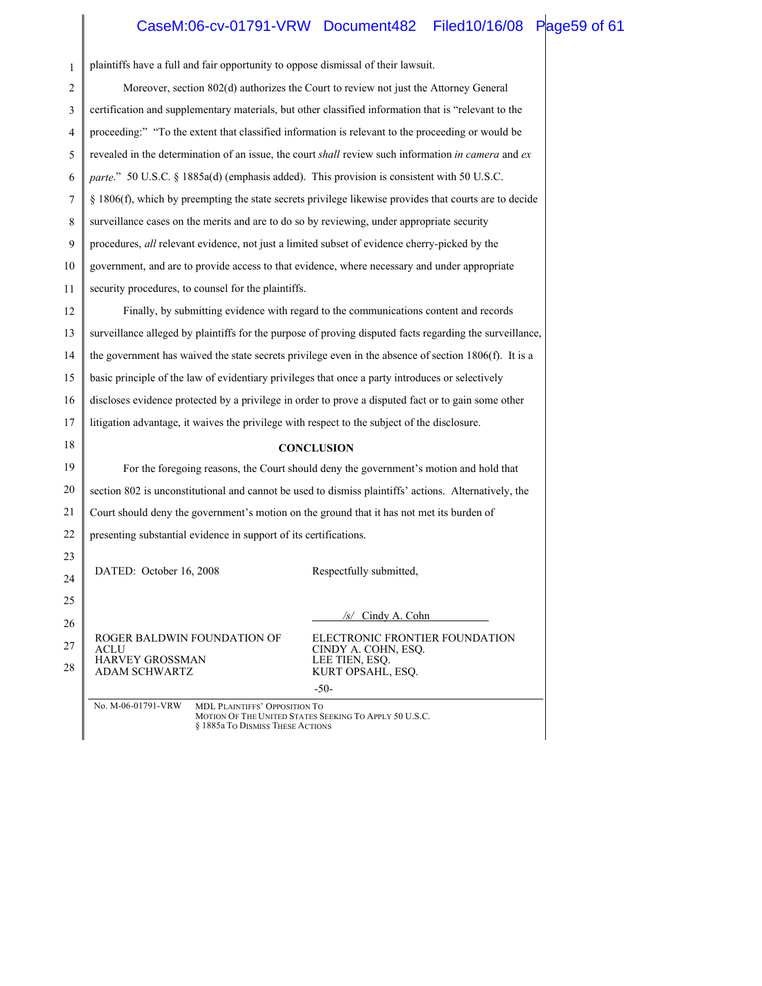# CaseM:06-cv-01791-VRW Document482 Filed10/16/08 Page59 of 61

| 1  | plaintiffs have a full and fair opportunity to oppose dismissal of their lawsuit.                                                                 |  |  |  |  |  |
|----|---------------------------------------------------------------------------------------------------------------------------------------------------|--|--|--|--|--|
| 2  | Moreover, section 802(d) authorizes the Court to review not just the Attorney General                                                             |  |  |  |  |  |
| 3  | certification and supplementary materials, but other classified information that is "relevant to the                                              |  |  |  |  |  |
| 4  | proceeding:" "To the extent that classified information is relevant to the proceeding or would be                                                 |  |  |  |  |  |
| 5  | revealed in the determination of an issue, the court shall review such information in camera and ex                                               |  |  |  |  |  |
| 6  | parte." 50 U.S.C. § 1885a(d) (emphasis added). This provision is consistent with 50 U.S.C.                                                        |  |  |  |  |  |
| 7  | § 1806(f), which by preempting the state secrets privilege likewise provides that courts are to decide                                            |  |  |  |  |  |
| 8  | surveillance cases on the merits and are to do so by reviewing, under appropriate security                                                        |  |  |  |  |  |
| 9  | procedures, all relevant evidence, not just a limited subset of evidence cherry-picked by the                                                     |  |  |  |  |  |
| 10 | government, and are to provide access to that evidence, where necessary and under appropriate                                                     |  |  |  |  |  |
| 11 | security procedures, to counsel for the plaintiffs.                                                                                               |  |  |  |  |  |
| 12 | Finally, by submitting evidence with regard to the communications content and records                                                             |  |  |  |  |  |
| 13 | surveillance alleged by plaintiffs for the purpose of proving disputed facts regarding the surveillance,                                          |  |  |  |  |  |
| 14 | the government has waived the state secrets privilege even in the absence of section 1806(f). It is a                                             |  |  |  |  |  |
| 15 | basic principle of the law of evidentiary privileges that once a party introduces or selectively                                                  |  |  |  |  |  |
| 16 | discloses evidence protected by a privilege in order to prove a disputed fact or to gain some other                                               |  |  |  |  |  |
| 17 | litigation advantage, it waives the privilege with respect to the subject of the disclosure.                                                      |  |  |  |  |  |
| 18 | <b>CONCLUSION</b>                                                                                                                                 |  |  |  |  |  |
| 19 | For the foregoing reasons, the Court should deny the government's motion and hold that                                                            |  |  |  |  |  |
| 20 | section 802 is unconstitutional and cannot be used to dismiss plaintiffs' actions. Alternatively, the                                             |  |  |  |  |  |
| 21 | Court should deny the government's motion on the ground that it has not met its burden of                                                         |  |  |  |  |  |
| 22 | presenting substantial evidence in support of its certifications.                                                                                 |  |  |  |  |  |
| 23 |                                                                                                                                                   |  |  |  |  |  |
| 24 | DATED: October 16, 2008<br>Respectfully submitted,                                                                                                |  |  |  |  |  |
| 25 |                                                                                                                                                   |  |  |  |  |  |
| 26 | $/s/$ Cindy A. Cohn                                                                                                                               |  |  |  |  |  |
| 27 | ROGER BALDWIN FOUNDATION OF<br>ELECTRONIC FRONTIER FOUNDATION<br>CINDY A. COHN, ESQ.<br>ACLU                                                      |  |  |  |  |  |
| 28 | <b>HARVEY GROSSMAN</b><br>LEE TIEN, ESQ.<br><b>ADAM SCHWARTZ</b><br>KURT OPSAHL, ESQ.                                                             |  |  |  |  |  |
|    | $-50-$                                                                                                                                            |  |  |  |  |  |
|    | No. M-06-01791-VRW<br>MDL PLAINTIFFS' OPPOSITION TO<br>MOTION OF THE UNITED STATES SEEKING TO APPLY 50 U.S.C.<br>§ 1885a To DISMISS THESE ACTIONS |  |  |  |  |  |

 $\parallel$